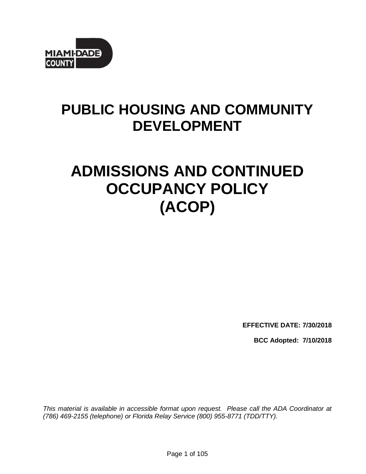

# **PUBLIC HOUSING AND COMMUNITY DEVELOPMENT**

# **ADMISSIONS AND CONTINUED OCCUPANCY POLICY (ACOP)**

**EFFECTIVE DATE: 7/30/2018**

**BCC Adopted: 7/10/2018**

*This material is available in accessible format upon request. Please call the ADA Coordinator at (786) 469-2155 (telephone) or Florida Relay Service (800) 955-8771 (TDD/TTY).*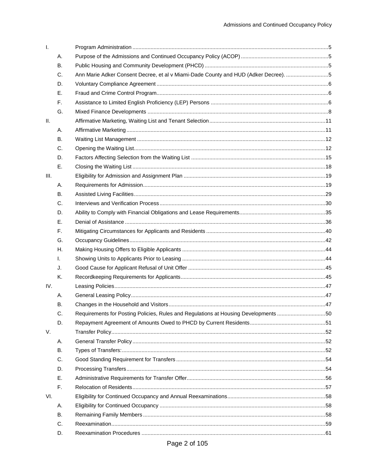| Ι.              |           |                                                                                     |  |
|-----------------|-----------|-------------------------------------------------------------------------------------|--|
|                 | Α.        |                                                                                     |  |
|                 | В.        |                                                                                     |  |
|                 | C.        | Ann Marie Adker Consent Decree, et al v Miami-Dade County and HUD (Adker Decree). 5 |  |
|                 | D.        |                                                                                     |  |
|                 | Е.        |                                                                                     |  |
|                 | F.        |                                                                                     |  |
|                 | G.        |                                                                                     |  |
| $\mathbf{II}$ . |           |                                                                                     |  |
|                 | А.        |                                                                                     |  |
|                 | <b>B.</b> |                                                                                     |  |
|                 | C.        |                                                                                     |  |
|                 | D.        |                                                                                     |  |
|                 | Е.        |                                                                                     |  |
| III.            |           |                                                                                     |  |
|                 | Α.        |                                                                                     |  |
|                 | <b>B.</b> |                                                                                     |  |
|                 | C.        |                                                                                     |  |
|                 | D.        |                                                                                     |  |
|                 | Ε.        |                                                                                     |  |
|                 | F.        |                                                                                     |  |
|                 | G.        |                                                                                     |  |
|                 | Η.        |                                                                                     |  |
|                 | I.        |                                                                                     |  |
|                 | J.        |                                                                                     |  |
|                 | Κ.        |                                                                                     |  |
| IV.             |           |                                                                                     |  |
|                 | А.        |                                                                                     |  |
|                 | В.        |                                                                                     |  |
|                 | C.        | Requirements for Posting Policies, Rules and Regulations at Housing Developments50  |  |
|                 | D.        |                                                                                     |  |
| V.              |           |                                                                                     |  |
|                 | А.        |                                                                                     |  |
|                 | <b>B.</b> |                                                                                     |  |
|                 | C.        |                                                                                     |  |
|                 | D.        |                                                                                     |  |
|                 | Ε.        |                                                                                     |  |
|                 | F.        |                                                                                     |  |
| VI.             |           |                                                                                     |  |
|                 | А.        |                                                                                     |  |
|                 | <b>B.</b> |                                                                                     |  |
|                 | C.        |                                                                                     |  |
|                 | D.        |                                                                                     |  |
|                 |           | $\sim$ $\sim$ $\sim$ $\sim$ $\sim$                                                  |  |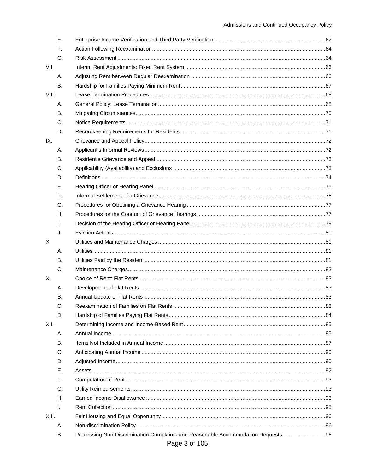|       | В.        | Processing Non-Discrimination Complaints and Reasonable Accommodation Requests  96<br>Page 3 of 105 |  |
|-------|-----------|-----------------------------------------------------------------------------------------------------|--|
|       | А.        |                                                                                                     |  |
| XIII. |           |                                                                                                     |  |
|       | I.        |                                                                                                     |  |
|       | Н.        |                                                                                                     |  |
|       | G.        |                                                                                                     |  |
|       | F.        |                                                                                                     |  |
|       | Е.        |                                                                                                     |  |
|       | D.        |                                                                                                     |  |
|       | C.        |                                                                                                     |  |
|       | В.        |                                                                                                     |  |
|       | А.        |                                                                                                     |  |
| XII.  |           |                                                                                                     |  |
|       | D.        |                                                                                                     |  |
|       | C.        |                                                                                                     |  |
|       | В.        |                                                                                                     |  |
|       | Α.        |                                                                                                     |  |
| XI.   |           |                                                                                                     |  |
|       | C.        |                                                                                                     |  |
|       | В.        |                                                                                                     |  |
|       | Α.        |                                                                                                     |  |
| Χ.    |           |                                                                                                     |  |
|       | J.        |                                                                                                     |  |
|       | I.        |                                                                                                     |  |
|       | Н.        |                                                                                                     |  |
|       | G.        |                                                                                                     |  |
|       | F.        |                                                                                                     |  |
|       | Ε.        |                                                                                                     |  |
|       | D.        |                                                                                                     |  |
|       | C.        |                                                                                                     |  |
|       | В.        |                                                                                                     |  |
|       | Α.        |                                                                                                     |  |
| IX.   |           |                                                                                                     |  |
|       | D.        |                                                                                                     |  |
|       | C.        |                                                                                                     |  |
|       | <b>B.</b> |                                                                                                     |  |
|       | А.        |                                                                                                     |  |
| VIII. |           |                                                                                                     |  |
|       | <b>B.</b> |                                                                                                     |  |
|       | Α.        |                                                                                                     |  |
| VII.  |           |                                                                                                     |  |
|       | G.        |                                                                                                     |  |
|       | F.        |                                                                                                     |  |
|       | Ε.        |                                                                                                     |  |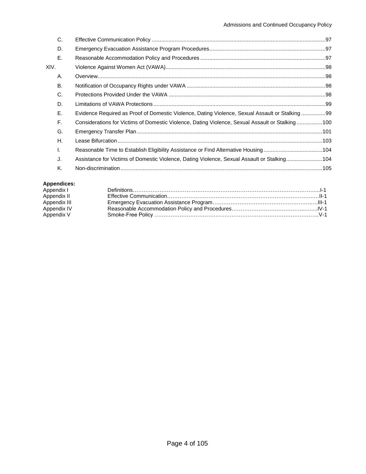|      | C.        |                                                                                                 |  |
|------|-----------|-------------------------------------------------------------------------------------------------|--|
|      | D.        |                                                                                                 |  |
|      | Ε.        |                                                                                                 |  |
| XIV. |           |                                                                                                 |  |
|      | А.        |                                                                                                 |  |
|      | <b>B.</b> |                                                                                                 |  |
|      | C.        |                                                                                                 |  |
|      | D.        |                                                                                                 |  |
|      | E.        | Evidence Required as Proof of Domestic Violence, Dating Violence, Sexual Assault or Stalking99  |  |
|      | F.        | Considerations for Victims of Domestic Violence, Dating Violence, Sexual Assault or Stalking100 |  |
|      | G.        |                                                                                                 |  |
|      | Η.        |                                                                                                 |  |
|      | I.        |                                                                                                 |  |
|      | J.        | Assistance for Victims of Domestic Violence, Dating Violence, Sexual Assault or Stalking104     |  |
|      | K.        |                                                                                                 |  |
|      |           |                                                                                                 |  |

## **Appendices:**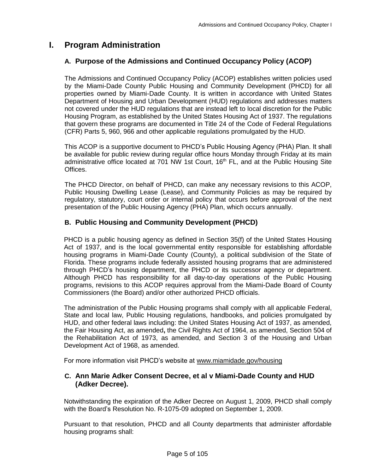# <span id="page-4-1"></span><span id="page-4-0"></span>**I. Program Administration**

### **A. Purpose of the Admissions and Continued Occupancy Policy (ACOP)**

The Admissions and Continued Occupancy Policy (ACOP) establishes written policies used by the Miami-Dade County Public Housing and Community Development (PHCD) for all properties owned by Miami-Dade County. It is written in accordance with United States Department of Housing and Urban Development (HUD) regulations and addresses matters not covered under the HUD regulations that are instead left to local discretion for the Public Housing Program, as established by the United States Housing Act of 1937. The regulations that govern these programs are documented in Title 24 of the Code of Federal Regulations (CFR) Parts 5, 960, 966 and other applicable regulations promulgated by the HUD.

This ACOP is a supportive document to PHCD's Public Housing Agency (PHA) Plan. It shall be available for public review during regular office hours Monday through Friday at its main administrative office located at 701 NW 1st Court, 16<sup>th</sup> FL, and at the Public Housing Site Offices.

The PHCD Director, on behalf of PHCD, can make any necessary revisions to this ACOP, Public Housing Dwelling Lease (Lease), and Community Policies as may be required by regulatory, statutory, court order or internal policy that occurs before approval of the next presentation of the Public Housing Agency (PHA) Plan, which occurs annually.

### <span id="page-4-2"></span>**B. Public Housing and Community Development (PHCD)**

PHCD is a public housing agency as defined in Section 35(f) of the United States Housing Act of 1937, and is the local governmental entity responsible for establishing affordable housing programs in Miami-Dade County (County), a political subdivision of the State of Florida. These programs include federally assisted housing programs that are administered through PHCD's housing department, the PHCD or its successor agency or department. Although PHCD has responsibility for all day-to-day operations of the Public Housing programs, revisions to this ACOP requires approval from the Miami-Dade Board of County Commissioners (the Board) and/or other authorized PHCD officials.

The administration of the Public Housing programs shall comply with all applicable Federal, State and local law, Public Housing regulations, handbooks, and policies promulgated by HUD, and other federal laws including: the United States Housing Act of 1937, as amended, the Fair Housing Act, as amended**,** the Civil Rights Act of 1964, as amended, Section 504 of the Rehabilitation Act of 1973, as amended, and Section 3 of the Housing and Urban Development Act of 1968, as amended.

<span id="page-4-3"></span>For more information visit PHCD's website at [www.miamidade.gov/housing](http://www.miamidade.gov/housing)

#### **C. Ann Marie Adker Consent Decree, et al v Miami-Dade County and HUD (Adker Decree).**

Notwithstanding the expiration of the Adker Decree on August 1, 2009, PHCD shall comply with the Board's Resolution No. R-1075-09 adopted on September 1, 2009.

Pursuant to that resolution, PHCD and all County departments that administer affordable housing programs shall: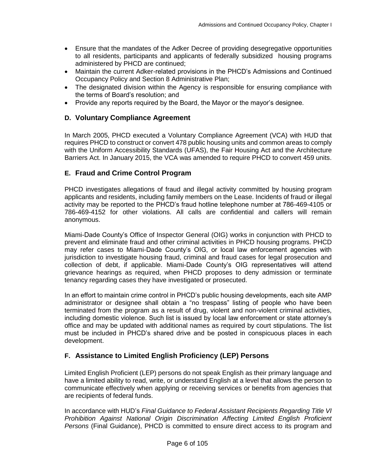- Ensure that the mandates of the Adker Decree of providing desegregative opportunities to all residents, participants and applicants of federally subsidized housing programs administered by PHCD are continued;
- Maintain the current Adker-related provisions in the PHCD's Admissions and Continued Occupancy Policy and Section 8 Administrative Plan;
- The designated division within the Agency is responsible for ensuring compliance with the terms of Board's resolution; and
- Provide any reports required by the Board, the Mayor or the mayor's designee.

#### <span id="page-5-0"></span>**D. Voluntary Compliance Agreement**

In March 2005, PHCD executed a Voluntary Compliance Agreement (VCA) with HUD that requires PHCD to construct or convert 478 public housing units and common areas to comply with the Uniform Accessibility Standards (UFAS), the Fair Housing Act and the Architecture Barriers Act. In January 2015, the VCA was amended to require PHCD to convert 459 units.

### <span id="page-5-1"></span>**E. Fraud and Crime Control Program**

PHCD investigates allegations of fraud and illegal activity committed by housing program applicants and residents, including family members on the Lease. Incidents of fraud or illegal activity may be reported to the PHCD's fraud hotline telephone number at 786-469-4105 or 786-469-4152 for other violations. All calls are confidential and callers will remain anonymous.

Miami-Dade County's Office of Inspector General (OIG) works in conjunction with PHCD to prevent and eliminate fraud and other criminal activities in PHCD housing programs. PHCD may refer cases to Miami-Dade County's OIG, or local law enforcement agencies with jurisdiction to investigate housing fraud, criminal and fraud cases for legal prosecution and collection of debt, if applicable. Miami-Dade County's OIG representatives will attend grievance hearings as required, when PHCD proposes to deny admission or terminate tenancy regarding cases they have investigated or prosecuted.

In an effort to maintain crime control in PHCD's public housing developments, each site AMP administrator or designee shall obtain a "no trespass" listing of people who have been terminated from the program as a result of drug, violent and non-violent criminal activities, including domestic violence. Such list is issued by local law enforcement or state attorney's office and may be updated with additional names as required by court stipulations. The list must be included in PHCD's shared drive and be posted in conspicuous places in each development.

### <span id="page-5-2"></span>**F. Assistance to Limited English Proficiency (LEP) Persons**

Limited English Proficient (LEP) persons do not speak English as their primary language and have a limited ability to read, write, or understand English at a level that allows the person to communicate effectively when applying or receiving services or benefits from agencies that are recipients of federal funds.

In accordance with HUD's *Final Guidance to Federal Assistant Recipients Regarding Title VI Prohibition Against National Origin Discrimination Affecting Limited English Proficient Persons* (Final Guidance), PHCD is committed to ensure direct access to its program and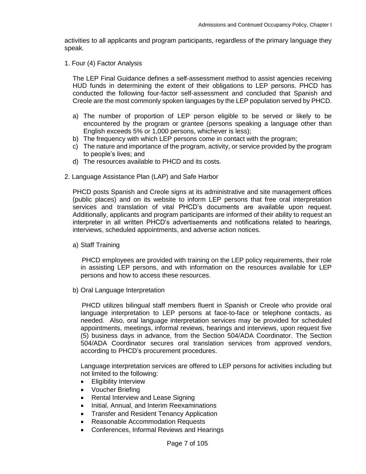activities to all applicants and program participants, regardless of the primary language they speak.

1. Four (4) Factor Analysis

The LEP Final Guidance defines a self-assessment method to assist agencies receiving HUD funds in determining the extent of their obligations to LEP persons. PHCD has conducted the following four-factor self-assessment and concluded that Spanish and Creole are the most commonly spoken languages by the LEP population served by PHCD.

- a) The number of proportion of LEP person eligible to be served or likely to be encountered by the program or grantee (persons speaking a language other than English exceeds 5% or 1,000 persons, whichever is less);
- b) The frequency with which LEP persons come in contact with the program;
- c) The nature and importance of the program, activity, or service provided by the program to people's lives; and
- d) The resources available to PHCD and its costs.
- 2. Language Assistance Plan (LAP) and Safe Harbor

PHCD posts Spanish and Creole signs at its administrative and site management offices (public places) and on its website to inform LEP persons that free oral interpretation services and translation of vital PHCD's documents are available upon request. Additionally, applicants and program participants are informed of their ability to request an interpreter in all written PHCD's advertisements and notifications related to hearings, interviews, scheduled appointments, and adverse action notices.

a) Staff Training

 PHCD employees are provided with training on the LEP policy requirements, their role in assisting LEP persons, and with information on the resources available for LEP persons and how to access these resources.

b) Oral Language Interpretation

 PHCD utilizes bilingual staff members fluent in Spanish or Creole who provide oral language interpretation to LEP persons at face-to-face or telephone contacts, as needed. Also, oral language interpretation services may be provided for scheduled appointments, meetings, informal reviews, hearings and interviews, upon request five (5) business days in advance, from the Section 504/ADA Coordinator. The Section 504/ADA Coordinator secures oral translation services from approved vendors, according to PHCD's procurement procedures.

Language interpretation services are offered to LEP persons for activities including but not limited to the following:

- Eligibility Interview
- Voucher Briefing
- Rental Interview and Lease Signing
- Initial, Annual, and Interim Reexaminations
- Transfer and Resident Tenancy Application
- Reasonable Accommodation Requests
- Conferences, Informal Reviews and Hearings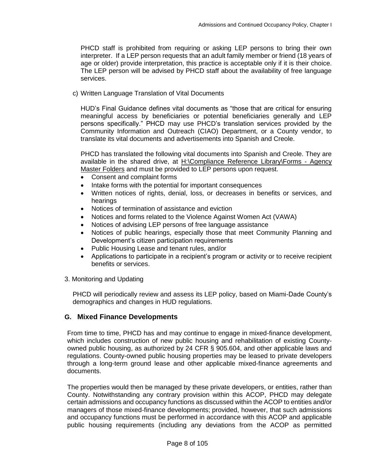PHCD staff is prohibited from requiring or asking LEP persons to bring their own interpreter. If a LEP person requests that an adult family member or friend (18 years of age or older) provide interpretation, this practice is acceptable only if it is their choice. The LEP person will be advised by PHCD staff about the availability of free language services.

c) Written Language Translation of Vital Documents

HUD's Final Guidance defines vital documents as "those that are critical for ensuring meaningful access by beneficiaries or potential beneficiaries generally and LEP persons specifically." PHCD may use PHCD's translation services provided by the Community Information and Outreach (CIAO) Department, or a County vendor, to translate its vital documents and advertisements into Spanish and Creole.

PHCD has translated the following vital documents into Spanish and Creole. They are available in the shared drive, at H:\Compliance Reference Library\Forms - Agency Master Folders and must be provided to LEP persons upon request.

- Consent and complaint forms
- Intake forms with the potential for important consequences
- Written notices of rights, denial, loss, or decreases in benefits or services, and hearings
- Notices of termination of assistance and eviction
- Notices and forms related to the Violence Against Women Act (VAWA)
- Notices of advising LEP persons of free language assistance
- Notices of public hearings, especially those that meet Community Planning and Development's citizen participation requirements
- Public Housing Lease and tenant rules, and/or
- Applications to participate in a recipient's program or activity or to receive recipient benefits or services.
- 3. Monitoring and Updating

PHCD will periodically review and assess its LEP policy, based on Miami-Dade County's demographics and changes in HUD regulations.

#### <span id="page-7-0"></span>**G. Mixed Finance Developments**

From time to time, PHCD has and may continue to engage in mixed-finance development, which includes construction of new public housing and rehabilitation of existing Countyowned public housing, as authorized by 24 CFR § 905.604, and other applicable laws and regulations. County-owned public housing properties may be leased to private developers through a long-term ground lease and other applicable mixed-finance agreements and documents.

The properties would then be managed by these private developers, or entities, rather than County. Notwithstanding any contrary provision within this ACOP, PHCD may delegate certain admissions and occupancy functions as discussed within the ACOP to entities and/or managers of those mixed-finance developments; provided, however, that such admissions and occupancy functions must be performed in accordance with this ACOP and applicable public housing requirements (including any deviations from the ACOP as permitted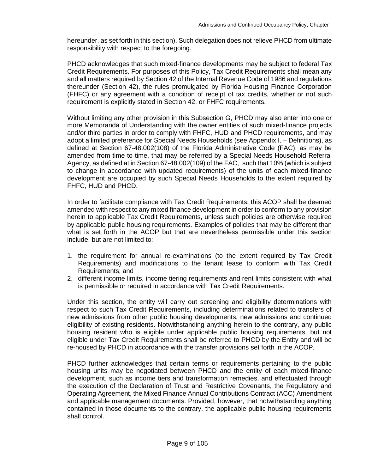hereunder, as set forth in this section). Such delegation does not relieve PHCD from ultimate responsibility with respect to the foregoing.

PHCD acknowledges that such mixed-finance developments may be subject to federal Tax Credit Requirements. For purposes of this Policy, Tax Credit Requirements shall mean any and all matters required by Section 42 of the Internal Revenue Code of 1986 and regulations thereunder (Section 42), the rules promulgated by Florida Housing Finance Corporation (FHFC) or any agreement with a condition of receipt of tax credits, whether or not such requirement is explicitly stated in Section 42, or FHFC requirements.

Without limiting any other provision in this Subsection G, PHCD may also enter into one or more Memoranda of Understanding with the owner entities of such mixed-finance projects and/or third parties in order to comply with FHFC, HUD and PHCD requirements, and may adopt a limited preference for Special Needs Households (see Appendix I. – Definitions), as defined at Section 67-48.002(108) of the Florida Administrative Code (FAC), as may be amended from time to time, that may be referred by a Special Needs Household Referral Agency, as defined at in Section 67-48.002(109) of the FAC, such that 10% (which is subject to change in accordance with updated requirements) of the units of each mixed-finance development are occupied by such Special Needs Households to the extent required by FHFC, HUD and PHCD.

In order to facilitate compliance with Tax Credit Requirements, this ACOP shall be deemed amended with respect to any mixed finance development in order to conform to any provision herein to applicable Tax Credit Requirements, unless such policies are otherwise required by applicable public housing requirements. Examples of policies that may be different than what is set forth in the ACOP but that are nevertheless permissible under this section include, but are not limited to:

- 1. the requirement for annual re-examinations (to the extent required by Tax Credit Requirements) and modifications to the tenant lease to conform with Tax Credit Requirements; and
- 2. different income limits, income tiering requirements and rent limits consistent with what is permissible or required in accordance with Tax Credit Requirements.

Under this section, the entity will carry out screening and eligibility determinations with respect to such Tax Credit Requirements, including determinations related to transfers of new admissions from other public housing developments, new admissions and continued eligibility of existing residents. Notwithstanding anything herein to the contrary, any public housing resident who is eligible under applicable public housing requirements, but not eligible under Tax Credit Requirements shall be referred to PHCD by the Entity and will be re-housed by PHCD in accordance with the transfer provisions set forth in the ACOP.

PHCD further acknowledges that certain terms or requirements pertaining to the public housing units may be negotiated between PHCD and the entity of each mixed-finance development, such as income tiers and transformation remedies, and effectuated through the execution of the Declaration of Trust and Restrictive Covenants, the Regulatory and Operating Agreement, the Mixed Finance Annual Contributions Contract (ACC) Amendment and applicable management documents. Provided, however, that notwithstanding anything contained in those documents to the contrary, the applicable public housing requirements shall control.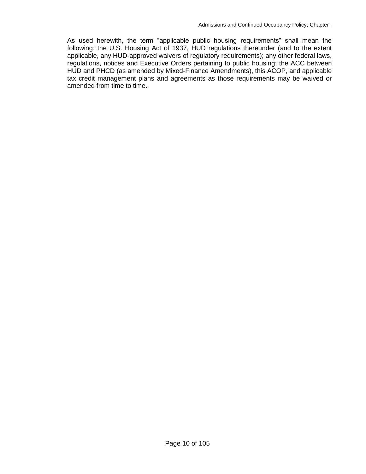As used herewith, the term "applicable public housing requirements" shall mean the following: the U.S. Housing Act of 1937, HUD regulations thereunder (and to the extent applicable, any HUD-approved waivers of regulatory requirements); any other federal laws, regulations, notices and Executive Orders pertaining to public housing; the ACC between HUD and PHCD (as amended by Mixed-Finance Amendments), this ACOP, and applicable tax credit management plans and agreements as those requirements may be waived or amended from time to time.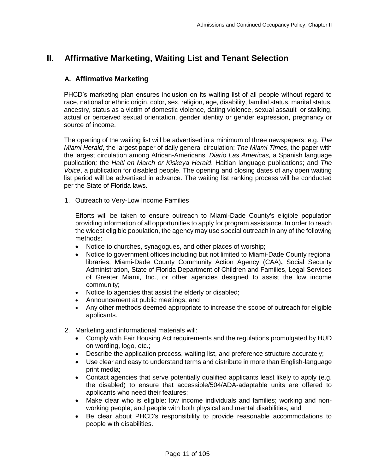# <span id="page-10-1"></span><span id="page-10-0"></span>**II. Affirmative Marketing, Waiting List and Tenant Selection**

## **A. Affirmative Marketing**

PHCD's marketing plan ensures inclusion on its waiting list of all people without regard to race, national or ethnic origin, color, sex, religion, age, disability, familial status, marital status, ancestry, status as a victim of domestic violence, dating violence, sexual assault or stalking, actual or perceived sexual orientation, gender identity or gender expression, pregnancy or source of income.

The opening of the waiting list will be advertised in a minimum of three newspapers: e.g. *The Miami Herald*, the largest paper of daily general circulation; *The Miami Times*, the paper with the largest circulation among African-Americans; *Diario Las Americas,* a Spanish language publication*;* the *Haiti en March or Kiskeya Herald*, Haitian language publications; and *The Voice*, a publication for disabled people. The opening and closing dates of any open waiting list period will be advertised in advance. The waiting list ranking process will be conducted per the State of Florida laws.

1. Outreach to Very-Low Income Families

Efforts will be taken to ensure outreach to Miami-Dade County's eligible population providing information of all opportunities to apply for program assistance. In order to reach the widest eligible population, the agency may use special outreach in any of the following methods:

- Notice to churches, synagogues, and other places of worship;
- Notice to government offices including but not limited to Miami-Dade County regional libraries, Miami-Dade County Community Action Agency (CAA)**,** Social Security Administration, State of Florida Department of Children and Families, Legal Services of Greater Miami, Inc., or other agencies designed to assist the low income community;
- Notice to agencies that assist the elderly or disabled;
- Announcement at public meetings; and
- Any other methods deemed appropriate to increase the scope of outreach for eligible applicants.
- 2. Marketing and informational materials will:
	- Comply with Fair Housing Act requirements and the regulations promulgated by HUD on wording, logo, etc.;
	- Describe the application process, waiting list, and preference structure accurately;
	- Use clear and easy to understand terms and distribute in more than English-language print media;
	- Contact agencies that serve potentially qualified applicants least likely to apply (e.g. the disabled) to ensure that accessible/504/ADA-adaptable units are offered to applicants who need their features;
	- Make clear who is eligible: low income individuals and families; working and nonworking people; and people with both physical and mental disabilities; and
	- Be clear about PHCD's responsibility to provide reasonable accommodations to people with disabilities.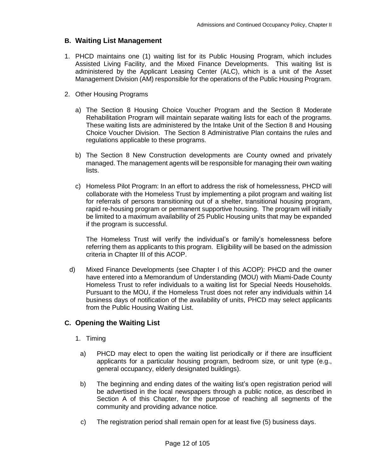## <span id="page-11-0"></span>**B. Waiting List Management**

- 1. PHCD maintains one (1) waiting list for its Public Housing Program, which includes Assisted Living Facility, and the Mixed Finance Developments. This waiting list is administered by the Applicant Leasing Center (ALC), which is a unit of the Asset Management Division (AM) responsible for the operations of the Public Housing Program.
- 2. Other Housing Programs
	- a) The Section 8 Housing Choice Voucher Program and the Section 8 Moderate Rehabilitation Program will maintain separate waiting lists for each of the programs. These waiting lists are administered by the Intake Unit of the Section 8 and Housing Choice Voucher Division. The Section 8 Administrative Plan contains the rules and regulations applicable to these programs.
	- b) The Section 8 New Construction developments are County owned and privately managed. The management agents will be responsible for managing their own waiting lists.
	- c) Homeless Pilot Program: In an effort to address the risk of homelessness, PHCD will collaborate with the Homeless Trust by implementing a pilot program and waiting list for referrals of persons transitioning out of a shelter, transitional housing program, rapid re-housing program or permanent supportive housing. The program will initially be limited to a maximum availability of 25 Public Housing units that may be expanded if the program is successful.

The Homeless Trust will verify the individual's or family's homelessness before referring them as applicants to this program. Eligibility will be based on the admission criteria in Chapter III of this ACOP.

d) Mixed Finance Developments (see Chapter I of this ACOP): PHCD and the owner have entered into a Memorandum of Understanding (MOU) with Miami-Dade County Homeless Trust to refer individuals to a waiting list for Special Needs Households. Pursuant to the MOU, if the Homeless Trust does not refer any individuals within 14 business days of notification of the availability of units, PHCD may select applicants from the Public Housing Waiting List.

# <span id="page-11-1"></span>**C. Opening the Waiting List**

- 1. Timing
	- a) PHCD may elect to open the waiting list periodically or if there are insufficient applicants for a particular housing program, bedroom size, or unit type (e.g., general occupancy, elderly designated buildings).
- b) The beginning and ending dates of the waiting list's open registration period will be advertised in the local newspapers through a public notice, as described in Section A of this Chapter, for the purpose of reaching all segments of the community and providing advance notice*.*
- c) The registration period shall remain open for at least five (5) business days.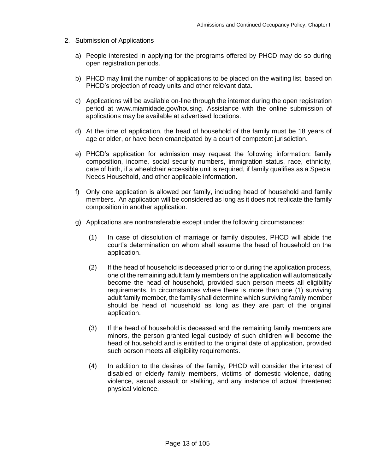- 2. Submission of Applications
	- a) People interested in applying for the programs offered by PHCD may do so during open registration periods.
	- b) PHCD may limit the number of applications to be placed on the waiting list, based on PHCD's projection of ready units and other relevant data.
	- c) Applications will be available on-line through the internet during the open registration period at www.miamidade.gov/housing. Assistance with the online submission of applications may be available at advertised locations.
	- d) At the time of application, the head of household of the family must be 18 years of age or older, or have been emancipated by a court of competent jurisdiction.
	- e) PHCD's application for admission may request the following information: family composition, income, social security numbers, immigration status, race, ethnicity, date of birth, if a wheelchair accessible unit is required, if family qualifies as a Special Needs Household, and other applicable information.
	- f) Only one application is allowed per family, including head of household and family members. An application will be considered as long as it does not replicate the family composition in another application.
	- g) Applications are nontransferable except under the following circumstances:
		- (1) In case of dissolution of marriage or family disputes, PHCD will abide the court's determination on whom shall assume the head of household on the application.
		- (2) If the head of household is deceased prior to or during the application process, one of the remaining adult family members on the application will automatically become the head of household, provided such person meets all eligibility requirements. In circumstances where there is more than one (1) surviving adult family member, the family shall determine which surviving family member should be head of household as long as they are part of the original application.
		- (3) If the head of household is deceased and the remaining family members are minors, the person granted legal custody of such children will become the head of household and is entitled to the original date of application, provided such person meets all eligibility requirements.
		- (4) In addition to the desires of the family, PHCD will consider the interest of disabled or elderly family members, victims of domestic violence, dating violence, sexual assault or stalking, and any instance of actual threatened physical violence.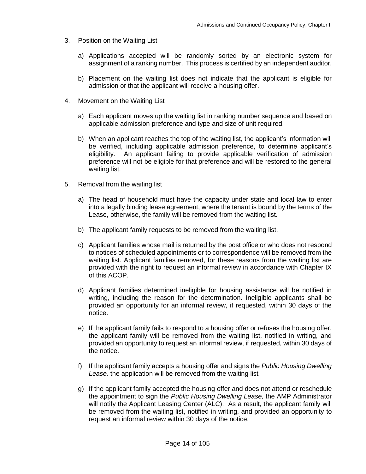- 3. Position on the Waiting List
	- a) Applications accepted will be randomly sorted by an electronic system for assignment of a ranking number. This process is certified by an independent auditor.
	- b) Placement on the waiting list does not indicate that the applicant is eligible for admission or that the applicant will receive a housing offer.
- 4. Movement on the Waiting List
	- a) Each applicant moves up the waiting list in ranking number sequence and based on applicable admission preference and type and size of unit required.
	- b) When an applicant reaches the top of the waiting list, the applicant's information will be verified, including applicable admission preference, to determine applicant's eligibility. An applicant failing to provide applicable verification of admission preference will not be eligible for that preference and will be restored to the general waiting list.
- 5. Removal from the waiting list
	- a) The head of household must have the capacity under state and local law to enter into a legally binding lease agreement, where the tenant is bound by the terms of the Lease, otherwise, the family will be removed from the waiting list.
	- b) The applicant family requests to be removed from the waiting list.
	- c) Applicant families whose mail is returned by the post office or who does not respond to notices of scheduled appointments or to correspondence will be removed from the waiting list. Applicant families removed, for these reasons from the waiting list are provided with the right to request an informal review in accordance with Chapter IX of this ACOP.
	- d) Applicant families determined ineligible for housing assistance will be notified in writing, including the reason for the determination. Ineligible applicants shall be provided an opportunity for an informal review, if requested, within 30 days of the notice.
	- e) If the applicant family fails to respond to a housing offer or refuses the housing offer, the applicant family will be removed from the waiting list, notified in writing, and provided an opportunity to request an informal review, if requested, within 30 days of the notice.
	- f) If the applicant family accepts a housing offer and signs the *Public Housing Dwelling Lease,* the application will be removed from the waiting list*.*
	- g) If the applicant family accepted the housing offer and does not attend or reschedule the appointment to sign the *Public Housing Dwelling Lease,* the AMP Administrator will notify the Applicant Leasing Center (ALC). As a result, the applicant family will be removed from the waiting list, notified in writing, and provided an opportunity to request an informal review within 30 days of the notice.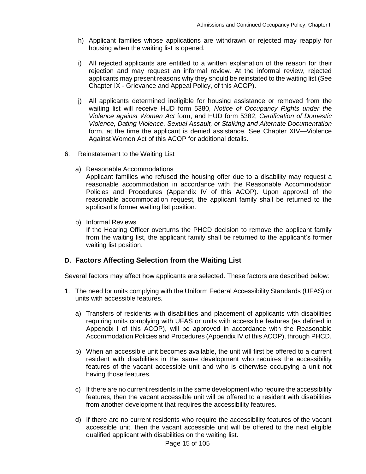- h) Applicant families whose applications are withdrawn or rejected may reapply for housing when the waiting list is opened.
- i) All rejected applicants are entitled to a written explanation of the reason for their rejection and may request an informal review. At the informal review, rejected applicants may present reasons why they should be reinstated to the waiting list (See Chapter IX - Grievance and Appeal Policy, of this ACOP).
- j) All applicants determined ineligible for housing assistance or removed from the waiting list will receive HUD form 5380, *Notice of Occupancy Rights under the Violence against Women Act* form, and HUD form 5382, *Certification of Domestic Violence, Dating Violence, Sexual Assault, or Stalking and Alternate Documentation* form, at the time the applicant is denied assistance. See Chapter XIV—Violence Against Women Act of this ACOP for additional details.
- 6. Reinstatement to the Waiting List
	- a) Reasonable Accommodations

Applicant families who refused the housing offer due to a disability may request a reasonable accommodation in accordance with the Reasonable Accommodation Policies and Procedures (Appendix IV of this ACOP). Upon approval of the reasonable accommodation request, the applicant family shall be returned to the applicant's former waiting list position.

b) Informal Reviews

If the Hearing Officer overturns the PHCD decision to remove the applicant family from the waiting list, the applicant family shall be returned to the applicant's former waiting list position.

#### <span id="page-14-0"></span>**D. Factors Affecting Selection from the Waiting List**

Several factors may affect how applicants are selected. These factors are described below:

- 1. The need for units complying with the Uniform Federal Accessibility Standards (UFAS) or units with accessible features.
	- a) Transfers of residents with disabilities and placement of applicants with disabilities requiring units complying with UFAS or units with accessible features (as defined in Appendix I of this ACOP), will be approved in accordance with the Reasonable Accommodation Policies and Procedures (Appendix IV of this ACOP), through PHCD.
	- b) When an accessible unit becomes available, the unit will first be offered to a current resident with disabilities in the same development who requires the accessibility features of the vacant accessible unit and who is otherwise occupying a unit not having those features.
	- c) If there are no current residents in the same development who require the accessibility features, then the vacant accessible unit will be offered to a resident with disabilities from another development that requires the accessibility features.
	- d) If there are no current residents who require the accessibility features of the vacant accessible unit, then the vacant accessible unit will be offered to the next eligible qualified applicant with disabilities on the waiting list.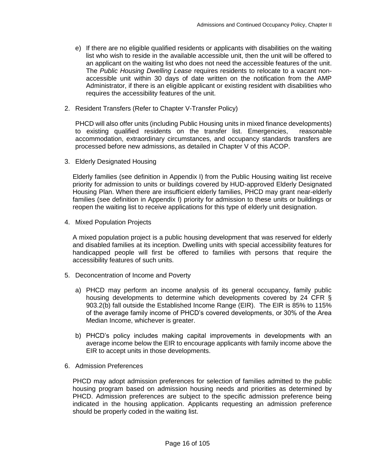- e) If there are no eligible qualified residents or applicants with disabilities on the waiting list who wish to reside in the available accessible unit, then the unit will be offered to an applicant on the waiting list who does not need the accessible features of the unit. The *Public Housing Dwelling Lease* requires residents to relocate to a vacant nonaccessible unit within 30 days of date written on the notification from the AMP Administrator, if there is an eligible applicant or existing resident with disabilities who requires the accessibility features of the unit.
- 2. Resident Transfers (Refer to Chapter V-Transfer Policy)

PHCD will also offer units (including Public Housing units in mixed finance developments) to existing qualified residents on the transfer list. Emergencies, reasonable accommodation, extraordinary circumstances, and occupancy standards transfers are processed before new admissions, as detailed in Chapter V of this ACOP.

3. Elderly Designated Housing

Elderly families (see definition in Appendix I) from the Public Housing waiting list receive priority for admission to units or buildings covered by HUD-approved Elderly Designated Housing Plan. When there are insufficient elderly families, PHCD may grant near-elderly families (see definition in Appendix I) priority for admission to these units or buildings or reopen the waiting list to receive applications for this type of elderly unit designation.

4. Mixed Population Projects

A mixed population project is a public housing development that was reserved for elderly and disabled families at its inception. Dwelling units with special accessibility features for handicapped people will first be offered to families with persons that require the accessibility features of such units.

- 5. Deconcentration of Income and Poverty
	- a) PHCD may perform an income analysis of its general occupancy, family public housing developments to determine which developments covered by 24 CFR § 903.2(b) fall outside the Established Income Range (EIR). The EIR is 85% to 115% of the average family income of PHCD's covered developments, or 30% of the Area Median Income, whichever is greater.
	- b) PHCD's policy includes making capital improvements in developments with an average income below the EIR to encourage applicants with family income above the EIR to accept units in those developments.
- 6. Admission Preferences

PHCD may adopt admission preferences for selection of families admitted to the public housing program based on admission housing needs and priorities as determined by PHCD. Admission preferences are subject to the specific admission preference being indicated in the housing application. Applicants requesting an admission preference should be properly coded in the waiting list.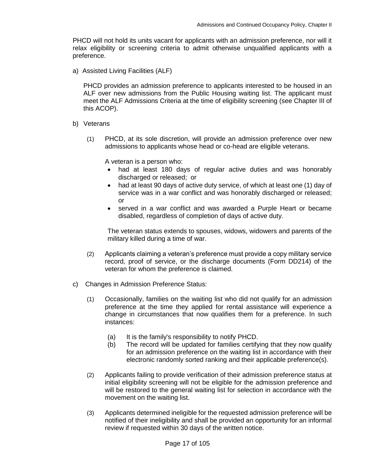PHCD will not hold its units vacant for applicants with an admission preference, nor will it relax eligibility or screening criteria to admit otherwise unqualified applicants with a preference.

a) Assisted Living Facilities (ALF)

PHCD provides an admission preference to applicants interested to be housed in an ALF over new admissions from the Public Housing waiting list. The applicant must meet the ALF Admissions Criteria at the time of eligibility screening (see Chapter III of this ACOP).

- b) Veterans
	- (1) PHCD, at its sole discretion, will provide an admission preference over new admissions to applicants whose head or co-head are eligible veterans.

A veteran is a person who:

- had at least 180 days of regular active duties and was honorably discharged or released; or
- had at least 90 days of active duty service, of which at least one (1) day of service was in a war conflict and was honorably discharged or released; or
- served in a war conflict and was awarded a Purple Heart or became disabled, regardless of completion of days of active duty.

The veteran status extends to spouses, widows, widowers and parents of the military killed during a time of war.

- (2) Applicants claiming a veteran's preference must provide a copy military service record, proof of service, or the discharge documents (Form DD214) of the veteran for whom the preference is claimed.
- c) Changes in Admission Preference Status:
	- (1) Occasionally, families on the waiting list who did not qualify for an admission preference at the time they applied for rental assistance will experience a change in circumstances that now qualifies them for a preference. In such instances:
		- (a) It is the family's responsibility to notify PHCD.
		- (b) The record will be updated for families certifying that they now qualify for an admission preference on the waiting list in accordance with their electronic randomly sorted ranking and their applicable preference(s).
	- (2) Applicants failing to provide verification of their admission preference status at initial eligibility screening will not be eligible for the admission preference and will be restored to the general waiting list for selection in accordance with the movement on the waiting list.
	- (3) Applicants determined ineligible for the requested admission preference will be notified of their ineligibility and shall be provided an opportunity for an informal review if requested within 30 days of the written notice.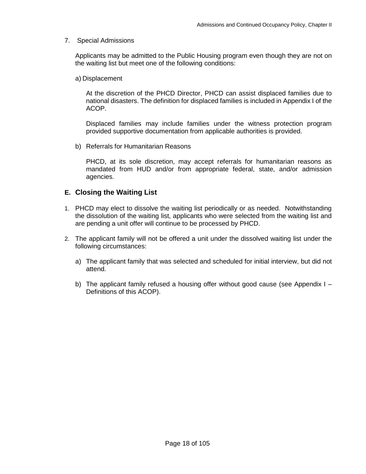#### 7. Special Admissions

Applicants may be admitted to the Public Housing program even though they are not on the waiting list but meet one of the following conditions:

a) Displacement

At the discretion of the PHCD Director, PHCD can assist displaced families due to national disasters. The definition for displaced families is included in Appendix I of the ACOP.

Displaced families may include families under the witness protection program provided supportive documentation from applicable authorities is provided.

b) Referrals for Humanitarian Reasons

PHCD, at its sole discretion, may accept referrals for humanitarian reasons as mandated from HUD and/or from appropriate federal, state, and/or admission agencies.

# <span id="page-17-0"></span>**E. Closing the Waiting List**

- 1. PHCD may elect to dissolve the waiting list periodically or as needed. Notwithstanding the dissolution of the waiting list, applicants who were selected from the waiting list and are pending a unit offer will continue to be processed by PHCD.
- 2. The applicant family will not be offered a unit under the dissolved waiting list under the following circumstances:
	- a) The applicant family that was selected and scheduled for initial interview, but did not attend.
	- b) The applicant family refused a housing offer without good cause (see Appendix I Definitions of this ACOP).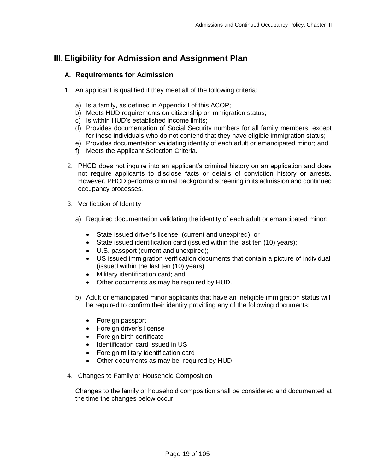# <span id="page-18-1"></span><span id="page-18-0"></span>**III. Eligibility for Admission and Assignment Plan**

#### **A. Requirements for Admission**

- 1. An applicant is qualified if they meet all of the following criteria:
	- a) Is a family, as defined in Appendix I of this ACOP;
	- b) Meets HUD requirements on citizenship or immigration status;
	- c) Is within HUD's established income limits;
	- d) Provides documentation of Social Security numbers for all family members, except for those individuals who do not contend that they have eligible immigration status;
	- e) Provides documentation validating identity of each adult or emancipated minor; and
	- f) Meets the Applicant Selection Criteria.
- 2. PHCD does not inquire into an applicant's criminal history on an application and does not require applicants to disclose facts or details of conviction history or arrests. However, PHCD performs criminal background screening in its admission and continued occupancy processes.
- 3. Verification of Identity
	- a) Required documentation validating the identity of each adult or emancipated minor:
		- State issued driver's license (current and unexpired), or
		- State issued identification card (issued within the last ten (10) years);
		- U.S. passport (current and unexpired);
		- US issued immigration verification documents that contain a picture of individual (issued within the last ten (10) years);
		- Military identification card; and
		- Other documents as may be required by HUD.
	- b) Adult or emancipated minor applicants that have an ineligible immigration status will be required to confirm their identity providing any of the following documents:
		- Foreign passport
		- Foreign driver's license
		- Foreign birth certificate
		- Identification card issued in US
		- Foreign military identification card
		- Other documents as may be required by HUD
- 4. Changes to Family or Household Composition

Changes to the family or household composition shall be considered and documented at the time the changes below occur.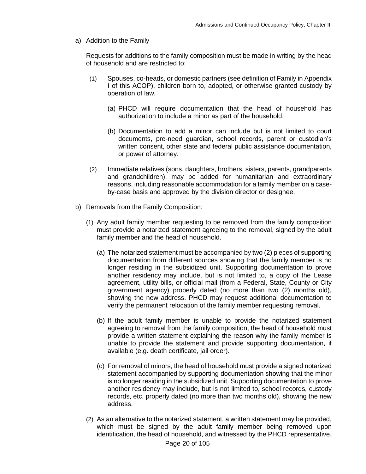a) Addition to the Family

Requests for additions to the family composition must be made in writing by the head of household and are restricted to:

- (1) Spouses, co-heads, or domestic partners (see definition of Family in Appendix I of this ACOP), children born to, adopted, or otherwise granted custody by operation of law.
	- (a) PHCD will require documentation that the head of household has authorization to include a minor as part of the household.
	- (b) Documentation to add a minor can include but is not limited to court documents, pre-need guardian, school records, parent or custodian's written consent, other state and federal public assistance documentation, or power of attorney.
- (2) Immediate relatives (sons, daughters, brothers, sisters, parents, grandparents and grandchildren), may be added for humanitarian and extraordinary reasons, including reasonable accommodation for a family member on a caseby-case basis and approved by the division director or designee.
- b) Removals from the Family Composition:
	- (1) Any adult family member requesting to be removed from the family composition must provide a notarized statement agreeing to the removal, signed by the adult family member and the head of household.
		- (a) The notarized statement must be accompanied by two (2) pieces of supporting documentation from different sources showing that the family member is no longer residing in the subsidized unit. Supporting documentation to prove another residency may include, but is not limited to, a copy of the Lease agreement, utility bills, or official mail (from a Federal, State, County or City government agency) properly dated (no more than two (2) months old), showing the new address. PHCD may request additional documentation to verify the permanent relocation of the family member requesting removal.
		- (b) If the adult family member is unable to provide the notarized statement agreeing to removal from the family composition, the head of household must provide a written statement explaining the reason why the family member is unable to provide the statement and provide supporting documentation, if available (e.g. death certificate, jail order).
		- (c) For removal of minors, the head of household must provide a signed notarized statement accompanied by supporting documentation showing that the minor is no longer residing in the subsidized unit. Supporting documentation to prove another residency may include, but is not limited to, school records, custody records, etc. properly dated (no more than two months old), showing the new address.
	- (2) As an alternative to the notarized statement, a written statement may be provided, which must be signed by the adult family member being removed upon identification, the head of household, and witnessed by the PHCD representative.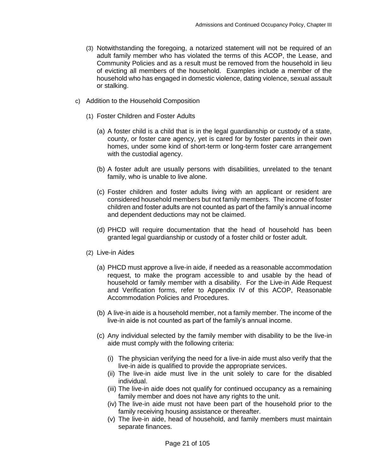- (3) Notwithstanding the foregoing, a notarized statement will not be required of an adult family member who has violated the terms of this ACOP, the Lease, and Community Policies and as a result must be removed from the household in lieu of evicting all members of the household. Examples include a member of the household who has engaged in domestic violence, dating violence, sexual assault or stalking.
- c) Addition to the Household Composition
	- (1) Foster Children and Foster Adults
		- (a) A foster child is a child that is in the legal guardianship or custody of a state, county, or foster care agency, yet is cared for by foster parents in their own homes, under some kind of short-term or long-term foster care arrangement with the custodial agency.
		- (b) A foster adult are usually persons with disabilities, unrelated to the tenant family, who is unable to live alone.
		- (c) Foster children and foster adults living with an applicant or resident are considered household members but not family members. The income of foster children and foster adults are not counted as part of the family's annual income and dependent deductions may not be claimed.
		- (d) PHCD will require documentation that the head of household has been granted legal guardianship or custody of a foster child or foster adult.
	- (2) Live-in Aides
		- (a) PHCD must approve a live-in aide, if needed as a reasonable accommodation request, to make the program accessible to and usable by the head of household or family member with a disability. For the Live-in Aide Request and Verification forms, refer to Appendix IV of this ACOP, Reasonable Accommodation Policies and Procedures.
		- (b) A live-in aide is a household member, not a family member. The income of the live-in aide is not counted as part of the family's annual income.
		- (c) Any individual selected by the family member with disability to be the live-in aide must comply with the following criteria:
			- (i) The physician verifying the need for a live-in aide must also verify that the live-in aide is qualified to provide the appropriate services.
			- (ii) The live-in aide must live in the unit solely to care for the disabled individual.
			- (iii) The live-in aide does not qualify for continued occupancy as a remaining family member and does not have any rights to the unit.
			- (iv) The live-in aide must not have been part of the household prior to the family receiving housing assistance or thereafter.
			- (v) The live-in aide, head of household, and family members must maintain separate finances.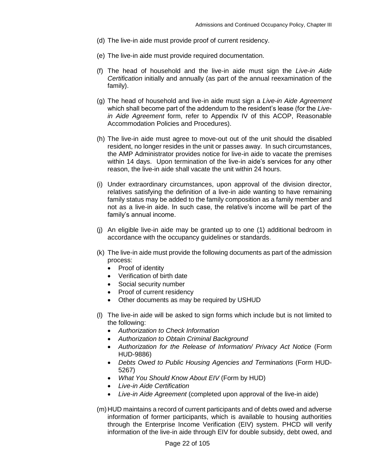- (d) The live-in aide must provide proof of current residency.
- (e) The live-in aide must provide required documentation.
- (f) The head of household and the live-in aide must sign the *Live-in Aide Certification* initially and annually (as part of the annual reexamination of the family).
- (g) The head of household and live-in aide must sign a *Live-in Aide Agreement* which shall become part of the addendum to the resident's lease (for the *Livein Aide Agreement* form, refer to Appendix IV of this ACOP, Reasonable Accommodation Policies and Procedures).
- (h) The live-in aide must agree to move-out out of the unit should the disabled resident, no longer resides in the unit or passes away. In such circumstances, the AMP Administrator provides notice for live-in aide to vacate the premises within 14 days. Upon termination of the live-in aide's services for any other reason, the live-in aide shall vacate the unit within 24 hours.
- (i) Under extraordinary circumstances, upon approval of the division director, relatives satisfying the definition of a live-in aide wanting to have remaining family status may be added to the family composition as a family member and not as a live-in aide. In such case, the relative's income will be part of the family's annual income.
- (j) An eligible live-in aide may be granted up to one (1) additional bedroom in accordance with the occupancy guidelines or standards.
- (k) The live-in aide must provide the following documents as part of the admission process:
	- Proof of identity
	- Verification of birth date
	- Social security number
	- Proof of current residency
	- Other documents as may be required by USHUD
- (l) The live-in aide will be asked to sign forms which include but is not limited to the following:
	- *Authorization to Check Information*
	- *Authorization to Obtain Criminal Background*
	- *Authorization for the Release of Information/ Privacy Act Notice* (Form HUD-9886)
	- *Debts Owed to Public Housing Agencies and Terminations* (Form HUD-5267)
	- *What You Should Know About EIV* (Form by HUD)
	- *Live-in Aide Certification*
	- *Live-in Aide Agreement* (completed upon approval of the live-in aide)
- (m)HUD maintains a record of current participants and of debts owed and adverse information of former participants, which is available to housing authorities through the Enterprise Income Verification (EIV) system. PHCD will verify information of the live-in aide through EIV for double subsidy, debt owed, and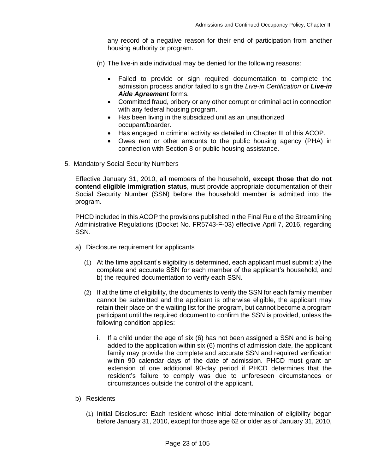any record of a negative reason for their end of participation from another housing authority or program.

- (n) The live-in aide individual may be denied for the following reasons:
	- Failed to provide or sign required documentation to complete the admission process and/or failed to sign the *Live-in Certification* or *Live-in Aide Agreement* forms.
	- Committed fraud, bribery or any other corrupt or criminal act in connection with any federal housing program.
	- Has been living in the subsidized unit as an unauthorized occupant/boarder.
	- Has engaged in criminal activity as detailed in Chapter III of this ACOP.
	- Owes rent or other amounts to the public housing agency (PHA) in connection with Section 8 or public housing assistance.
- 5. Mandatory Social Security Numbers

Effective January 31, 2010, all members of the household, **except those that do not contend eligible immigration status**, must provide appropriate documentation of their Social Security Number (SSN) before the household member is admitted into the program.

PHCD included in this ACOP the provisions published in the Final Rule of the Streamlining Administrative Regulations (Docket No. FR5743-F-03) effective April 7, 2016, regarding SSN.

- a) Disclosure requirement for applicants
	- (1) At the time applicant's eligibility is determined, each applicant must submit: a) the complete and accurate SSN for each member of the applicant's household, and b) the required documentation to verify each SSN.
	- (2) If at the time of eligibility, the documents to verify the SSN for each family member cannot be submitted and the applicant is otherwise eligible, the applicant may retain their place on the waiting list for the program, but cannot become a program participant until the required document to confirm the SSN is provided, unless the following condition applies:
		- i. If a child under the age of six (6) has not been assigned a SSN and is being added to the application within six (6) months of admission date, the applicant family may provide the complete and accurate SSN and required verification within 90 calendar days of the date of admission. PHCD must grant an extension of one additional 90-day period if PHCD determines that the resident's failure to comply was due to unforeseen circumstances or circumstances outside the control of the applicant.
- b) Residents
	- (1) Initial Disclosure: Each resident whose initial determination of eligibility began before January 31, 2010, except for those age 62 or older as of January 31, 2010,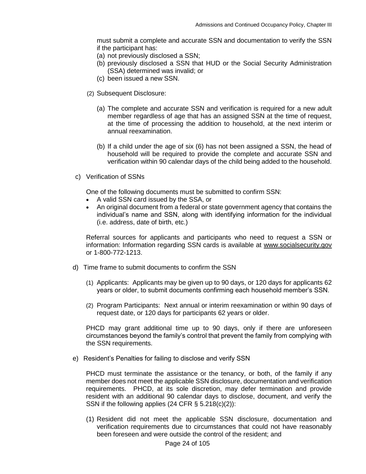must submit a complete and accurate SSN and documentation to verify the SSN if the participant has:

- (a) not previously disclosed a SSN;
- (b) previously disclosed a SSN that HUD or the Social Security Administration (SSA) determined was invalid; or
- (c) been issued a new SSN.
- (2) Subsequent Disclosure:
	- (a) The complete and accurate SSN and verification is required for a new adult member regardless of age that has an assigned SSN at the time of request, at the time of processing the addition to household, at the next interim or annual reexamination.
	- (b) If a child under the age of six (6) has not been assigned a SSN, the head of household will be required to provide the complete and accurate SSN and verification within 90 calendar days of the child being added to the household.
- c) Verification of SSNs

One of the following documents must be submitted to confirm SSN:

- A valid SSN card issued by the SSA, or
- An original document from a federal or state government agency that contains the individual's name and SSN, along with identifying information for the individual (i.e. address, date of birth, etc.)

Referral sources for applicants and participants who need to request a SSN or information: Information regarding SSN cards is available at [www.socialsecurity.gov](http://www.socialsecurity.gov/) or 1-800-772-1213.

- d) Time frame to submit documents to confirm the SSN
	- (1) Applicants: Applicants may be given up to 90 days, or 120 days for applicants 62 years or older, to submit documents confirming each household member's SSN.
	- (2) Program Participants: Next annual or interim reexamination or within 90 days of request date, or 120 days for participants 62 years or older.

PHCD may grant additional time up to 90 days, only if there are unforeseen circumstances beyond the family's control that prevent the family from complying with the SSN requirements.

e) Resident's Penalties for failing to disclose and verify SSN

PHCD must terminate the assistance or the tenancy, or both, of the family if any member does not meet the applicable SSN disclosure, documentation and verification requirements. PHCD, at its sole discretion, may defer termination and provide resident with an additional 90 calendar days to disclose, document, and verify the SSN if the following applies (24 CFR § 5.218(c)(2)):

(1) Resident did not meet the applicable SSN disclosure, documentation and verification requirements due to circumstances that could not have reasonably been foreseen and were outside the control of the resident; and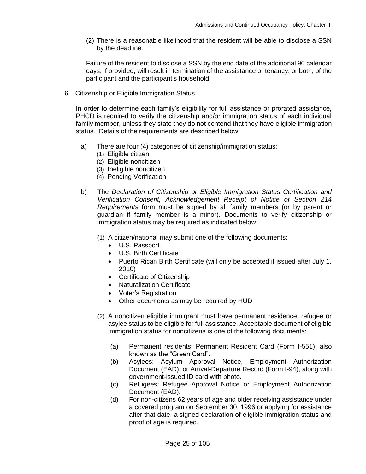(2) There is a reasonable likelihood that the resident will be able to disclose a SSN by the deadline.

Failure of the resident to disclose a SSN by the end date of the additional 90 calendar days, if provided, will result in termination of the assistance or tenancy, or both, of the participant and the participant's household.

6. Citizenship or Eligible Immigration Status

In order to determine each family's eligibility for full assistance or prorated assistance, PHCD is required to verify the citizenship and/or immigration status of each individual family member, unless they state they do not contend that they have eligible immigration status. Details of the requirements are described below.

- a) There are four (4) categories of citizenship/immigration status:
	- (1) Eligible citizen
	- (2) Eligible noncitizen
	- (3) Ineligible noncitizen
	- (4) Pending Verification
- b) The *Declaration of Citizenship or Eligible Immigration Status Certification and Verification Consent, Acknowledgement Receipt of Notice of Section 214 Requirements* form must be signed by all family members (or by parent or guardian if family member is a minor). Documents to verify citizenship or immigration status may be required as indicated below.
	- (1) A citizen/national may submit one of the following documents:
		- U.S. Passport
		- U.S. Birth Certificate
		- Puerto Rican Birth Certificate (will only be accepted if issued after July 1, 2010)
		- Certificate of Citizenship
		- Naturalization Certificate
		- Voter's Registration
		- Other documents as may be required by HUD
	- (2) A noncitizen eligible immigrant must have permanent residence, refugee or asylee status to be eligible for full assistance. Acceptable document of eligible immigration status for noncitizens is one of the following documents:
		- (a) Permanent residents: Permanent Resident Card (Form I-551), also known as the "Green Card".
		- (b) Asylees: Asylum Approval Notice, Employment Authorization Document (EAD), or Arrival-Departure Record (Form I-94), along with government-issued ID card with photo.
		- (c) Refugees: Refugee Approval Notice or Employment Authorization Document (EAD).
		- (d) For non-citizens 62 years of age and older receiving assistance under a covered program on September 30, 1996 or applying for assistance after that date, a signed declaration of eligible immigration status and proof of age is required.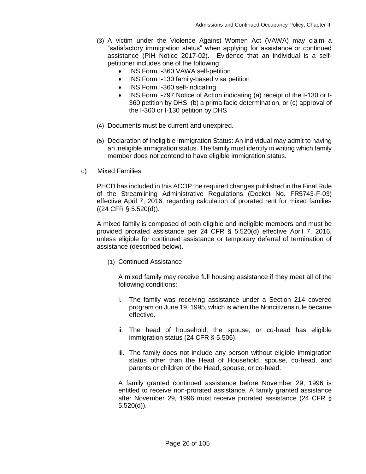- (3) A victim under the Violence Against Women Act (VAWA) may claim a "satisfactory immigration status" when applying for assistance or continued assistance (PIH Notice 2017-02). Evidence that an individual is a selfpetitioner includes one of the following:
	- INS Form I-360 VAWA self-petition
	- INS Form I-130 family-based visa petition
	- INS Form I-360 self-indicating
	- INS Form I-797 Notice of Action indicating (a) receipt of the I-130 or I-360 petition by DHS, (b) a prima facie determination, or (c) approval of the I-360 or I-130 petition by DHS
- (4) Documents must be current and unexpired.
- (5) Declaration of Ineligible Immigration Status: An individual may admit to having an ineligible immigration status. The family must identify in writing which family member does not contend to have eligible immigration status.
- c) Mixed Families

PHCD has included in this ACOP the required changes published in the Final Rule of the Streamlining Administrative Regulations (Docket No. FR5743-F-03) effective April 7, 2016, regarding calculation of prorated rent for mixed families ((24 CFR § 5.520(d)).

A mixed family is composed of both eligible and ineligible members and must be provided prorated assistance per 24 CFR § 5.520(d) effective April 7, 2016, unless eligible for continued assistance or temporary deferral of termination of assistance (described below).

(1) Continued Assistance

A mixed family may receive full housing assistance if they meet all of the following conditions:

- i. The family was receiving assistance under a Section 214 covered program on June 19, 1995, which is when the Noncitizens rule became effective.
- ii. The head of household, the spouse, or co-head has eligible immigration status (24 CFR § 5.506).
- iii. The family does not include any person without eligible immigration status other than the Head of Household, spouse, co-head, and parents or children of the Head, spouse, or co-head.

A family granted continued assistance before November 29, 1996 is entitled to receive non-prorated assistance. A family granted assistance after November 29, 1996 must receive prorated assistance (24 CFR § 5.520(d)).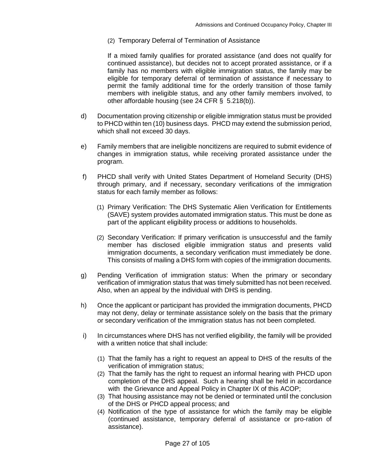(2) Temporary Deferral of Termination of Assistance

If a mixed family qualifies for prorated assistance (and does not qualify for continued assistance), but decides not to accept prorated assistance, or if a family has no members with eligible immigration status, the family may be eligible for temporary deferral of termination of assistance if necessary to permit the family additional time for the orderly transition of those family members with ineligible status, and any other family members involved, to other affordable housing (see 24 CFR § 5.218(b)).

- d) Documentation proving citizenship or eligible immigration status must be provided to PHCD within ten (10) business days. PHCD may extend the submission period, which shall not exceed 30 days.
- e) Family members that are ineligible noncitizens are required to submit evidence of changes in immigration status, while receiving prorated assistance under the program.
- f) PHCD shall verify with United States Department of Homeland Security (DHS) through primary, and if necessary, secondary verifications of the immigration status for each family member as follows:
	- (1) Primary Verification: The DHS Systematic Alien Verification for Entitlements (SAVE) system provides automated immigration status. This must be done as part of the applicant eligibility process or additions to households.
	- (2) Secondary Verification: If primary verification is unsuccessful and the family member has disclosed eligible immigration status and presents valid immigration documents, a secondary verification must immediately be done. This consists of mailing a DHS form with copies of the immigration documents.
- g) Pending Verification of immigration status: When the primary or secondary verification of immigration status that was timely submitted has not been received. Also, when an appeal by the individual with DHS is pending.
- h) Once the applicant or participant has provided the immigration documents, PHCD may not deny, delay or terminate assistance solely on the basis that the primary or secondary verification of the immigration status has not been completed.
- i) In circumstances where DHS has not verified eligibility, the family will be provided with a written notice that shall include:
	- (1) That the family has a right to request an appeal to DHS of the results of the verification of immigration status;
	- (2) That the family has the right to request an informal hearing with PHCD upon completion of the DHS appeal. Such a hearing shall be held in accordance with the Grievance and Appeal Policy in Chapter IX of this ACOP;
	- (3) That housing assistance may not be denied or terminated until the conclusion of the DHS or PHCD appeal process; and
	- (4) Notification of the type of assistance for which the family may be eligible (continued assistance, temporary deferral of assistance or pro-ration of assistance).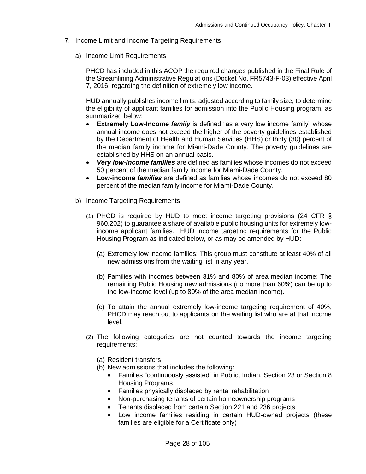- 7. Income Limit and Income Targeting Requirements
	- a) Income Limit Requirements

PHCD has included in this ACOP the required changes published in the Final Rule of the Streamlining Administrative Regulations (Docket No. FR5743-F-03) effective April 7, 2016, regarding the definition of extremely low income.

HUD annually publishes income limits, adjusted according to family size, to determine the eligibility of applicant families for admission into the Public Housing program, as summarized below:

- **Extremely Low-Income** *family* is defined "as a very low income family" whose annual income does not exceed the higher of the poverty guidelines established by the Department of Health and Human Services (HHS) or thirty (30) percent of the median family income for Miami-Dade County. The poverty guidelines are established by HHS on an annual basis.
- *Very low-income families* are defined as families whose incomes do not exceed 50 percent of the median family income for Miami-Dade County.
- **Low-income** *families* are defined as families whose incomes do not exceed 80 percent of the median family income for Miami-Dade County.
- b) Income Targeting Requirements
	- (1) PHCD is required by HUD to meet income targeting provisions (24 CFR § 960.202) to guarantee a share of available public housing units for extremely lowincome applicant families. HUD income targeting requirements for the Public Housing Program as indicated below, or as may be amended by HUD:
		- (a) Extremely low income families: This group must constitute at least 40% of all new admissions from the waiting list in any year.
		- (b) Families with incomes between 31% and 80% of area median income: The remaining Public Housing new admissions (no more than 60%) can be up to the low-income level (up to 80% of the area median income).
		- (c) To attain the annual extremely low-income targeting requirement of 40%, PHCD may reach out to applicants on the waiting list who are at that income level.
	- (2) The following categories are not counted towards the income targeting requirements:
		- (a) Resident transfers
		- (b) New admissions that includes the following:
			- Families "continuously assisted" in Public, Indian, Section 23 or Section 8 Housing Programs
			- Families physically displaced by rental rehabilitation
			- Non-purchasing tenants of certain homeownership programs
			- Tenants displaced from certain Section 221 and 236 projects
			- Low income families residing in certain HUD-owned projects (these families are eligible for a Certificate only)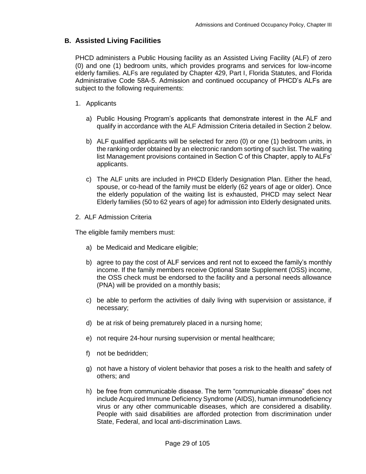#### <span id="page-28-0"></span>**B. Assisted Living Facilities**

PHCD administers a Public Housing facility as an Assisted Living Facility (ALF) of zero (0) and one (1) bedroom units, which provides programs and services for low-income elderly families. ALFs are regulated by Chapter 429, Part I, Florida Statutes, and Florida Administrative Code 58A-5. Admission and continued occupancy of PHCD's ALFs are subject to the following requirements:

- 1. Applicants
	- a) Public Housing Program's applicants that demonstrate interest in the ALF and qualify in accordance with the ALF Admission Criteria detailed in Section 2 below.
	- b) ALF qualified applicants will be selected for zero (0) or one (1) bedroom units, in the ranking order obtained by an electronic random sorting of such list. The waiting list Management provisions contained in Section C of this Chapter, apply to ALFs' applicants.
	- c) The ALF units are included in PHCD Elderly Designation Plan. Either the head, spouse, or co-head of the family must be elderly (62 years of age or older). Once the elderly population of the waiting list is exhausted, PHCD may select Near Elderly families (50 to 62 years of age) for admission into Elderly designated units.
- 2. ALF Admission Criteria

The eligible family members must:

- a) be Medicaid and Medicare eligible;
- b) agree to pay the cost of ALF services and rent not to exceed the family's monthly income. If the family members receive Optional State Supplement (OSS) income, the OSS check must be endorsed to the facility and a personal needs allowance (PNA) will be provided on a monthly basis;
- c) be able to perform the activities of daily living with supervision or assistance, if necessary;
- d) be at risk of being prematurely placed in a nursing home;
- e) not require 24-hour nursing supervision or mental healthcare;
- f) not be bedridden;
- g) not have a history of violent behavior that poses a risk to the health and safety of others; and
- h) be free from communicable disease. The term "communicable disease" does not include Acquired Immune Deficiency Syndrome (AIDS), human immunodeficiency virus or any other communicable diseases, which are considered a disability. People with said disabilities are afforded protection from discrimination under State, Federal, and local anti-discrimination Laws.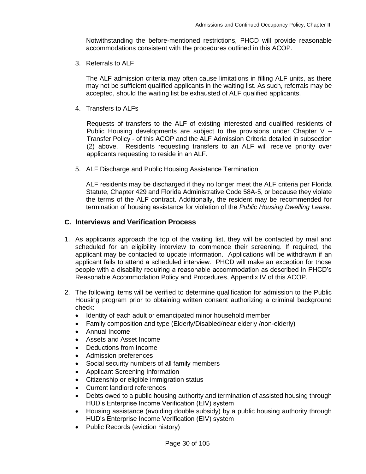Notwithstanding the before-mentioned restrictions, PHCD will provide reasonable accommodations consistent with the procedures outlined in this ACOP.

3. Referrals to ALF

The ALF admission criteria may often cause limitations in filling ALF units, as there may not be sufficient qualified applicants in the waiting list. As such, referrals may be accepted, should the waiting list be exhausted of ALF qualified applicants.

4. Transfers to ALFs

Requests of transfers to the ALF of existing interested and qualified residents of Public Housing developments are subject to the provisions under Chapter  $V -$ Transfer Policy - of this ACOP and the ALF Admission Criteria detailed in subsection (2) above. Residents requesting transfers to an ALF will receive priority over applicants requesting to reside in an ALF.

5. ALF Discharge and Public Housing Assistance Termination

ALF residents may be discharged if they no longer meet the ALF criteria per Florida Statute, Chapter 429 and Florida Administrative Code 58A-5, or because they violate the terms of the ALF contract. Additionally, the resident may be recommended for termination of housing assistance for violation of the *Public Housing Dwelling Lease*.

#### <span id="page-29-0"></span>**C. Interviews and Verification Process**

- 1. As applicants approach the top of the waiting list, they will be contacted by mail and scheduled for an eligibility interview to commence their screening. If required, the applicant may be contacted to update information. Applications will be withdrawn if an applicant fails to attend a scheduled interview. PHCD will make an exception for those people with a disability requiring a reasonable accommodation as described in PHCD's Reasonable Accommodation Policy and Procedures, Appendix IV of this ACOP.
- 2. The following items will be verified to determine qualification for admission to the Public Housing program prior to obtaining written consent authorizing a criminal background check:
	- Identity of each adult or emancipated minor household member
	- Family composition and type (Elderly/Disabled/near elderly /non-elderly)
	- Annual Income
	- Assets and Asset Income
	- Deductions from Income
	- Admission preferences
	- Social security numbers of all family members
	- Applicant Screening Information
	- Citizenship or eligible immigration status
	- Current landlord references
	- Debts owed to a public housing authority and termination of assisted housing through HUD's Enterprise Income Verification (EIV) system
	- Housing assistance (avoiding double subsidy) by a public housing authority through HUD's Enterprise Income Verification (EIV) system
	- Public Records (eviction history)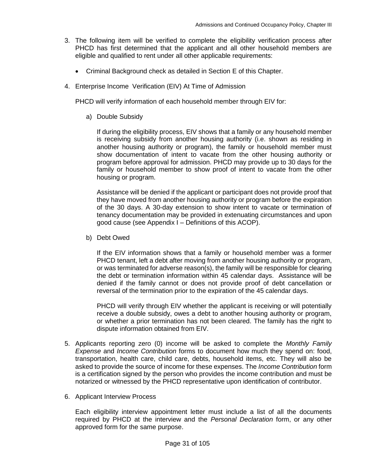- 3. The following item will be verified to complete the eligibility verification process after PHCD has first determined that the applicant and all other household members are eligible and qualified to rent under all other applicable requirements:
	- Criminal Background check as detailed in Section E of this Chapter.
- 4. Enterprise Income Verification (EIV) At Time of Admission

PHCD will verify information of each household member through EIV for:

a) Double Subsidy

If during the eligibility process, EIV shows that a family or any household member is receiving subsidy from another housing authority (i.e. shown as residing in another housing authority or program), the family or household member must show documentation of intent to vacate from the other housing authority or program before approval for admission. PHCD may provide up to 30 days for the family or household member to show proof of intent to vacate from the other housing or program.

Assistance will be denied if the applicant or participant does not provide proof that they have moved from another housing authority or program before the expiration of the 30 days. A 30-day extension to show intent to vacate or termination of tenancy documentation may be provided in extenuating circumstances and upon good cause (see Appendix I – Definitions of this ACOP).

b) Debt Owed

If the EIV information shows that a family or household member was a former PHCD tenant, left a debt after moving from another housing authority or program, or was terminated for adverse reason(s), the family will be responsible for clearing the debt or termination information within 45 calendar days. Assistance will be denied if the family cannot or does not provide proof of debt cancellation or reversal of the termination prior to the expiration of the 45 calendar days.

PHCD will verify through EIV whether the applicant is receiving or will potentially receive a double subsidy, owes a debt to another housing authority or program, or whether a prior termination has not been cleared. The family has the right to dispute information obtained from EIV.

- 5. Applicants reporting zero (0) income will be asked to complete the *Monthly Family Expense* and *Income Contribution* forms to document how much they spend on: food, transportation, health care, child care, debts, household items, etc. They will also be asked to provide the source of income for these expenses. The *Income Contribution* form is a certification signed by the person who provides the income contribution and must be notarized or witnessed by the PHCD representative upon identification of contributor.
- 6. Applicant Interview Process

Each eligibility interview appointment letter must include a list of all the documents required by PHCD at the interview and the *Personal Declaration* form, or any other approved form for the same purpose.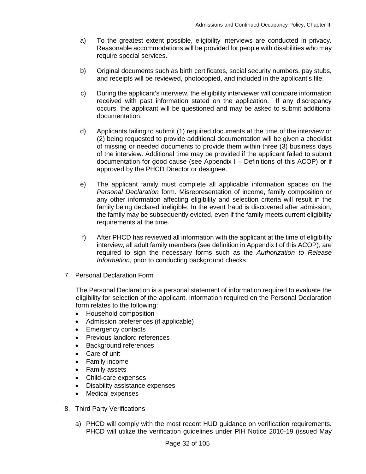- a) To the greatest extent possible, eligibility interviews are conducted in privacy. Reasonable accommodations will be provided for people with disabilities who may require special services.
- b) Original documents such as birth certificates, social security numbers, pay stubs, and receipts will be reviewed, photocopied, and included in the applicant's file.
- c) During the applicant's interview, the eligibility interviewer will compare information received with past information stated on the application. If any discrepancy occurs, the applicant will be questioned and may be asked to submit additional documentation.
- d) Applicants failing to submit (1) required documents at the time of the interview or (2) being requested to provide additional documentation will be given a checklist of missing or needed documents to provide them within three (3) business days of the interview. Additional time may be provided if the applicant failed to submit documentation for good cause (see Appendix I – Definitions of this ACOP) or if approved by the PHCD Director or designee.
- e) The applicant family must complete all applicable information spaces on the *Personal Declaration* form. Misrepresentation of income, family composition or any other information affecting eligibility and selection criteria will result in the family being declared ineligible. In the event fraud is discovered after admission, the family may be subsequently evicted, even if the family meets current eligibility requirements at the time.
- f) After PHCD has reviewed all information with the applicant at the time of eligibility interview, all adult family members (see definition in Appendix I of this ACOP), are required to sign the necessary forms such as the *Authorization to Release Information*, prior to conducting background checks.
- 7. Personal Declaration Form

The Personal Declaration is a personal statement of information required to evaluate the eligibility for selection of the applicant. Information required on the Personal Declaration form relates to the following:

- Household composition
- Admission preferences (if applicable)
- Emergency contacts
- Previous landlord references
- Background references
- Care of unit
- Family income
- Family assets
- Child-care expenses
- Disability assistance expenses
- Medical expenses
- 8. Third Party Verifications
	- a) PHCD will comply with the most recent HUD guidance on verification requirements. PHCD will utilize the verification guidelines under PIH Notice 2010-19 (issued May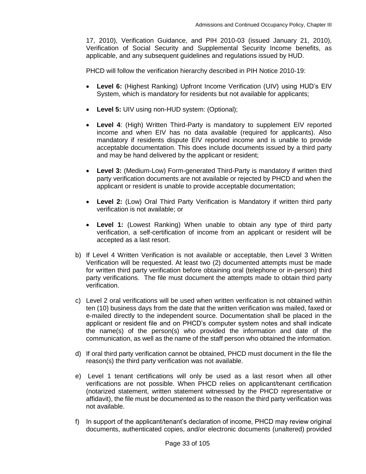17, 2010), Verification Guidance, and PIH 2010-03 (issued January 21, 2010), Verification of Social Security and Supplemental Security Income benefits, as applicable, and any subsequent guidelines and regulations issued by HUD.

PHCD will follow the verification hierarchy described in PIH Notice 2010-19:

- **Level 6:** (Highest Ranking) Upfront Income Verification (UIV) using HUD's EIV System, which is mandatory for residents but not available for applicants;
- **Level 5:** UIV using non-HUD system: (Optional);
- **Level 4**: (High) Written Third-Party is mandatory to supplement EIV reported income and when EIV has no data available (required for applicants). Also mandatory if residents dispute EIV reported income and is unable to provide acceptable documentation. This does include documents issued by a third party and may be hand delivered by the applicant or resident;
- **Level 3:** (Medium-Low) Form-generated Third-Party is mandatory if written third party verification documents are not available or rejected by PHCD and when the applicant or resident is unable to provide acceptable documentation;
- **Level 2:** (Low) Oral Third Party Verification is Mandatory if written third party verification is not available; or
- **Level 1:** (Lowest Ranking) When unable to obtain any type of third party verification, a self-certification of income from an applicant or resident will be accepted as a last resort.
- b) If Level 4 Written Verification is not available or acceptable, then Level 3 Written Verification will be requested. At least two (2) documented attempts must be made for written third party verification before obtaining oral (telephone or in-person) third party verifications. The file must document the attempts made to obtain third party verification.
- c) Level 2 oral verifications will be used when written verification is not obtained within ten (10) business days from the date that the written verification was mailed, faxed or e-mailed directly to the independent source. Documentation shall be placed in the applicant or resident file and on PHCD's computer system notes and shall indicate the name(s) of the person(s) who provided the information and date of the communication, as well as the name of the staff person who obtained the information.
- d) If oral third party verification cannot be obtained, PHCD must document in the file the reason(s) the third party verification was not available.
- e) Level 1 tenant certifications will only be used as a last resort when all other verifications are not possible. When PHCD relies on applicant/tenant certification (notarized statement, written statement witnessed by the PHCD representative or affidavit), the file must be documented as to the reason the third party verification was not available.
- f) In support of the applicant/tenant's declaration of income, PHCD may review original documents, authenticated copies, and/or electronic documents (unaltered) provided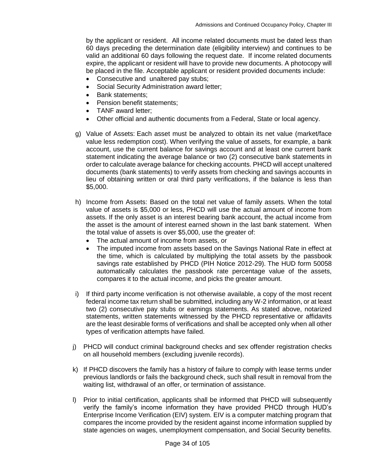by the applicant or resident. All income related documents must be dated less than 60 days preceding the determination date (eligibility interview) and continues to be valid an additional 60 days following the request date. If income related documents expire, the applicant or resident will have to provide new documents. A photocopy will be placed in the file. Acceptable applicant or resident provided documents include:

- Consecutive and unaltered pay stubs;
- Social Security Administration award letter;
- Bank statements:
- Pension benefit statements;
- TANF award letter:
- Other official and authentic documents from a Federal, State or local agency.
- g) Value of Assets: Each asset must be analyzed to obtain its net value (market/face value less redemption cost). When verifying the value of assets, for example, a bank account, use the current balance for savings account and at least one current bank statement indicating the average balance or two (2) consecutive bank statements in order to calculate average balance for checking accounts. PHCD will accept unaltered documents (bank statements) to verify assets from checking and savings accounts in lieu of obtaining written or oral third party verifications, if the balance is less than \$5,000.
- h) Income from Assets: Based on the total net value of family assets. When the total value of assets is \$5,000 or less, PHCD will use the actual amount of income from assets. If the only asset is an interest bearing bank account, the actual income from the asset is the amount of interest earned shown in the last bank statement. When the total value of assets is over \$5,000, use the greater of:
	- The actual amount of income from assets, or
	- The imputed income from assets based on the Savings National Rate in effect at the time, which is calculated by multiplying the total assets by the passbook savings rate established by PHCD (PIH Notice 2012-29). The HUD form 50058 automatically calculates the passbook rate percentage value of the assets, compares it to the actual income, and picks the greater amount.
- i) If third party income verification is not otherwise available, a copy of the most recent federal income tax return shall be submitted, including any W-2 information, or at least two (2) consecutive pay stubs or earnings statements. As stated above, notarized statements, written statements witnessed by the PHCD representative or affidavits are the least desirable forms of verifications and shall be accepted only when all other types of verification attempts have failed.
- j) PHCD will conduct criminal background checks and sex offender registration checks on all household members (excluding juvenile records).
- k) If PHCD discovers the family has a history of failure to comply with lease terms under previous landlords or fails the background check, such shall result in removal from the waiting list, withdrawal of an offer, or termination of assistance.
- l) Prior to initial certification, applicants shall be informed that PHCD will subsequently verify the family's income information they have provided PHCD through HUD's Enterprise Income Verification (EIV) system. EIV is a computer matching program that compares the income provided by the resident against income information supplied by state agencies on wages, unemployment compensation, and Social Security benefits.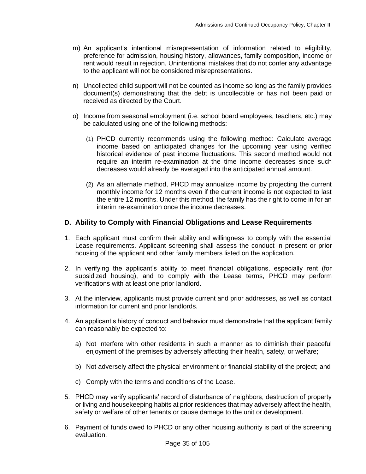- m) An applicant's intentional misrepresentation of information related to eligibility, preference for admission, housing history, allowances, family composition, income or rent would result in rejection. Unintentional mistakes that do not confer any advantage to the applicant will not be considered misrepresentations.
- n) Uncollected child support will not be counted as income so long as the family provides document(s) demonstrating that the debt is uncollectible or has not been paid or received as directed by the Court.
- o) Income from seasonal employment (i.e. school board employees, teachers, etc.) may be calculated using one of the following methods:
	- (1) PHCD currently recommends using the following method: Calculate average income based on anticipated changes for the upcoming year using verified historical evidence of past income fluctuations. This second method would not require an interim re-examination at the time income decreases since such decreases would already be averaged into the anticipated annual amount.
	- (2) As an alternate method, PHCD may annualize income by projecting the current monthly income for 12 months even if the current income is not expected to last the entire 12 months. Under this method, the family has the right to come in for an interim re-examination once the income decreases.

#### <span id="page-34-0"></span>**D. Ability to Comply with Financial Obligations and Lease Requirements**

- 1. Each applicant must confirm their ability and willingness to comply with the essential Lease requirements. Applicant screening shall assess the conduct in present or prior housing of the applicant and other family members listed on the application.
- 2. In verifying the applicant's ability to meet financial obligations, especially rent (for subsidized housing), and to comply with the Lease terms, PHCD may perform verifications with at least one prior landlord.
- 3. At the interview, applicants must provide current and prior addresses, as well as contact information for current and prior landlords.
- 4. An applicant's history of conduct and behavior must demonstrate that the applicant family can reasonably be expected to:
	- a) Not interfere with other residents in such a manner as to diminish their peaceful enjoyment of the premises by adversely affecting their health, safety, or welfare;
	- b) Not adversely affect the physical environment or financial stability of the project; and
	- c) Comply with the terms and conditions of the Lease.
- 5. PHCD may verify applicants' record of disturbance of neighbors, destruction of property or living and housekeeping habits at prior residences that may adversely affect the health, safety or welfare of other tenants or cause damage to the unit or development.
- 6. Payment of funds owed to PHCD or any other housing authority is part of the screening evaluation.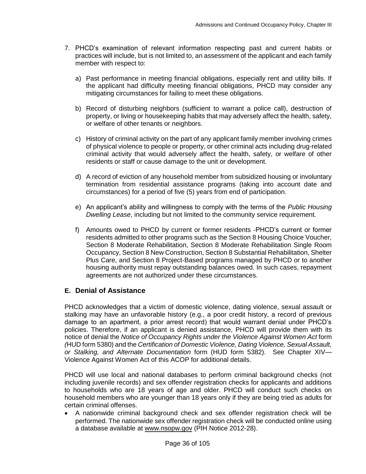- 7. PHCD's examination of relevant information respecting past and current habits or practices will include, but is not limited to, an assessment of the applicant and each family member with respect to:
	- a) Past performance in meeting financial obligations, especially rent and utility bills. If the applicant had difficulty meeting financial obligations, PHCD may consider any mitigating circumstances for failing to meet these obligations.
	- b) Record of disturbing neighbors (sufficient to warrant a police call), destruction of property, or living or housekeeping habits that may adversely affect the health, safety, or welfare of other tenants or neighbors.
	- c) History of criminal activity on the part of any applicant family member involving crimes of physical violence to people or property, or other criminal acts including drug-related criminal activity that would adversely affect the health, safety, or welfare of other residents or staff or cause damage to the unit or development.
	- d) A record of eviction of any household member from subsidized housing or involuntary termination from residential assistance programs (taking into account date and circumstances) for a period of five (5) years from end of participation.
	- e) An applicant's ability and willingness to comply with the terms of the *Public Housing Dwelling Lease*, including but not limited to the community service requirement.
	- f) Amounts owed to PHCD by current or former residents -PHCD's current or former residents admitted to other programs such as the Section 8 Housing Choice Voucher, Section 8 Moderate Rehabilitation, Section 8 Moderate Rehabilitation Single Room Occupancy, Section 8 New Construction, Section 8 Substantial Rehabilitation, Shelter Plus Care, and Section 8 Project-Based programs managed by PHCD or to another housing authority must repay outstanding balances owed. In such cases, repayment agreements are not authorized under these circumstances.

# <span id="page-35-0"></span>**E. Denial of Assistance**

PHCD acknowledges that a victim of domestic violence, dating violence, sexual assault or stalking may have an unfavorable history (e.g., a poor credit history, a record of previous damage to an apartment, a prior arrest record) that would warrant denial under PHCD's policies. Therefore, if an applicant is denied assistance, PHCD will provide them with its notice of denial the *Notice of Occupancy Rights under the Violence Against Women Act* form *(*HUD form 5380) and the *Certification of Domestic Violence, Dating Violence, Sexual Assault, or Stalking, and Alternate Documentation* form (HUD form 5382). See Chapter XIV— Violence Against Women Act of this ACOP for additional details.

PHCD will use local and national databases to perform criminal background checks (not including juvenile records) and sex offender registration checks for applicants and additions to households who are 18 years of age and older. PHCD will conduct such checks on household members who are younger than 18 years only if they are being tried as adults for certain criminal offenses.

 A nationwide criminal background check and sex offender registration check will be performed. The nationwide sex offender registration check will be conducted online using a database available at [www.nsopw.gov](http://www.nsopw.gov/) (PIH Notice 2012-28).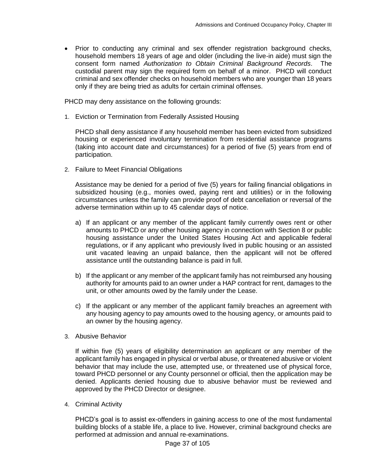• Prior to conducting any criminal and sex offender registration background checks, household members 18 years of age and older (including the live-in aide) must sign the consent form named *Authorization to Obtain Criminal Background Records*. The custodial parent may sign the required form on behalf of a minor. PHCD will conduct criminal and sex offender checks on household members who are younger than 18 years only if they are being tried as adults for certain criminal offenses.

PHCD may deny assistance on the following grounds:

1. Eviction or Termination from Federally Assisted Housing

PHCD shall deny assistance if any household member has been evicted from subsidized housing or experienced involuntary termination from residential assistance programs (taking into account date and circumstances) for a period of five (5) years from end of participation.

2. Failure to Meet Financial Obligations

Assistance may be denied for a period of five (5) years for failing financial obligations in subsidized housing (e.g., monies owed, paying rent and utilities) or in the following circumstances unless the family can provide proof of debt cancellation or reversal of the adverse termination within up to 45 calendar days of notice.

- a) If an applicant or any member of the applicant family currently owes rent or other amounts to PHCD or any other housing agency in connection with Section 8 or public housing assistance under the United States Housing Act and applicable federal regulations, or if any applicant who previously lived in public housing or an assisted unit vacated leaving an unpaid balance, then the applicant will not be offered assistance until the outstanding balance is paid in full.
- b) If the applicant or any member of the applicant family has not reimbursed any housing authority for amounts paid to an owner under a HAP contract for rent, damages to the unit, or other amounts owed by the family under the Lease.
- c) If the applicant or any member of the applicant family breaches an agreement with any housing agency to pay amounts owed to the housing agency, or amounts paid to an owner by the housing agency.
- 3. Abusive Behavior

If within five (5) years of eligibility determination an applicant or any member of the applicant family has engaged in physical or verbal abuse, or threatened abusive or violent behavior that may include the use, attempted use, or threatened use of physical force, toward PHCD personnel or any County personnel or official, then the application may be denied. Applicants denied housing due to abusive behavior must be reviewed and approved by the PHCD Director or designee.

4. Criminal Activity

PHCD's goal is to assist ex-offenders in gaining access to one of the most fundamental building blocks of a stable life, a place to live. However, criminal background checks are performed at admission and annual re-examinations.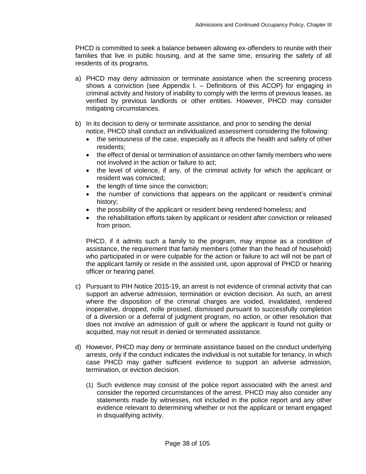PHCD is committed to seek a balance between allowing ex-offenders to reunite with their families that live in public housing, and at the same time, ensuring the safety of all residents of its programs.

- a) PHCD may deny admission or terminate assistance when the screening process shows a conviction (see Appendix I. – Definitions of this ACOP) for engaging in criminal activity and history of inability to comply with the terms of previous leases, as verified by previous landlords or other entities. However, PHCD may consider mitigating circumstances.
- b) In its decision to deny or terminate assistance, and prior to sending the denial notice, PHCD shall conduct an individualized assessment considering the following:
	- the seriousness of the case, especially as it affects the health and safety of other residents;
	- the effect of denial or termination of assistance on other family members who were not involved in the action or failure to act;
	- the level of violence, if any, of the criminal activity for which the applicant or resident was convicted;
	- $\bullet$  the length of time since the conviction;
	- the number of convictions that appears on the applicant or resident's criminal history;
	- the possibility of the applicant or resident being rendered homeless; and
	- the rehabilitation efforts taken by applicant or resident after conviction or released from prison.

PHCD, if it admits such a family to the program, may impose as a condition of assistance, the requirement that family members (other than the head of household) who participated in or were culpable for the action or failure to act will not be part of the applicant family or reside in the assisted unit, upon approval of PHCD or hearing officer or hearing panel.

- c) Pursuant to PIH Notice 2015-19, an arrest is not evidence of criminal activity that can support an adverse admission, termination or eviction decision. As such, an arrest where the disposition of the criminal charges are voided, invalidated, rendered inoperative, dropped, nolle prossed, dismissed pursuant to successfully completion of a diversion or a deferral of judgment program, no action, or other resolution that does not involve an admission of guilt or where the applicant is found not guilty or acquitted, may not result in denied or terminated assistance.
- d) However, PHCD may deny or terminate assistance based on the conduct underlying arrests, only if the conduct indicates the individual is not suitable for tenancy, in which case PHCD may gather sufficient evidence to support an adverse admission, termination, or eviction decision.
	- (1) Such evidence may consist of the police report associated with the arrest and consider the reported circumstances of the arrest. PHCD may also consider any statements made by witnesses, not included in the police report and any other evidence relevant to determining whether or not the applicant or tenant engaged in disqualifying activity.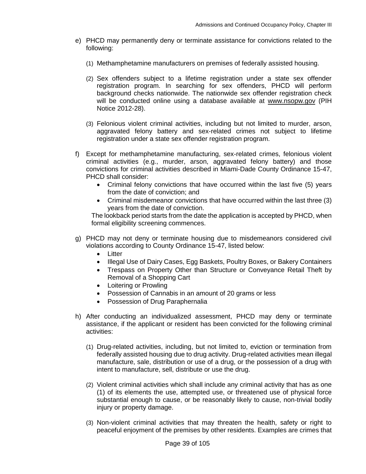- e) PHCD may permanently deny or terminate assistance for convictions related to the following:
	- (1) Methamphetamine manufacturers on premises of federally assisted housing.
	- (2) Sex offenders subject to a lifetime registration under a state sex offender registration program. In searching for sex offenders, PHCD will perform background checks nationwide. The nationwide sex offender registration check will be conducted online using a database available at [www.nsopw.gov](http://www.nsopw.gov/) (PIH Notice 2012-28).
	- (3) Felonious violent criminal activities, including but not limited to murder, arson, aggravated felony battery and sex-related crimes not subject to lifetime registration under a state sex offender registration program.
- f) Except for methamphetamine manufacturing, sex-related crimes, felonious violent criminal activities (e.g., murder, arson, aggravated felony battery) and those convictions for criminal activities described in Miami-Dade County Ordinance 15-47, PHCD shall consider:
	- Criminal felony convictions that have occurred within the last five (5) years from the date of conviction; and
	- Criminal misdemeanor convictions that have occurred within the last three (3) years from the date of conviction.

The lookback period starts from the date the application is accepted by PHCD, when formal eligibility screening commences.

- g) PHCD may not deny or terminate housing due to misdemeanors considered civil violations according to County Ordinance 15-47, listed below:
	- Litter
	- Illegal Use of Dairy Cases, Egg Baskets, Poultry Boxes, or Bakery Containers
	- Trespass on Property Other than Structure or Conveyance Retail Theft by Removal of a Shopping Cart
	- Loitering or Prowling
	- Possession of Cannabis in an amount of 20 grams or less
	- Possession of Drug Paraphernalia
- h) After conducting an individualized assessment, PHCD may deny or terminate assistance, if the applicant or resident has been convicted for the following criminal activities:
	- (1) Drug-related activities, including, but not limited to, eviction or termination from federally assisted housing due to drug activity. Drug-related activities mean illegal manufacture, sale, distribution or use of a drug, or the possession of a drug with intent to manufacture, sell, distribute or use the drug.
	- (2) Violent criminal activities which shall include any criminal activity that has as one (1) of its elements the use, attempted use, or threatened use of physical force substantial enough to cause, or be reasonably likely to cause, non-trivial bodily injury or property damage.
	- (3) Non-violent criminal activities that may threaten the health, safety or right to peaceful enjoyment of the premises by other residents. Examples are crimes that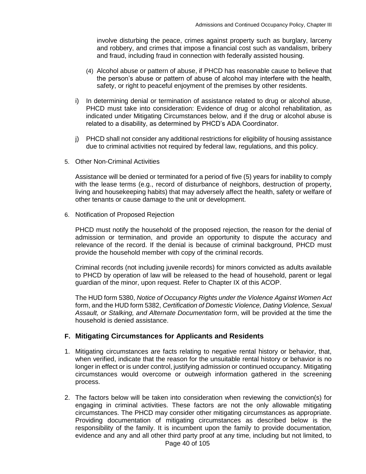involve disturbing the peace, crimes against property such as burglary, larceny and robbery, and crimes that impose a financial cost such as vandalism, bribery and fraud, including fraud in connection with federally assisted housing.

- (4) Alcohol abuse or pattern of abuse, if PHCD has reasonable cause to believe that the person's abuse or pattern of abuse of alcohol may interfere with the health, safety, or right to peaceful enjoyment of the premises by other residents.
- i) In determining denial or termination of assistance related to drug or alcohol abuse, PHCD must take into consideration: Evidence of drug or alcohol rehabilitation, as indicated under Mitigating Circumstances below, and if the drug or alcohol abuse is related to a disability, as determined by PHCD's ADA Coordinator.
- j) PHCD shall not consider any additional restrictions for eligibility of housing assistance due to criminal activities not required by federal law, regulations, and this policy.
- 5. Other Non-Criminal Activities

Assistance will be denied or terminated for a period of five (5) years for inability to comply with the lease terms (e.g., record of disturbance of neighbors, destruction of property, living and housekeeping habits) that may adversely affect the health, safety or welfare of other tenants or cause damage to the unit or development.

6. Notification of Proposed Rejection

PHCD must notify the household of the proposed rejection, the reason for the denial of admission or termination, and provide an opportunity to dispute the accuracy and relevance of the record. If the denial is because of criminal background, PHCD must provide the household member with copy of the criminal records.

Criminal records (not including juvenile records) for minors convicted as adults available to PHCD by operation of law will be released to the head of household, parent or legal guardian of the minor, upon request. Refer to Chapter IX of this ACOP.

The HUD form 5380, *Notice of Occupancy Rights under the Violence Against Women Act* form, and the HUD form 5382, *Certification of Domestic Violence, Dating Violence, Sexual Assault, or Stalking, and Alternate Documentation* form, will be provided at the time the household is denied assistance.

#### **F. Mitigating Circumstances for Applicants and Residents**

- 1. Mitigating circumstances are facts relating to negative rental history or behavior, that, when verified, indicate that the reason for the unsuitable rental history or behavior is no longer in effect or is under control, justifying admission or continued occupancy. Mitigating circumstances would overcome or outweigh information gathered in the screening process.
- 2. The factors below will be taken into consideration when reviewing the conviction(s) for engaging in criminal activities. These factors are not the only allowable mitigating circumstances. The PHCD may consider other mitigating circumstances as appropriate. Providing documentation of mitigating circumstances as described below is the responsibility of the family. It is incumbent upon the family to provide documentation, evidence and any and all other third party proof at any time, including but not limited, to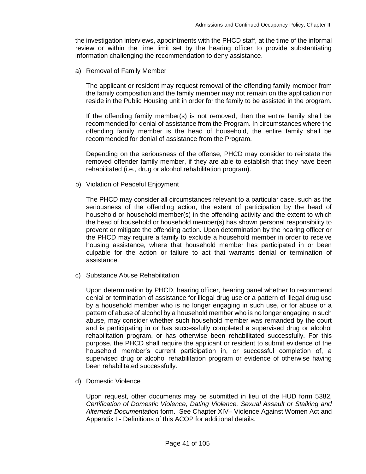the investigation interviews, appointments with the PHCD staff, at the time of the informal review or within the time limit set by the hearing officer to provide substantiating information challenging the recommendation to deny assistance.

a) Removal of Family Member

The applicant or resident may request removal of the offending family member from the family composition and the family member may not remain on the application nor reside in the Public Housing unit in order for the family to be assisted in the program.

If the offending family member(s) is not removed, then the entire family shall be recommended for denial of assistance from the Program. In circumstances where the offending family member is the head of household, the entire family shall be recommended for denial of assistance from the Program.

Depending on the seriousness of the offense, PHCD may consider to reinstate the removed offender family member, if they are able to establish that they have been rehabilitated (i.e., drug or alcohol rehabilitation program).

b) Violation of Peaceful Enjoyment

The PHCD may consider all circumstances relevant to a particular case, such as the seriousness of the offending action, the extent of participation by the head of household or household member(s) in the offending activity and the extent to which the head of household or household member(s) has shown personal responsibility to prevent or mitigate the offending action. Upon determination by the hearing officer or the PHCD may require a family to exclude a household member in order to receive housing assistance, where that household member has participated in or been culpable for the action or failure to act that warrants denial or termination of assistance.

c) Substance Abuse Rehabilitation

Upon determination by PHCD, hearing officer, hearing panel whether to recommend denial or termination of assistance for illegal drug use or a pattern of illegal drug use by a household member who is no longer engaging in such use, or for abuse or a pattern of abuse of alcohol by a household member who is no longer engaging in such abuse, may consider whether such household member was remanded by the court and is participating in or has successfully completed a supervised drug or alcohol rehabilitation program, or has otherwise been rehabilitated successfully. For this purpose, the PHCD shall require the applicant or resident to submit evidence of the household member's current participation in, or successful completion of, a supervised drug or alcohol rehabilitation program or evidence of otherwise having been rehabilitated successfully.

d) Domestic Violence

Upon request, other documents may be submitted in lieu of the HUD form 5382, *Certification of Domestic Violence, Dating Violence, Sexual Assault or Stalking and Alternate Documentation* form. See Chapter XIV– Violence Against Women Act and Appendix I - Definitions of this ACOP for additional details.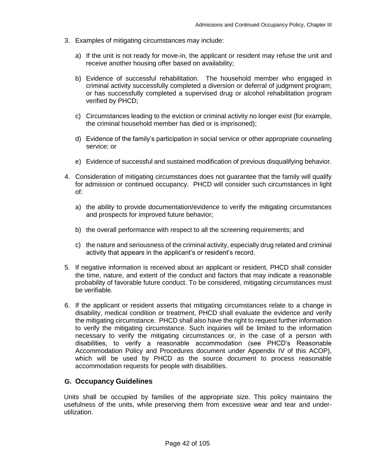- 3. Examples of mitigating circumstances may include:
	- a) If the unit is not ready for move-in, the applicant or resident may refuse the unit and receive another housing offer based on availability;
	- b) Evidence of successful rehabilitation. The household member who engaged in criminal activity successfully completed a diversion or deferral of judgment program; or has successfully completed a supervised drug or alcohol rehabilitation program verified by PHCD;
	- c) Circumstances leading to the eviction or criminal activity no longer exist (for example, the criminal household member has died or is imprisoned);
	- d) Evidence of the family's participation in social service or other appropriate counseling service; or
	- e) Evidence of successful and sustained modification of previous disqualifying behavior.
- 4. Consideration of mitigating circumstances does not guarantee that the family will qualify for admission or continued occupancy. PHCD will consider such circumstances in light of:
	- a) the ability to provide documentation/evidence to verify the mitigating circumstances and prospects for improved future behavior;
	- b) the overall performance with respect to all the screening requirements; and
	- c) the nature and seriousness of the criminal activity, especially drug related and criminal activity that appears in the applicant's or resident's record.
- 5. If negative information is received about an applicant or resident, PHCD shall consider the time, nature, and extent of the conduct and factors that may indicate a reasonable probability of favorable future conduct. To be considered, mitigating circumstances must be verifiable.
- 6. If the applicant or resident asserts that mitigating circumstances relate to a change in disability, medical condition or treatment, PHCD shall evaluate the evidence and verify the mitigating circumstance. PHCD shall also have the right to request further information to verify the mitigating circumstance. Such inquiries will be limited to the information necessary to verify the mitigating circumstances or, in the case of a person with disabilities, to verify a reasonable accommodation (see PHCD's Reasonable Accommodation Policy and Procedures document under Appendix IV of this ACOP), which will be used by PHCD as the source document to process reasonable accommodation requests for people with disabilities.

#### **G. Occupancy Guidelines**

Units shall be occupied by families of the appropriate size. This policy maintains the usefulness of the units, while preserving them from excessive wear and tear and underutilization.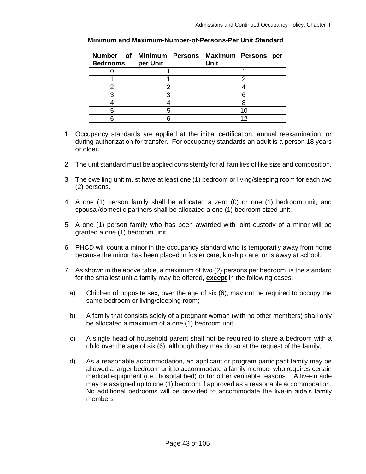| <b>Bedrooms</b> | per Unit | Number of Minimum Persons   Maximum Persons per<br><b>Unit</b> |
|-----------------|----------|----------------------------------------------------------------|
|                 |          |                                                                |
|                 |          |                                                                |
|                 |          |                                                                |
|                 |          |                                                                |
|                 |          |                                                                |
|                 |          |                                                                |
|                 |          |                                                                |

#### **Minimum and Maximum-Number-of-Persons-Per Unit Standard**

- 1. Occupancy standards are applied at the initial certification, annual reexamination, or during authorization for transfer. For occupancy standards an adult is a person 18 years or older.
- 2. The unit standard must be applied consistently for all families of like size and composition.
- 3. The dwelling unit must have at least one (1) bedroom or living/sleeping room for each two (2) persons.
- 4. A one (1) person family shall be allocated a zero (0) or one (1) bedroom unit, and spousal/domestic partners shall be allocated a one (1) bedroom sized unit.
- 5. A one (1) person family who has been awarded with joint custody of a minor will be granted a one (1) bedroom unit.
- 6. PHCD will count a minor in the occupancy standard who is temporarily away from home because the minor has been placed in foster care, kinship care, or is away at school.
- 7. As shown in the above table, a maximum of two (2) persons per bedroom is the standard for the smallest unit a family may be offered, **except** in the following cases:
	- a) Children of opposite sex, over the age of six (6), may not be required to occupy the same bedroom or living/sleeping room;
	- b) A family that consists solely of a pregnant woman (with no other members) shall only be allocated a maximum of a one (1) bedroom unit.
	- c) A single head of household parent shall not be required to share a bedroom with a child over the age of six (6), although they may do so at the request of the family;
	- d) As a reasonable accommodation, an applicant or program participant family may be allowed a larger bedroom unit to accommodate a family member who requires certain medical equipment (i.e., hospital bed) or for other verifiable reasons. A live-in aide may be assigned up to one (1) bedroom if approved as a reasonable accommodation. No additional bedrooms will be provided to accommodate the live-in aide's family members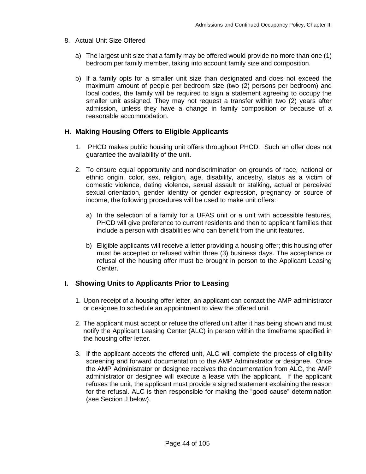- 8. Actual Unit Size Offered
	- a) The largest unit size that a family may be offered would provide no more than one (1) bedroom per family member, taking into account family size and composition.
	- b) If a family opts for a smaller unit size than designated and does not exceed the maximum amount of people per bedroom size (two (2) persons per bedroom) and local codes, the family will be required to sign a statement agreeing to occupy the smaller unit assigned. They may not request a transfer within two (2) years after admission, unless they have a change in family composition or because of a reasonable accommodation.

# **H. Making Housing Offers to Eligible Applicants**

- 1. PHCD makes public housing unit offers throughout PHCD. Such an offer does not guarantee the availability of the unit.
- 2. To ensure equal opportunity and nondiscrimination on grounds of race, national or ethnic origin, color, sex, religion, age, disability, ancestry, status as a victim of domestic violence, dating violence, sexual assault or stalking, actual or perceived sexual orientation, gender identity or gender expression, pregnancy or source of income, the following procedures will be used to make unit offers:
	- a) In the selection of a family for a UFAS unit or a unit with accessible features, PHCD will give preference to current residents and then to applicant families that include a person with disabilities who can benefit from the unit features.
	- b) Eligible applicants will receive a letter providing a housing offer; this housing offer must be accepted or refused within three (3) business days. The acceptance or refusal of the housing offer must be brought in person to the Applicant Leasing Center.

# **I. Showing Units to Applicants Prior to Leasing**

- 1. Upon receipt of a housing offer letter, an applicant can contact the AMP administrator or designee to schedule an appointment to view the offered unit.
- 2. The applicant must accept or refuse the offered unit after it has being shown and must notify the Applicant Leasing Center (ALC) in person within the timeframe specified in the housing offer letter.
- 3. If the applicant accepts the offered unit, ALC will complete the process of eligibility screening and forward documentation to the AMP Administrator or designee. Once the AMP Administrator or designee receives the documentation from ALC, the AMP administrator or designee will execute a lease with the applicant. If the applicant refuses the unit, the applicant must provide a signed statement explaining the reason for the refusal. ALC is then responsible for making the "good cause" determination (see Section J below).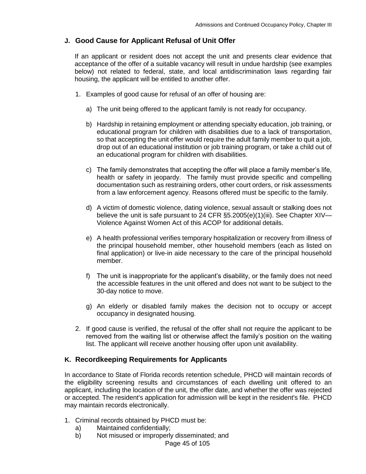## **J. Good Cause for Applicant Refusal of Unit Offer**

If an applicant or resident does not accept the unit and presents clear evidence that acceptance of the offer of a suitable vacancy will result in undue hardship (see examples below) not related to federal, state, and local antidiscrimination laws regarding fair housing, the applicant will be entitled to another offer.

- 1. Examples of good cause for refusal of an offer of housing are:
	- a) The unit being offered to the applicant family is not ready for occupancy.
	- b) Hardship in retaining employment or attending specialty education, job training, or educational program for children with disabilities due to a lack of transportation, so that accepting the unit offer would require the adult family member to quit a job, drop out of an educational institution or job training program, or take a child out of an educational program for children with disabilities.
	- c) The family demonstrates that accepting the offer will place a family member's life, health or safety in jeopardy. The family must provide specific and compelling documentation such as restraining orders, other court orders, or risk assessments from a law enforcement agency. Reasons offered must be specific to the family.
	- d) A victim of domestic violence, dating violence, sexual assault or stalking does not believe the unit is safe pursuant to 24 CFR §5.2005(e)(1)(iii). See Chapter XIV— Violence Against Women Act of this ACOP for additional details.
	- e) A health professional verifies temporary hospitalization or recovery from illness of the principal household member, other household members (each as listed on final application) or live-in aide necessary to the care of the principal household member.
	- f) The unit is inappropriate for the applicant's disability, or the family does not need the accessible features in the unit offered and does not want to be subject to the 30-day notice to move.
	- g) An elderly or disabled family makes the decision not to occupy or accept occupancy in designated housing.
- 2. If good cause is verified, the refusal of the offer shall not require the applicant to be removed from the waiting list or otherwise affect the family's position on the waiting list. The applicant will receive another housing offer upon unit availability.

### **K. Recordkeeping Requirements for Applicants**

In accordance to State of Florida records retention schedule, PHCD will maintain records of the eligibility screening results and circumstances of each dwelling unit offered to an applicant, including the location of the unit, the offer date, and whether the offer was rejected or accepted. The resident's application for admission will be kept in the resident's file. PHCD may maintain records electronically.

- 1. Criminal records obtained by PHCD must be:
	- a) Maintained confidentially;
	- b) Not misused or improperly disseminated; and

Page 45 of 105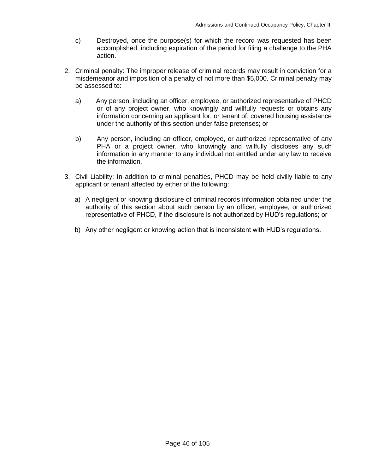- c) Destroyed, once the purpose(s) for which the record was requested has been accomplished, including expiration of the period for filing a challenge to the PHA action.
- 2. Criminal penalty: The improper release of criminal records may result in conviction for a misdemeanor and imposition of a penalty of not more than \$5,000. Criminal penalty may be assessed to:
	- a) Any person, including an officer, employee, or authorized representative of PHCD or of any project owner, who knowingly and willfully requests or obtains any information concerning an applicant for, or tenant of, covered housing assistance under the authority of this section under false pretenses; or
	- b) Any person, including an officer, employee, or authorized representative of any PHA or a project owner, who knowingly and willfully discloses any such information in any manner to any individual not entitled under any law to receive the information.
- 3. Civil Liability: In addition to criminal penalties, PHCD may be held civilly liable to any applicant or tenant affected by either of the following:
	- a) A negligent or knowing disclosure of criminal records information obtained under the authority of this section about such person by an officer, employee, or authorized representative of PHCD, if the disclosure is not authorized by HUD's regulations; or
	- b) Any other negligent or knowing action that is inconsistent with HUD's regulations.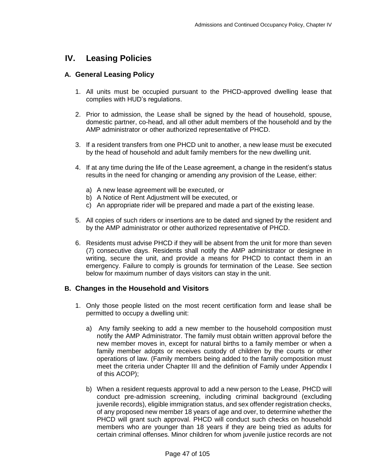# **IV. Leasing Policies**

## **A. General Leasing Policy**

- 1. All units must be occupied pursuant to the PHCD-approved dwelling lease that complies with HUD's regulations.
- 2. Prior to admission, the Lease shall be signed by the head of household, spouse, domestic partner, co-head, and all other adult members of the household and by the AMP administrator or other authorized representative of PHCD.
- 3. If a resident transfers from one PHCD unit to another, a new lease must be executed by the head of household and adult family members for the new dwelling unit.
- 4. If at any time during the life of the Lease agreement, a change in the resident's status results in the need for changing or amending any provision of the Lease, either:
	- a) A new lease agreement will be executed, or
	- b) A Notice of Rent Adjustment will be executed, or
	- c) An appropriate rider will be prepared and made a part of the existing lease.
- 5. All copies of such riders or insertions are to be dated and signed by the resident and by the AMP administrator or other authorized representative of PHCD.
- 6. Residents must advise PHCD if they will be absent from the unit for more than seven (7) consecutive days. Residents shall notify the AMP administrator or designee in writing, secure the unit, and provide a means for PHCD to contact them in an emergency. Failure to comply is grounds for termination of the Lease. See section below for maximum number of days visitors can stay in the unit.

### **B. Changes in the Household and Visitors**

- 1. Only those people listed on the most recent certification form and lease shall be permitted to occupy a dwelling unit:
	- a) Any family seeking to add a new member to the household composition must notify the AMP Administrator. The family must obtain written approval before the new member moves in, except for natural births to a family member or when a family member adopts or receives custody of children by the courts or other operations of law. (Family members being added to the family composition must meet the criteria under Chapter III and the definition of Family under Appendix I of this ACOP);
	- b) When a resident requests approval to add a new person to the Lease, PHCD will conduct pre-admission screening, including criminal background (excluding juvenile records), eligible immigration status, and sex offender registration checks, of any proposed new member 18 years of age and over, to determine whether the PHCD will grant such approval. PHCD will conduct such checks on household members who are younger than 18 years if they are being tried as adults for certain criminal offenses. Minor children for whom juvenile justice records are not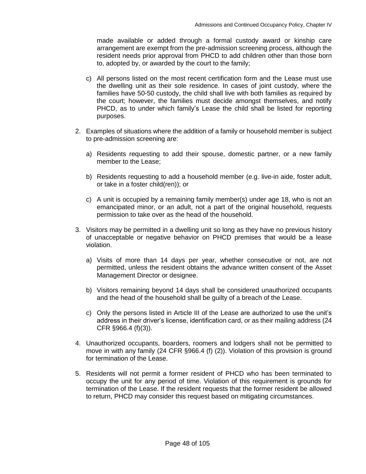made available or added through a formal custody award or kinship care arrangement are exempt from the pre-admission screening process, although the resident needs prior approval from PHCD to add children other than those born to, adopted by, or awarded by the court to the family;

- c) All persons listed on the most recent certification form and the Lease must use the dwelling unit as their sole residence. In cases of joint custody, where the families have 50-50 custody, the child shall live with both families as required by the court; however, the families must decide amongst themselves, and notify PHCD, as to under which family's Lease the child shall be listed for reporting purposes.
- 2. Examples of situations where the addition of a family or household member is subject to pre-admission screening are:
	- a) Residents requesting to add their spouse, domestic partner, or a new family member to the Lease;
	- b) Residents requesting to add a household member (e.g. live-in aide, foster adult, or take in a foster child(ren)); or
	- c) A unit is occupied by a remaining family member(s) under age 18, who is not an emancipated minor, or an adult, not a part of the original household, requests permission to take over as the head of the household.
- 3. Visitors may be permitted in a dwelling unit so long as they have no previous history of unacceptable or negative behavior on PHCD premises that would be a lease violation.
	- a) Visits of more than 14 days per year, whether consecutive or not, are not permitted, unless the resident obtains the advance written consent of the Asset Management Director or designee.
	- b) Visitors remaining beyond 14 days shall be considered unauthorized occupants and the head of the household shall be guilty of a breach of the Lease.
	- c) Only the persons listed in Article III of the Lease are authorized to use the unit's address in their driver's license, identification card, or as their mailing address (24 CFR §966.4 (f)(3)).
- 4. Unauthorized occupants, boarders, roomers and lodgers shall not be permitted to move in with any family (24 CFR §966.4 (f) (2)). Violation of this provision is ground for termination of the Lease.
- 5. Residents will not permit a former resident of PHCD who has been terminated to occupy the unit for any period of time. Violation of this requirement is grounds for termination of the Lease. If the resident requests that the former resident be allowed to return, PHCD may consider this request based on mitigating circumstances.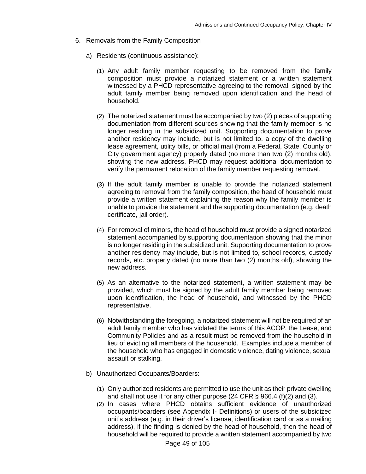- 6. Removals from the Family Composition
	- a) Residents (continuous assistance):
		- (1) Any adult family member requesting to be removed from the family composition must provide a notarized statement or a written statement witnessed by a PHCD representative agreeing to the removal, signed by the adult family member being removed upon identification and the head of household.
		- (2) The notarized statement must be accompanied by two (2) pieces of supporting documentation from different sources showing that the family member is no longer residing in the subsidized unit. Supporting documentation to prove another residency may include, but is not limited to, a copy of the dwelling lease agreement, utility bills, or official mail (from a Federal, State, County or City government agency) properly dated (no more than two (2) months old), showing the new address. PHCD may request additional documentation to verify the permanent relocation of the family member requesting removal.
		- (3) If the adult family member is unable to provide the notarized statement agreeing to removal from the family composition, the head of household must provide a written statement explaining the reason why the family member is unable to provide the statement and the supporting documentation (e.g. death certificate, jail order).
		- (4) For removal of minors, the head of household must provide a signed notarized statement accompanied by supporting documentation showing that the minor is no longer residing in the subsidized unit. Supporting documentation to prove another residency may include, but is not limited to, school records, custody records, etc. properly dated (no more than two (2) months old), showing the new address.
		- (5) As an alternative to the notarized statement, a written statement may be provided, which must be signed by the adult family member being removed upon identification, the head of household, and witnessed by the PHCD representative.
		- (6) Notwithstanding the foregoing, a notarized statement will not be required of an adult family member who has violated the terms of this ACOP, the Lease, and Community Policies and as a result must be removed from the household in lieu of evicting all members of the household. Examples include a member of the household who has engaged in domestic violence, dating violence, sexual assault or stalking.
	- b) Unauthorized Occupants/Boarders:
		- (1) Only authorized residents are permitted to use the unit as their private dwelling and shall not use it for any other purpose (24 CFR § 966.4 (f)(2) and (3).
		- (2) In cases where PHCD obtains sufficient evidence of unauthorized occupants/boarders (see Appendix I- Definitions) or users of the subsidized unit's address (e.g. in their driver's license, identification card or as a mailing address), if the finding is denied by the head of household, then the head of household will be required to provide a written statement accompanied by two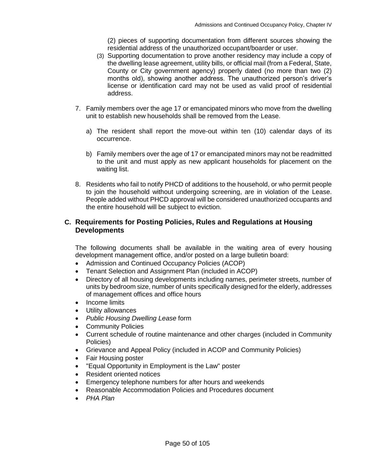(2) pieces of supporting documentation from different sources showing the residential address of the unauthorized occupant/boarder or user.

- (3) Supporting documentation to prove another residency may include a copy of the dwelling lease agreement, utility bills, or official mail (from a Federal, State, County or City government agency) properly dated (no more than two (2) months old), showing another address. The unauthorized person's driver's license or identification card may not be used as valid proof of residential address.
- 7. Family members over the age 17 or emancipated minors who move from the dwelling unit to establish new households shall be removed from the Lease.
	- a) The resident shall report the move-out within ten (10) calendar days of its occurrence.
	- b) Family members over the age of 17 or emancipated minors may not be readmitted to the unit and must apply as new applicant households for placement on the waiting list.
- 8. Residents who fail to notify PHCD of additions to the household, or who permit people to join the household without undergoing screening, are in violation of the Lease. People added without PHCD approval will be considered unauthorized occupants and the entire household will be subject to eviction.

# **C. Requirements for Posting Policies, Rules and Regulations at Housing Developments**

The following documents shall be available in the waiting area of every housing development management office, and/or posted on a large bulletin board:

- Admission and Continued Occupancy Policies (ACOP)
- Tenant Selection and Assignment Plan (included in ACOP)
- Directory of all housing developments including names, perimeter streets, number of units by bedroom size, number of units specifically designed for the elderly, addresses of management offices and office hours
- Income limits
- Utility allowances
- *Public Housing Dwelling Lease* form
- Community Policies
- Current schedule of routine maintenance and other charges (included in Community Policies)
- Grievance and Appeal Policy (included in ACOP and Community Policies)
- Fair Housing poster
- "Equal Opportunity in Employment is the Law" poster
- Resident oriented notices
- Emergency telephone numbers for after hours and weekends
- Reasonable Accommodation Policies and Procedures document
- *PHA Plan*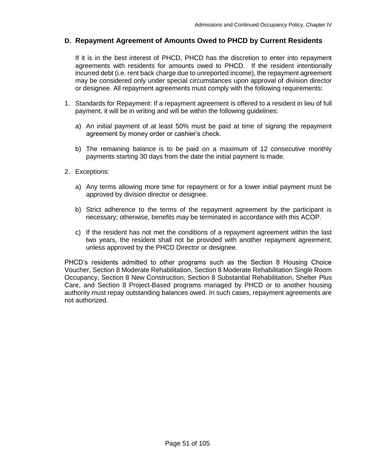### **D. Repayment Agreement of Amounts Owed to PHCD by Current Residents**

If it is in the best interest of PHCD, PHCD has the discretion to enter into repayment agreements with residents for amounts owed to PHCD. If the resident intentionally incurred debt (i.e. rent back charge due to unreported income), the repayment agreement may be considered only under special circumstances upon approval of division director or designee. All repayment agreements must comply with the following requirements:

- 1. Standards for Repayment: If a repayment agreement is offered to a resident in lieu of full payment, it will be in writing and will be within the following guidelines:
	- a) An initial payment of at least 50% must be paid at time of signing the repayment agreement by money order or cashier's check.
	- b) The remaining balance is to be paid on a maximum of 12 consecutive monthly payments starting 30 days from the date the initial payment is made.
- 2. Exceptions:
	- a) Any terms allowing more time for repayment or for a lower initial payment must be approved by division director or designee.
	- b) Strict adherence to the terms of the repayment agreement by the participant is necessary; otherwise, benefits may be terminated in accordance with this ACOP.
	- c) If the resident has not met the conditions of a repayment agreement within the last two years, the resident shall not be provided with another repayment agreement, unless approved by the PHCD Director or designee.

PHCD's residents admitted to other programs such as the Section 8 Housing Choice Voucher, Section 8 Moderate Rehabilitation, Section 8 Moderate Rehabilitation Single Room Occupancy, Section 8 New Construction, Section 8 Substantial Rehabilitation, Shelter Plus Care, and Section 8 Project-Based programs managed by PHCD or to another housing authority must repay outstanding balances owed. In such cases, repayment agreements are not authorized.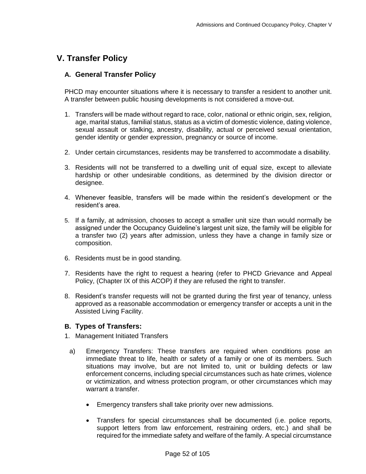# **V. Transfer Policy**

# **A. General Transfer Policy**

PHCD may encounter situations where it is necessary to transfer a resident to another unit. A transfer between public housing developments is not considered a move-out.

- 1. Transfers will be made without regard to race, color, national or ethnic origin, sex, religion, age, marital status, familial status, status as a victim of domestic violence, dating violence, sexual assault or stalking, ancestry, disability, actual or perceived sexual orientation, gender identity or gender expression, pregnancy or source of income.
- 2. Under certain circumstances, residents may be transferred to accommodate a disability.
- 3. Residents will not be transferred to a dwelling unit of equal size, except to alleviate hardship or other undesirable conditions, as determined by the division director or designee.
- 4. Whenever feasible, transfers will be made within the resident's development or the resident's area.
- 5. If a family, at admission, chooses to accept a smaller unit size than would normally be assigned under the Occupancy Guideline's largest unit size, the family will be eligible for a transfer two (2) years after admission, unless they have a change in family size or composition.
- 6. Residents must be in good standing.
- 7. Residents have the right to request a hearing (refer to PHCD Grievance and Appeal Policy, (Chapter IX of this ACOP) if they are refused the right to transfer.
- 8. Resident's transfer requests will not be granted during the first year of tenancy, unless approved as a reasonable accommodation or emergency transfer or accepts a unit in the Assisted Living Facility.

### **B. Types of Transfers:**

- 1. Management Initiated Transfers
	- a) Emergency Transfers: These transfers are required when conditions pose an immediate threat to life, health or safety of a family or one of its members. Such situations may involve, but are not limited to, unit or building defects or law enforcement concerns, including special circumstances such as hate crimes, violence or victimization, and witness protection program, or other circumstances which may warrant a transfer.
		- Emergency transfers shall take priority over new admissions.
		- Transfers for special circumstances shall be documented (i.e. police reports, support letters from law enforcement, restraining orders, etc.) and shall be required for the immediate safety and welfare of the family. A special circumstance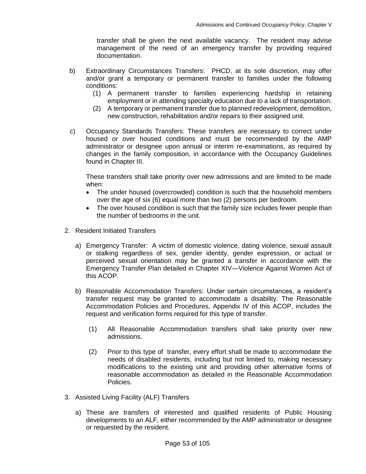transfer shall be given the next available vacancy. The resident may advise management of the need of an emergency transfer by providing required documentation.

- b) Extraordinary Circumstances Transfers: PHCD, at its sole discretion, may offer and/or grant a temporary or permanent transfer to families under the following conditions:
	- (1) A permanent transfer to families experiencing hardship in retaining employment or in attending specialty education due to a lack of transportation.
	- (2) A temporary or permanent transfer due to planned redevelopment, demolition, new construction, rehabilitation and/or repairs to their assigned unit.
- c) Occupancy Standards Transfers: These transfers are necessary to correct under housed or over housed conditions and must be recommended by the AMP administrator or designee upon annual or interim re-examinations, as required by changes in the family composition, in accordance with the Occupancy Guidelines found in Chapter III.

These transfers shall take priority over new admissions and are limited to be made when:

- The under housed (overcrowded) condition is such that the household members over the age of six (6) equal more than two (2) persons per bedroom.
- The over housed condition is such that the family size includes fewer people than the number of bedrooms in the unit.
- 2. Resident Initiated Transfers
	- a) Emergency Transfer: A victim of domestic violence, dating violence, sexual assault or stalking regardless of sex, gender identity, gender expression, or actual or perceived sexual orientation may be granted a transfer in accordance with the Emergency Transfer Plan detailed in Chapter XIV—Violence Against Women Act of this ACOP.
	- b) Reasonable Accommodation Transfers: Under certain circumstances, a resident's transfer request may be granted to accommodate a disability. The Reasonable Accommodation Policies and Procedures, Appendix IV of this ACOP, includes the request and verification forms required for this type of transfer.
		- (1) All Reasonable Accommodation transfers shall take priority over new admissions.
		- (2) Prior to this type of transfer, every effort shall be made to accommodate the needs of disabled residents, including but not limited to, making necessary modifications to the existing unit and providing other alternative forms of reasonable accommodation as detailed in the Reasonable Accommodation Policies.
- 3. Assisted Living Facility (ALF) Transfers
	- a) These are transfers of interested and qualified residents of Public Housing developments to an ALF, either recommended by the AMP administrator or designee or requested by the resident.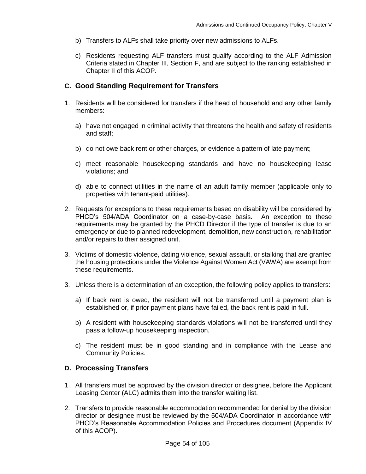- b) Transfers to ALFs shall take priority over new admissions to ALFs.
- c) Residents requesting ALF transfers must qualify according to the ALF Admission Criteria stated in Chapter III, Section F, and are subject to the ranking established in Chapter II of this ACOP.

### **C. Good Standing Requirement for Transfers**

- 1. Residents will be considered for transfers if the head of household and any other family members:
	- a) have not engaged in criminal activity that threatens the health and safety of residents and staff;
	- b) do not owe back rent or other charges, or evidence a pattern of late payment;
	- c) meet reasonable housekeeping standards and have no housekeeping lease violations; and
	- d) able to connect utilities in the name of an adult family member (applicable only to properties with tenant-paid utilities).
- 2. Requests for exceptions to these requirements based on disability will be considered by PHCD's 504/ADA Coordinator on a case-by-case basis. An exception to these requirements may be granted by the PHCD Director if the type of transfer is due to an emergency or due to planned redevelopment, demolition, new construction, rehabilitation and/or repairs to their assigned unit.
- 3. Victims of domestic violence, dating violence, sexual assault, or stalking that are granted the housing protections under the Violence Against Women Act (VAWA) are exempt from these requirements.
- 3. Unless there is a determination of an exception, the following policy applies to transfers:
	- a) If back rent is owed, the resident will not be transferred until a payment plan is established or, if prior payment plans have failed, the back rent is paid in full.
	- b) A resident with housekeeping standards violations will not be transferred until they pass a follow-up housekeeping inspection.
	- c) The resident must be in good standing and in compliance with the Lease and Community Policies.

#### **D. Processing Transfers**

- 1. All transfers must be approved by the division director or designee, before the Applicant Leasing Center (ALC) admits them into the transfer waiting list.
- 2. Transfers to provide reasonable accommodation recommended for denial by the division director or designee must be reviewed by the 504/ADA Coordinator in accordance with PHCD's Reasonable Accommodation Policies and Procedures document (Appendix IV of this ACOP).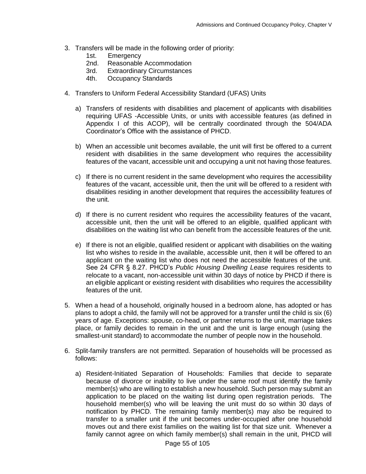- 3. Transfers will be made in the following order of priority:
	- 1st. Emergency
	- 2nd. Reasonable Accommodation
	- 3rd. Extraordinary Circumstances
	- 4th. Occupancy Standards
- 4. Transfers to Uniform Federal Accessibility Standard (UFAS) Units
	- a) Transfers of residents with disabilities and placement of applicants with disabilities requiring UFAS -Accessible Units, or units with accessible features (as defined in Appendix I of this ACOP), will be centrally coordinated through the 504/ADA Coordinator's Office with the assistance of PHCD.
	- b) When an accessible unit becomes available, the unit will first be offered to a current resident with disabilities in the same development who requires the accessibility features of the vacant, accessible unit and occupying a unit not having those features.
	- c) If there is no current resident in the same development who requires the accessibility features of the vacant, accessible unit, then the unit will be offered to a resident with disabilities residing in another development that requires the accessibility features of the unit.
	- d) If there is no current resident who requires the accessibility features of the vacant, accessible unit, then the unit will be offered to an eligible, qualified applicant with disabilities on the waiting list who can benefit from the accessible features of the unit.
	- e) If there is not an eligible, qualified resident or applicant with disabilities on the waiting list who wishes to reside in the available, accessible unit, then it will be offered to an applicant on the waiting list who does not need the accessible features of the unit. See 24 CFR § 8.27. PHCD's *Public Housing Dwelling Lease* requires residents to relocate to a vacant, non-accessible unit within 30 days of notice by PHCD if there is an eligible applicant or existing resident with disabilities who requires the accessibility features of the unit.
- 5. When a head of a household, originally housed in a bedroom alone, has adopted or has plans to adopt a child, the family will not be approved for a transfer until the child is six (6) years of age. Exceptions: spouse, co-head, or partner returns to the unit, marriage takes place, or family decides to remain in the unit and the unit is large enough (using the smallest-unit standard) to accommodate the number of people now in the household.
- 6. Split-family transfers are not permitted. Separation of households will be processed as follows:
	- a) Resident-Initiated Separation of Households: Families that decide to separate because of divorce or inability to live under the same roof must identify the family member(s) who are willing to establish a new household. Such person may submit an application to be placed on the waiting list during open registration periods. The household member(s) who will be leaving the unit must do so within 30 days of notification by PHCD. The remaining family member(s) may also be required to transfer to a smaller unit if the unit becomes under-occupied after one household moves out and there exist families on the waiting list for that size unit. Whenever a family cannot agree on which family member(s) shall remain in the unit, PHCD will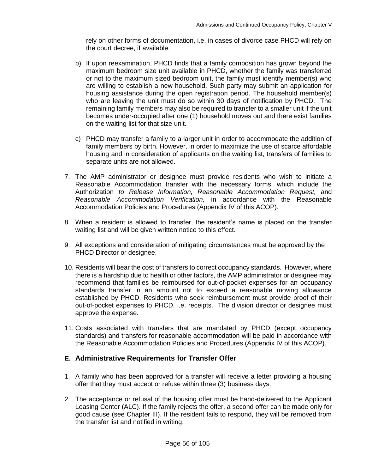rely on other forms of documentation, i.e. in cases of divorce case PHCD will rely on the court decree, if available.

- b) If upon reexamination, PHCD finds that a family composition has grown beyond the maximum bedroom size unit available in PHCD, whether the family was transferred or not to the maximum sized bedroom unit, the family must identify member(s) who are willing to establish a new household. Such party may submit an application for housing assistance during the open registration period. The household member(s) who are leaving the unit must do so within 30 days of notification by PHCD. The remaining family members may also be required to transfer to a smaller unit if the unit becomes under-occupied after one (1) household moves out and there exist families on the waiting list for that size unit.
- c) PHCD may transfer a family to a larger unit in order to accommodate the addition of family members by birth. However, in order to maximize the use of scarce affordable housing and in consideration of applicants on the waiting list, transfers of families to separate units are not allowed.
- 7. The AMP administrator or designee must provide residents who wish to initiate a Reasonable Accommodation transfer with the necessary forms, which include the Authorization *to Release Information, Reasonable Accommodation Request,* and *Reasonable Accommodation Verification,* in accordance with the Reasonable Accommodation Policies and Procedures (Appendix IV of this ACOP).
- 8. When a resident is allowed to transfer, the resident's name is placed on the transfer waiting list and will be given written notice to this effect.
- 9. All exceptions and consideration of mitigating circumstances must be approved by the PHCD Director or designee.
- 10. Residents will bear the cost of transfers to correct occupancy standards. However, where there is a hardship due to health or other factors, the AMP administrator or designee may recommend that families be reimbursed for out-of-pocket expenses for an occupancy standards transfer in an amount not to exceed a reasonable moving allowance established by PHCD. Residents who seek reimbursement must provide proof of their out-of-pocket expenses to PHCD, i.e. receipts. The division director or designee must approve the expense.
- 11. Costs associated with transfers that are mandated by PHCD (except occupancy standards) and transfers for reasonable accommodation will be paid in accordance with the Reasonable Accommodation Policies and Procedures (Appendix IV of this ACOP).

### **E. Administrative Requirements for Transfer Offer**

- 1. A family who has been approved for a transfer will receive a letter providing a housing offer that they must accept or refuse within three (3) business days.
- 2. The acceptance or refusal of the housing offer must be hand-delivered to the Applicant Leasing Center (ALC). If the family rejects the offer, a second offer can be made only for good cause (see Chapter III). If the resident fails to respond, they will be removed from the transfer list and notified in writing.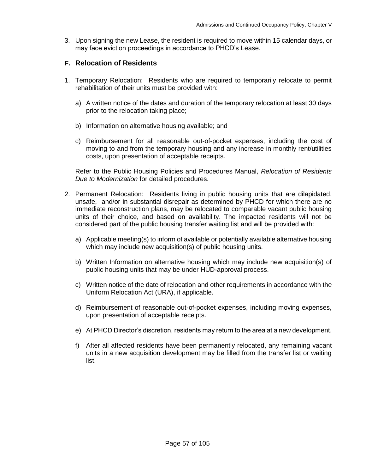3. Upon signing the new Lease, the resident is required to move within 15 calendar days, or may face eviction proceedings in accordance to PHCD's Lease.

#### **F. Relocation of Residents**

- 1. Temporary Relocation: Residents who are required to temporarily relocate to permit rehabilitation of their units must be provided with:
	- a) A written notice of the dates and duration of the temporary relocation at least 30 days prior to the relocation taking place;
	- b) Information on alternative housing available; and
	- c) Reimbursement for all reasonable out-of-pocket expenses, including the cost of moving to and from the temporary housing and any increase in monthly rent/utilities costs, upon presentation of acceptable receipts.

Refer to the Public Housing Policies and Procedures Manual, *Relocation of Residents Due to Modernization* for detailed procedures.

- 2. Permanent Relocation: Residents living in public housing units that are dilapidated, unsafe, and/or in substantial disrepair as determined by PHCD for which there are no immediate reconstruction plans, may be relocated to comparable vacant public housing units of their choice, and based on availability. The impacted residents will not be considered part of the public housing transfer waiting list and will be provided with:
	- a) Applicable meeting(s) to inform of available or potentially available alternative housing which may include new acquisition(s) of public housing units.
	- b) Written Information on alternative housing which may include new acquisition(s) of public housing units that may be under HUD-approval process.
	- c) Written notice of the date of relocation and other requirements in accordance with the Uniform Relocation Act (URA), if applicable.
	- d) Reimbursement of reasonable out-of-pocket expenses, including moving expenses, upon presentation of acceptable receipts.
	- e) At PHCD Director's discretion, residents may return to the area at a new development.
	- f) After all affected residents have been permanently relocated, any remaining vacant units in a new acquisition development may be filled from the transfer list or waiting list.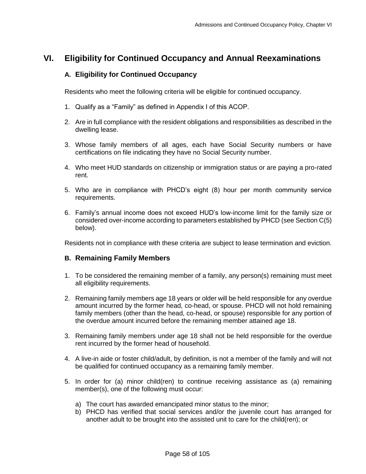# **VI. Eligibility for Continued Occupancy and Annual Reexaminations**

#### **A. Eligibility for Continued Occupancy**

Residents who meet the following criteria will be eligible for continued occupancy.

- 1. Qualify as a "Family" as defined in Appendix I of this ACOP.
- 2. Are in full compliance with the resident obligations and responsibilities as described in the dwelling lease.
- 3. Whose family members of all ages, each have Social Security numbers or have certifications on file indicating they have no Social Security number.
- 4. Who meet HUD standards on citizenship or immigration status or are paying a pro-rated rent.
- 5. Who are in compliance with PHCD's eight (8) hour per month community service requirements.
- 6. Family's annual income does not exceed HUD's low-income limit for the family size or considered over-income according to parameters established by PHCD (see Section C(5) below).

Residents not in compliance with these criteria are subject to lease termination and eviction.

#### **B. Remaining Family Members**

- 1. To be considered the remaining member of a family, any person(s) remaining must meet all eligibility requirements.
- 2. Remaining family members age 18 years or older will be held responsible for any overdue amount incurred by the former head, co-head, or spouse. PHCD will not hold remaining family members (other than the head, co-head, or spouse) responsible for any portion of the overdue amount incurred before the remaining member attained age 18.
- 3. Remaining family members under age 18 shall not be held responsible for the overdue rent incurred by the former head of household.
- 4. A live-in aide or foster child/adult, by definition, is not a member of the family and will not be qualified for continued occupancy as a remaining family member.
- 5. In order for (a) minor child(ren) to continue receiving assistance as (a) remaining member(s), one of the following must occur:
	- a) The court has awarded emancipated minor status to the minor;
	- b) PHCD has verified that social services and/or the juvenile court has arranged for another adult to be brought into the assisted unit to care for the child(ren); or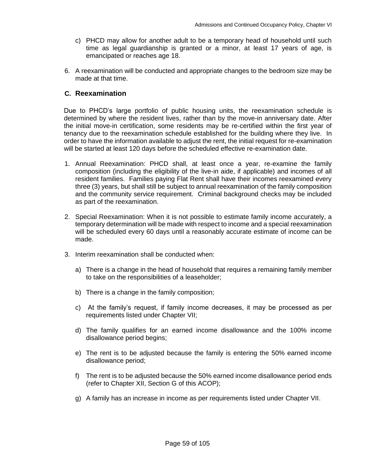- c) PHCD may allow for another adult to be a temporary head of household until such time as legal guardianship is granted or a minor, at least 17 years of age, is emancipated or reaches age 18.
- 6. A reexamination will be conducted and appropriate changes to the bedroom size may be made at that time.

#### **C. Reexamination**

Due to PHCD's large portfolio of public housing units, the reexamination schedule is determined by where the resident lives, rather than by the move-in anniversary date. After the initial move-in certification, some residents may be re-certified within the first year of tenancy due to the reexamination schedule established for the building where they live. In order to have the information available to adjust the rent, the initial request for re-examination will be started at least 120 days before the scheduled effective re-examination date.

- 1. Annual Reexamination: PHCD shall, at least once a year, re-examine the family composition (including the eligibility of the live-in aide, if applicable) and incomes of all resident families. Families paying Flat Rent shall have their incomes reexamined every three (3) years, but shall still be subject to annual reexamination of the family composition and the community service requirement. Criminal background checks may be included as part of the reexamination.
- 2. Special Reexamination: When it is not possible to estimate family income accurately, a temporary determination will be made with respect to income and a special reexamination will be scheduled every 60 days until a reasonably accurate estimate of income can be made.
- 3. Interim reexamination shall be conducted when:
	- a) There is a change in the head of household that requires a remaining family member to take on the responsibilities of a leaseholder;
	- b) There is a change in the family composition;
	- c) At the family's request, if family income decreases, it may be processed as per requirements listed under Chapter VII;
	- d) The family qualifies for an earned income disallowance and the 100% income disallowance period begins;
	- e) The rent is to be adjusted because the family is entering the 50% earned income disallowance period;
	- f) The rent is to be adjusted because the 50% earned income disallowance period ends (refer to Chapter XII, Section G of this ACOP);
	- g) A family has an increase in income as per requirements listed under Chapter VII.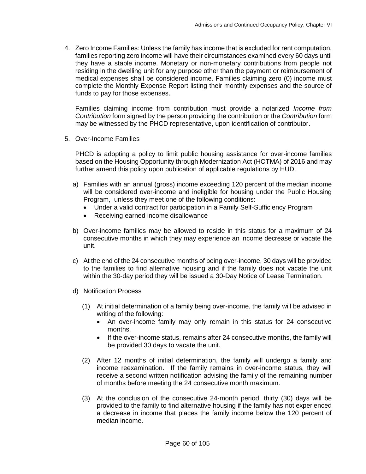4. Zero Income Families: Unless the family has income that is excluded for rent computation, families reporting zero income will have their circumstances examined every 60 days until they have a stable income. Monetary or non-monetary contributions from people not residing in the dwelling unit for any purpose other than the payment or reimbursement of medical expenses shall be considered income. Families claiming zero (0) income must complete the Monthly Expense Report listing their monthly expenses and the source of funds to pay for those expenses.

Families claiming income from contribution must provide a notarized *Income from Contribution* form signed by the person providing the contribution or the *Contribution* form may be witnessed by the PHCD representative, upon identification of contributor.

5. Over-Income Families

PHCD is adopting a policy to limit public housing assistance for over-income families based on the Housing Opportunity through Modernization Act (HOTMA) of 2016 and may further amend this policy upon publication of applicable regulations by HUD.

- a) Families with an annual (gross) income exceeding 120 percent of the median income will be considered over-income and ineligible for housing under the Public Housing Program, unless they meet one of the following conditions:
	- Under a valid contract for participation in a Family Self-Sufficiency Program
	- Receiving earned income disallowance
- b) Over-income families may be allowed to reside in this status for a maximum of 24 consecutive months in which they may experience an income decrease or vacate the unit.
- c) At the end of the 24 consecutive months of being over-income, 30 days will be provided to the families to find alternative housing and if the family does not vacate the unit within the 30-day period they will be issued a 30-Day Notice of Lease Termination.
- d) Notification Process
	- (1) At initial determination of a family being over-income, the family will be advised in writing of the following:
		- An over-income family may only remain in this status for 24 consecutive months.
		- If the over-income status, remains after 24 consecutive months, the family will be provided 30 days to vacate the unit.
	- (2) After 12 months of initial determination, the family will undergo a family and income reexamination. If the family remains in over-income status, they will receive a second written notification advising the family of the remaining number of months before meeting the 24 consecutive month maximum.
	- (3) At the conclusion of the consecutive 24-month period, thirty (30) days will be provided to the family to find alternative housing if the family has not experienced a decrease in income that places the family income below the 120 percent of median income.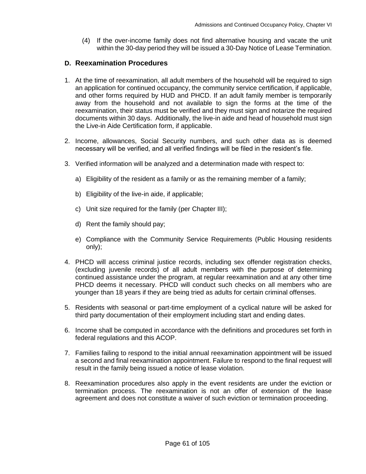(4) If the over-income family does not find alternative housing and vacate the unit within the 30-day period they will be issued a 30-Day Notice of Lease Termination.

#### **D. Reexamination Procedures**

- 1. At the time of reexamination, all adult members of the household will be required to sign an application for continued occupancy, the community service certification, if applicable, and other forms required by HUD and PHCD. If an adult family member is temporarily away from the household and not available to sign the forms at the time of the reexamination, their status must be verified and they must sign and notarize the required documents within 30 days. Additionally, the live-in aide and head of household must sign the Live-in Aide Certification form, if applicable.
- 2. Income, allowances, Social Security numbers, and such other data as is deemed necessary will be verified, and all verified findings will be filed in the resident's file.
- 3. Verified information will be analyzed and a determination made with respect to:
	- a) Eligibility of the resident as a family or as the remaining member of a family;
	- b) Eligibility of the live-in aide, if applicable;
	- c) Unit size required for the family (per Chapter III);
	- d) Rent the family should pay;
	- e) Compliance with the Community Service Requirements (Public Housing residents only);
- 4. PHCD will access criminal justice records, including sex offender registration checks, (excluding juvenile records) of all adult members with the purpose of determining continued assistance under the program, at regular reexamination and at any other time PHCD deems it necessary. PHCD will conduct such checks on all members who are younger than 18 years if they are being tried as adults for certain criminal offenses.
- 5. Residents with seasonal or part-time employment of a cyclical nature will be asked for third party documentation of their employment including start and ending dates.
- 6. Income shall be computed in accordance with the definitions and procedures set forth in federal regulations and this ACOP.
- 7. Families failing to respond to the initial annual reexamination appointment will be issued a second and final reexamination appointment. Failure to respond to the final request will result in the family being issued a notice of lease violation.
- 8. Reexamination procedures also apply in the event residents are under the eviction or termination process. The reexamination is not an offer of extension of the lease agreement and does not constitute a waiver of such eviction or termination proceeding.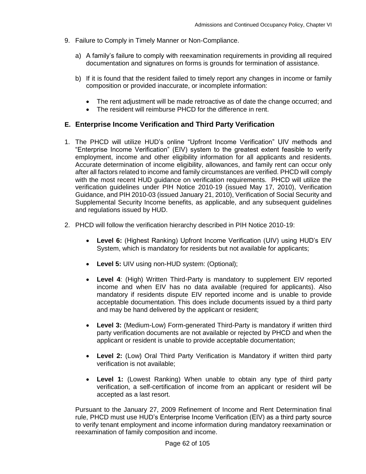- 9. Failure to Comply in Timely Manner or Non-Compliance.
	- a) A family's failure to comply with reexamination requirements in providing all required documentation and signatures on forms is grounds for termination of assistance.
	- b) If it is found that the resident failed to timely report any changes in income or family composition or provided inaccurate, or incomplete information:
		- The rent adjustment will be made retroactive as of date the change occurred; and
		- The resident will reimburse PHCD for the difference in rent.

# **E. Enterprise Income Verification and Third Party Verification**

- 1. The PHCD will utilize HUD's online "Upfront Income Verification" UIV methods and "Enterprise Income Verification" (EIV) system to the greatest extent feasible to verify employment, income and other eligibility information for all applicants and residents. Accurate determination of income eligibility, allowances, and family rent can occur only after all factors related to income and family circumstances are verified. PHCD will comply with the most recent HUD guidance on verification requirements. PHCD will utilize the verification guidelines under PIH Notice 2010-19 (issued May 17, 2010), Verification Guidance, and PIH 2010-03 (issued January 21, 2010), Verification of Social Security and Supplemental Security Income benefits, as applicable, and any subsequent guidelines and regulations issued by HUD.
- 2. PHCD will follow the verification hierarchy described in PIH Notice 2010-19:
	- **Level 6:** (Highest Ranking) Upfront Income Verification (UIV) using HUD's EIV System, which is mandatory for residents but not available for applicants;
	- **Level 5:** UIV using non-HUD system: (Optional);
	- **Level 4**: (High) Written Third-Party is mandatory to supplement EIV reported income and when EIV has no data available (required for applicants). Also mandatory if residents dispute EIV reported income and is unable to provide acceptable documentation. This does include documents issued by a third party and may be hand delivered by the applicant or resident;
	- **Level 3:** (Medium-Low) Form-generated Third-Party is mandatory if written third party verification documents are not available or rejected by PHCD and when the applicant or resident is unable to provide acceptable documentation;
	- **Level 2:** (Low) Oral Third Party Verification is Mandatory if written third party verification is not available;
	- **Level 1:** (Lowest Ranking) When unable to obtain any type of third party verification, a self-certification of income from an applicant or resident will be accepted as a last resort.

Pursuant to the January 27, 2009 Refinement of Income and Rent Determination final rule, PHCD must use HUD's Enterprise Income Verification (EIV) as a third party source to verify tenant employment and income information during mandatory reexamination or reexamination of family composition and income.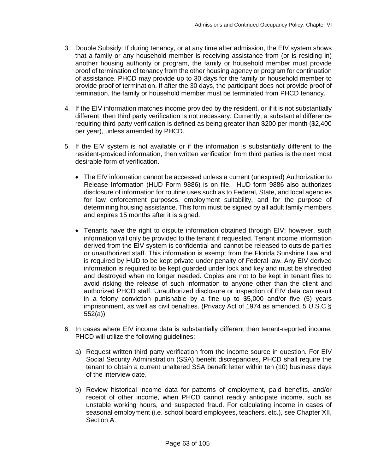- 3. Double Subsidy: If during tenancy, or at any time after admission, the EIV system shows that a family or any household member is receiving assistance from (or is residing in) another housing authority or program, the family or household member must provide proof of termination of tenancy from the other housing agency or program for continuation of assistance. PHCD may provide up to 30 days for the family or household member to provide proof of termination. If after the 30 days, the participant does not provide proof of termination, the family or household member must be terminated from PHCD tenancy.
- 4. If the EIV information matches income provided by the resident, or if it is not substantially different, then third party verification is not necessary. Currently, a substantial difference requiring third party verification is defined as being greater than \$200 per month (\$2,400 per year), unless amended by PHCD.
- 5. If the EIV system is not available or if the information is substantially different to the resident-provided information, then written verification from third parties is the next most desirable form of verification.
	- The EIV information cannot be accessed unless a current (unexpired) Authorization to Release Information (HUD Form 9886) is on file. HUD form 9886 also authorizes disclosure of information for routine uses such as to Federal, State, and local agencies for law enforcement purposes, employment suitability, and for the purpose of determining housing assistance. This form must be signed by all adult family members and expires 15 months after it is signed.
	- Tenants have the right to dispute information obtained through EIV; however, such information will only be provided to the tenant if requested. Tenant income information derived from the EIV system is confidential and cannot be released to outside parties or unauthorized staff. This information is exempt from the Florida Sunshine Law and is required by HUD to be kept private under penalty of Federal law. Any EIV derived information is required to be kept guarded under lock and key and must be shredded and destroyed when no longer needed. Copies are not to be kept in tenant files to avoid risking the release of such information to anyone other than the client and authorized PHCD staff. Unauthorized disclosure or inspection of EIV data can result in a felony conviction punishable by a fine up to \$5,000 and/or five (5) years imprisonment, as well as civil penalties. (Privacy Act of 1974 as amended, 5 U.S.C § 552(a)).
- 6. In cases where EIV income data is substantially different than tenant-reported income, PHCD will utilize the following guidelines:
	- a) Request written third party verification from the income source in question. For EIV Social Security Administration (SSA) benefit discrepancies, PHCD shall require the tenant to obtain a current unaltered SSA benefit letter within ten (10) business days of the interview date.
	- b) Review historical income data for patterns of employment, paid benefits, and/or receipt of other income, when PHCD cannot readily anticipate income, such as unstable working hours, and suspected fraud. For calculating income in cases of seasonal employment (i.e. school board employees, teachers, etc.), see Chapter XII, Section A.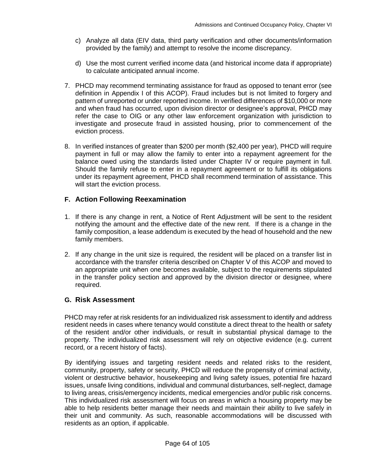- c) Analyze all data (EIV data, third party verification and other documents/information provided by the family) and attempt to resolve the income discrepancy.
- d) Use the most current verified income data (and historical income data if appropriate) to calculate anticipated annual income.
- 7. PHCD may recommend terminating assistance for fraud as opposed to tenant error (see definition in Appendix I of this ACOP). Fraud includes but is not limited to forgery and pattern of unreported or under reported income. In verified differences of \$10,000 or more and when fraud has occurred, upon division director or designee's approval, PHCD may refer the case to OIG or any other law enforcement organization with jurisdiction to investigate and prosecute fraud in assisted housing, prior to commencement of the eviction process.
- 8. In verified instances of greater than \$200 per month (\$2,400 per year), PHCD will require payment in full or may allow the family to enter into a repayment agreement for the balance owed using the standards listed under Chapter IV or require payment in full. Should the family refuse to enter in a repayment agreement or to fulfill its obligations under its repayment agreement, PHCD shall recommend termination of assistance. This will start the eviction process.

# **F. Action Following Reexamination**

- 1. If there is any change in rent, a Notice of Rent Adjustment will be sent to the resident notifying the amount and the effective date of the new rent. If there is a change in the family composition, a lease addendum is executed by the head of household and the new family members.
- 2. If any change in the unit size is required, the resident will be placed on a transfer list in accordance with the transfer criteria described on Chapter V of this ACOP and moved to an appropriate unit when one becomes available, subject to the requirements stipulated in the transfer policy section and approved by the division director or designee, where required.

# **G. Risk Assessment**

PHCD may refer at risk residents for an individualized risk assessment to identify and address resident needs in cases where tenancy would constitute a direct threat to the health or safety of the resident and/or other individuals, or result in substantial physical damage to the property. The individualized risk assessment will rely on objective evidence (e.g. current record, or a recent history of facts).

By identifying issues and targeting resident needs and related risks to the resident, community, property, safety or security, PHCD will reduce the propensity of criminal activity, violent or destructive behavior, housekeeping and living safety issues, potential fire hazard issues, unsafe living conditions, individual and communal disturbances, self-neglect, damage to living areas, crisis/emergency incidents, medical emergencies and/or public risk concerns. This individualized risk assessment will focus on areas in which a housing property may be able to help residents better manage their needs and maintain their ability to live safely in their unit and community. As such, reasonable accommodations will be discussed with residents as an option, if applicable.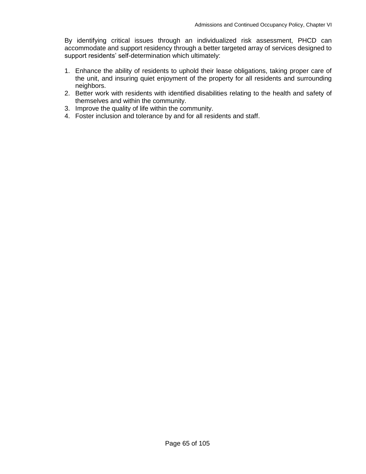By identifying critical issues through an individualized risk assessment, PHCD can accommodate and support residency through a better targeted array of services designed to support residents' self-determination which ultimately:

- 1. Enhance the ability of residents to uphold their lease obligations, taking proper care of the unit, and insuring quiet enjoyment of the property for all residents and surrounding neighbors.
- 2. Better work with residents with identified disabilities relating to the health and safety of themselves and within the community.
- 3. Improve the quality of life within the community.
- 4. Foster inclusion and tolerance by and for all residents and staff.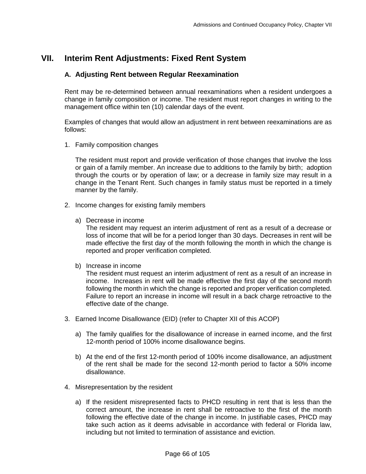# **VII. Interim Rent Adjustments: Fixed Rent System**

## **A. Adjusting Rent between Regular Reexamination**

Rent may be re-determined between annual reexaminations when a resident undergoes a change in family composition or income. The resident must report changes in writing to the management office within ten (10) calendar days of the event.

Examples of changes that would allow an adjustment in rent between reexaminations are as follows:

1. Family composition changes

The resident must report and provide verification of those changes that involve the loss or gain of a family member. An increase due to additions to the family by birth; adoption through the courts or by operation of law; or a decrease in family size may result in a change in the Tenant Rent. Such changes in family status must be reported in a timely manner by the family.

- 2. Income changes for existing family members
	- a) Decrease in income

The resident may request an interim adjustment of rent as a result of a decrease or loss of income that will be for a period longer than 30 days. Decreases in rent will be made effective the first day of the month following the month in which the change is reported and proper verification completed.

b) Increase in income

The resident must request an interim adjustment of rent as a result of an increase in income. Increases in rent will be made effective the first day of the second month following the month in which the change is reported and proper verification completed. Failure to report an increase in income will result in a back charge retroactive to the effective date of the change.

- 3. Earned Income Disallowance (EID) (refer to Chapter XII of this ACOP)
	- a) The family qualifies for the disallowance of increase in earned income, and the first 12-month period of 100% income disallowance begins.
	- b) At the end of the first 12-month period of 100% income disallowance, an adjustment of the rent shall be made for the second 12-month period to factor a 50% income disallowance.
- 4. Misrepresentation by the resident
	- a) If the resident misrepresented facts to PHCD resulting in rent that is less than the correct amount, the increase in rent shall be retroactive to the first of the month following the effective date of the change in income. In justifiable cases, PHCD may take such action as it deems advisable in accordance with federal or Florida law, including but not limited to termination of assistance and eviction.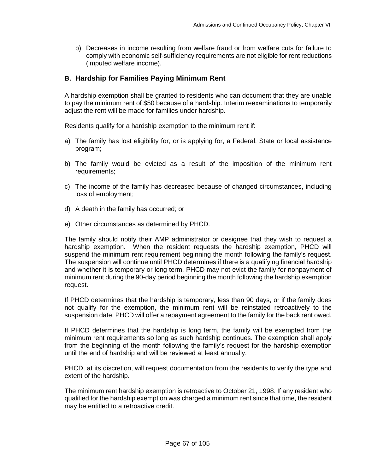b) Decreases in income resulting from welfare fraud or from welfare cuts for failure to comply with economic self-sufficiency requirements are not eligible for rent reductions (imputed welfare income).

# **B. Hardship for Families Paying Minimum Rent**

A hardship exemption shall be granted to residents who can document that they are unable to pay the minimum rent of \$50 because of a hardship. Interim reexaminations to temporarily adjust the rent will be made for families under hardship.

Residents qualify for a hardship exemption to the minimum rent if:

- a) The family has lost eligibility for, or is applying for, a Federal, State or local assistance program;
- b) The family would be evicted as a result of the imposition of the minimum rent requirements;
- c) The income of the family has decreased because of changed circumstances, including loss of employment;
- d) A death in the family has occurred; or
- e) Other circumstances as determined by PHCD.

The family should notify their AMP administrator or designee that they wish to request a hardship exemption. When the resident requests the hardship exemption, PHCD will suspend the minimum rent requirement beginning the month following the family's request. The suspension will continue until PHCD determines if there is a qualifying financial hardship and whether it is temporary or long term. PHCD may not evict the family for nonpayment of minimum rent during the 90-day period beginning the month following the hardship exemption request.

If PHCD determines that the hardship is temporary, less than 90 days, or if the family does not qualify for the exemption, the minimum rent will be reinstated retroactively to the suspension date. PHCD will offer a repayment agreement to the family for the back rent owed.

If PHCD determines that the hardship is long term, the family will be exempted from the minimum rent requirements so long as such hardship continues. The exemption shall apply from the beginning of the month following the family's request for the hardship exemption until the end of hardship and will be reviewed at least annually.

PHCD, at its discretion, will request documentation from the residents to verify the type and extent of the hardship.

The minimum rent hardship exemption is retroactive to October 21, 1998. If any resident who qualified for the hardship exemption was charged a minimum rent since that time, the resident may be entitled to a retroactive credit.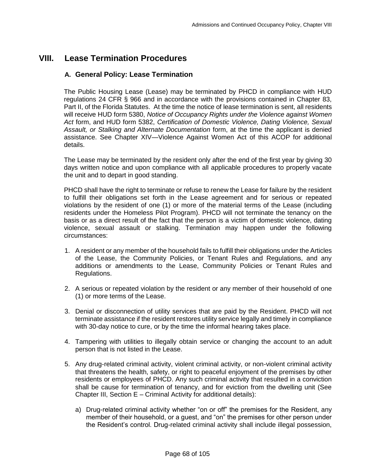# **VIII. Lease Termination Procedures**

### **A. General Policy: Lease Termination**

The Public Housing Lease (Lease) may be terminated by PHCD in compliance with HUD regulations 24 CFR § 966 and in accordance with the provisions contained in Chapter 83, Part II, of the Florida Statutes. At the time the notice of lease termination is sent, all residents will receive HUD form 5380, *Notice of Occupancy Rights under the Violence against Women Act* form, and HUD form 5382, *Certification of Domestic Violence, Dating Violence, Sexual Assault, or Stalking and Alternate Documentation* form, at the time the applicant is denied assistance. See Chapter XIV—Violence Against Women Act of this ACOP for additional details.

The Lease may be terminated by the resident only after the end of the first year by giving 30 days written notice and upon compliance with all applicable procedures to properly vacate the unit and to depart in good standing.

PHCD shall have the right to terminate or refuse to renew the Lease for failure by the resident to fulfill their obligations set forth in the Lease agreement and for serious or repeated violations by the resident of one (1) or more of the material terms of the Lease (including residents under the Homeless Pilot Program). PHCD will not terminate the tenancy on the basis or as a direct result of the fact that the person is a victim of domestic violence, dating violence, sexual assault or stalking. Termination may happen under the following circumstances:

- 1. A resident or any member of the household fails to fulfill their obligations under the Articles of the Lease, the Community Policies, or Tenant Rules and Regulations, and any additions or amendments to the Lease, Community Policies or Tenant Rules and Regulations.
- 2. A serious or repeated violation by the resident or any member of their household of one (1) or more terms of the Lease.
- 3. Denial or disconnection of utility services that are paid by the Resident. PHCD will not terminate assistance if the resident restores utility service legally and timely in compliance with 30-day notice to cure, or by the time the informal hearing takes place.
- 4. Tampering with utilities to illegally obtain service or changing the account to an adult person that is not listed in the Lease.
- 5. Any drug-related criminal activity, violent criminal activity, or non-violent criminal activity that threatens the health, safety, or right to peaceful enjoyment of the premises by other residents or employees of PHCD. Any such criminal activity that resulted in a conviction shall be cause for termination of tenancy, and for eviction from the dwelling unit (See Chapter III, Section E – Criminal Activity for additional details):
	- a) Drug-related criminal activity whether "on or off" the premises for the Resident, any member of their household, or a guest, and "on" the premises for other person under the Resident's control. Drug-related criminal activity shall include illegal possession,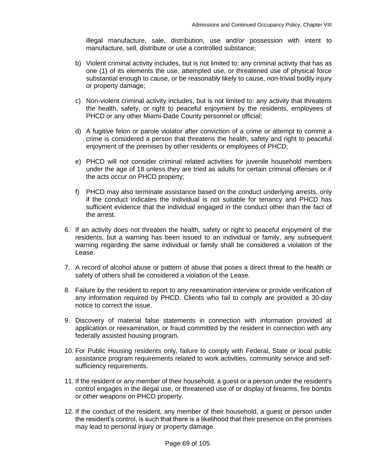illegal manufacture, sale, distribution, use and/or possession with intent to manufacture, sell, distribute or use a controlled substance;

- b) Violent criminal activity includes, but is not limited to: any criminal activity that has as one (1) of its elements the use, attempted use, or threatened use of physical force substantial enough to cause, or be reasonably likely to cause, non-trivial bodily injury or property damage;
- c) Non-violent criminal activity includes, but is not limited to: any activity that threatens the health, safety, or right to peaceful enjoyment by the residents, employees of PHCD or any other Miami-Dade County personnel or official;
- d) A fugitive felon or parole violator after conviction of a crime or attempt to commit a crime is considered a person that threatens the health, safety and right to peaceful enjoyment of the premises by other residents or employees of PHCD;
- e) PHCD will not consider criminal related activities for juvenile household members under the age of 18 unless they are tried as adults for certain criminal offenses or if the acts occur on PHCD property;
- f) PHCD may also terminate assistance based on the conduct underlying arrests, only if the conduct indicates the individual is not suitable for tenancy and PHCD has sufficient evidence that the individual engaged in the conduct other than the fact of the arrest.
- 6. If an activity does not threaten the health, safety or right to peaceful enjoyment of the residents, but a warning has been issued to an individual or family, any subsequent warning regarding the same individual or family shall be considered a violation of the Lease.
- 7. A record of alcohol abuse or pattern of abuse that poses a direct threat to the health or safety of others shall be considered a violation of the Lease.
- 8. Failure by the resident to report to any reexamination interview or provide verification of any information required by PHCD. Clients who fail to comply are provided a 30-day notice to correct the issue.
- 9. Discovery of material false statements in connection with information provided at application or reexamination, or fraud committed by the resident in connection with any federally assisted housing program.
- 10. For Public Housing residents only, failure to comply with Federal, State or local public assistance program requirements related to work activities, community service and selfsufficiency requirements.
- 11. If the resident or any member of their household, a guest or a person under the resident's control engages in the illegal use, or threatened use of or display of firearms, fire bombs or other weapons on PHCD property.
- 12. If the conduct of the resident, any member of their household, a guest or person under the resident's control, is such that there is a likelihood that their presence on the premises may lead to personal injury or property damage.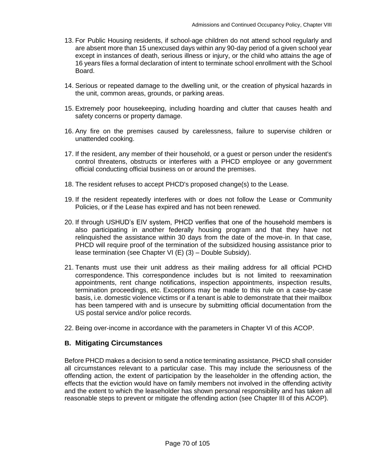- 13. For Public Housing residents, if school-age children do not attend school regularly and are absent more than 15 unexcused days within any 90-day period of a given school year except in instances of death, serious illness or injury, or the child who attains the age of 16 years files a formal declaration of intent to terminate school enrollment with the School Board.
- 14. Serious or repeated damage to the dwelling unit, or the creation of physical hazards in the unit, common areas, grounds, or parking areas.
- 15. Extremely poor housekeeping, including hoarding and clutter that causes health and safety concerns or property damage.
- 16. Any fire on the premises caused by carelessness, failure to supervise children or unattended cooking.
- 17. If the resident, any member of their household, or a guest or person under the resident's control threatens, obstructs or interferes with a PHCD employee or any government official conducting official business on or around the premises.
- 18. The resident refuses to accept PHCD's proposed change(s) to the Lease.
- 19. If the resident repeatedly interferes with or does not follow the Lease or Community Policies, or if the Lease has expired and has not been renewed.
- 20. If through USHUD's EIV system, PHCD verifies that one of the household members is also participating in another federally housing program and that they have not relinquished the assistance within 30 days from the date of the move-in. In that case, PHCD will require proof of the termination of the subsidized housing assistance prior to lease termination (see Chapter VI (E) (3) – Double Subsidy).
- 21. Tenants must use their unit address as their mailing address for all official PCHD correspondence. This correspondence includes but is not limited to reexamination appointments, rent change notifications, inspection appointments, inspection results, termination proceedings, etc. Exceptions may be made to this rule on a case-by-case basis, i.e. domestic violence victims or if a tenant is able to demonstrate that their mailbox has been tampered with and is unsecure by submitting official documentation from the US postal service and/or police records.
- 22. Being over-income in accordance with the parameters in Chapter VI of this ACOP.

### **B. Mitigating Circumstances**

Before PHCD makes a decision to send a notice terminating assistance, PHCD shall consider all circumstances relevant to a particular case. This may include the seriousness of the offending action, the extent of participation by the leaseholder in the offending action, the effects that the eviction would have on family members not involved in the offending activity and the extent to which the leaseholder has shown personal responsibility and has taken all reasonable steps to prevent or mitigate the offending action (see Chapter III of this ACOP).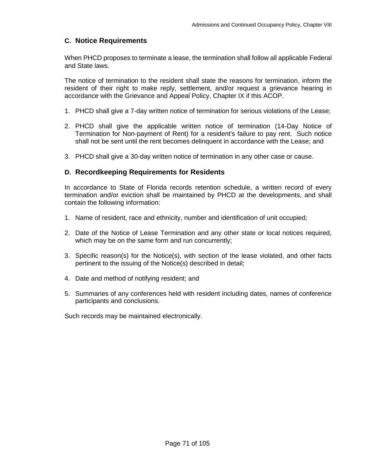# **C. Notice Requirements**

When PHCD proposes to terminate a lease, the termination shall follow all applicable Federal and State laws.

The notice of termination to the resident shall state the reasons for termination, inform the resident of their right to make reply, settlement, and/or request a grievance hearing in accordance with the Grievance and Appeal Policy, Chapter IX if this ACOP.

- 1. PHCD shall give a 7-day written notice of termination for serious violations of the Lease;
- 2. PHCD shall give the applicable written notice of termination (14-Day Notice of Termination for Non-payment of Rent) for a resident's failure to pay rent. Such notice shall not be sent until the rent becomes delinquent in accordance with the Lease; and
- 3. PHCD shall give a 30-day written notice of termination in any other case or cause.

### **D. Recordkeeping Requirements for Residents**

In accordance to State of Florida records retention schedule, a written record of every termination and/or eviction shall be maintained by PHCD at the developments, and shall contain the following information:

- 1. Name of resident, race and ethnicity, number and identification of unit occupied;
- 2. Date of the Notice of Lease Termination and any other state or local notices required, which may be on the same form and run concurrently;
- 3. Specific reason(s) for the Notice(s), with section of the lease violated, and other facts pertinent to the issuing of the Notice(s) described in detail;
- 4. Date and method of notifying resident; and
- 5. Summaries of any conferences held with resident including dates, names of conference participants and conclusions.

Such records may be maintained electronically.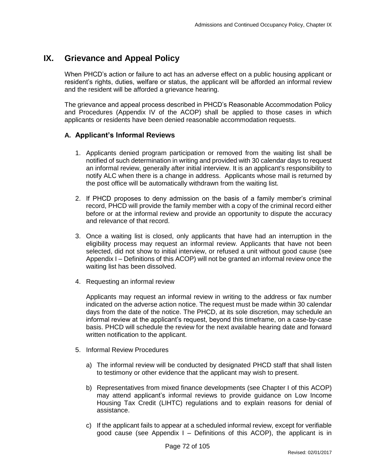# **IX. Grievance and Appeal Policy**

When PHCD's action or failure to act has an adverse effect on a public housing applicant or resident's rights, duties, welfare or status, the applicant will be afforded an informal review and the resident will be afforded a grievance hearing.

The grievance and appeal process described in PHCD's Reasonable Accommodation Policy and Procedures (Appendix IV of the ACOP) shall be applied to those cases in which applicants or residents have been denied reasonable accommodation requests.

#### **A. Applicant's Informal Reviews**

- 1. Applicants denied program participation or removed from the waiting list shall be notified of such determination in writing and provided with 30 calendar days to request an informal review, generally after initial interview. It is an applicant's responsibility to notify ALC when there is a change in address. Applicants whose mail is returned by the post office will be automatically withdrawn from the waiting list.
- 2. If PHCD proposes to deny admission on the basis of a family member's criminal record, PHCD will provide the family member with a copy of the criminal record either before or at the informal review and provide an opportunity to dispute the accuracy and relevance of that record.
- 3. Once a waiting list is closed, only applicants that have had an interruption in the eligibility process may request an informal review. Applicants that have not been selected, did not show to initial interview, or refused a unit without good cause (see Appendix I – Definitions of this ACOP) will not be granted an informal review once the waiting list has been dissolved.
- 4. Requesting an informal review

Applicants may request an informal review in writing to the address or fax number indicated on the adverse action notice. The request must be made within 30 calendar days from the date of the notice. The PHCD, at its sole discretion, may schedule an informal review at the applicant's request, beyond this timeframe, on a case-by-case basis. PHCD will schedule the review for the next available hearing date and forward written notification to the applicant.

- 5. Informal Review Procedures
	- a) The informal review will be conducted by designated PHCD staff that shall listen to testimony or other evidence that the applicant may wish to present.
	- b) Representatives from mixed finance developments (see Chapter I of this ACOP) may attend applicant's informal reviews to provide guidance on Low Income Housing Tax Credit (LIHTC) regulations and to explain reasons for denial of assistance.
	- c) If the applicant fails to appear at a scheduled informal review, except for verifiable good cause (see Appendix I – Definitions of this ACOP), the applicant is in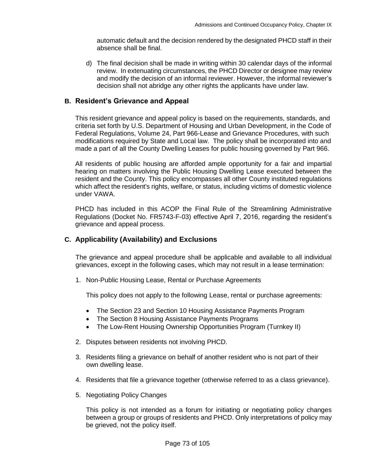automatic default and the decision rendered by the designated PHCD staff in their absence shall be final.

d) The final decision shall be made in writing within 30 calendar days of the informal review. In extenuating circumstances, the PHCD Director or designee may review and modify the decision of an informal reviewer. However, the informal reviewer's decision shall not abridge any other rights the applicants have under law.

#### **B. Resident's Grievance and Appeal**

This resident grievance and appeal policy is based on the requirements, standards, and criteria set forth by U.S. Department of Housing and Urban Development, in the Code of Federal Regulations, Volume 24, Part 966-Lease and Grievance Procedures, with such modifications required by State and Local law. The policy shall be incorporated into and made a part of all the County Dwelling Leases for public housing governed by Part 966.

All residents of public housing are afforded ample opportunity for a fair and impartial hearing on matters involving the Public Housing Dwelling Lease executed between the resident and the County. This policy encompasses all other County instituted regulations which affect the resident's rights, welfare, or status, including victims of domestic violence under VAWA.

PHCD has included in this ACOP the Final Rule of the Streamlining Administrative Regulations (Docket No. FR5743-F-03) effective April 7, 2016, regarding the resident's grievance and appeal process.

## **C. Applicability (Availability) and Exclusions**

The grievance and appeal procedure shall be applicable and available to all individual grievances, except in the following cases, which may not result in a lease termination:

1. Non-Public Housing Lease, Rental or Purchase Agreements

This policy does not apply to the following Lease, rental or purchase agreements:

- The Section 23 and Section 10 Housing Assistance Payments Program
- The Section 8 Housing Assistance Payments Programs
- The Low-Rent Housing Ownership Opportunities Program (Turnkey II)
- 2. Disputes between residents not involving PHCD.
- 3. Residents filing a grievance on behalf of another resident who is not part of their own dwelling lease.
- 4. Residents that file a grievance together (otherwise referred to as a class grievance).
- 5. Negotiating Policy Changes

This policy is not intended as a forum for initiating or negotiating policy changes between a group or groups of residents and PHCD. Only interpretations of policy may be grieved, not the policy itself.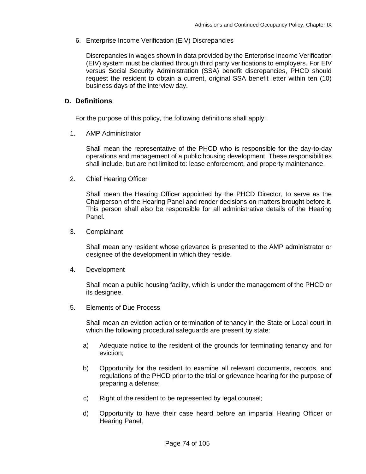6. Enterprise Income Verification (EIV) Discrepancies

Discrepancies in wages shown in data provided by the Enterprise Income Verification (EIV) system must be clarified through third party verifications to employers. For EIV versus Social Security Administration (SSA) benefit discrepancies, PHCD should request the resident to obtain a current, original SSA benefit letter within ten (10) business days of the interview day.

#### **D. Definitions**

For the purpose of this policy, the following definitions shall apply:

1. AMP Administrator

Shall mean the representative of the PHCD who is responsible for the day-to-day operations and management of a public housing development. These responsibilities shall include, but are not limited to: lease enforcement, and property maintenance.

2. Chief Hearing Officer

Shall mean the Hearing Officer appointed by the PHCD Director, to serve as the Chairperson of the Hearing Panel and render decisions on matters brought before it. This person shall also be responsible for all administrative details of the Hearing Panel.

3. Complainant

Shall mean any resident whose grievance is presented to the AMP administrator or designee of the development in which they reside.

4. Development

Shall mean a public housing facility, which is under the management of the PHCD or its designee.

5. Elements of Due Process

Shall mean an eviction action or termination of tenancy in the State or Local court in which the following procedural safeguards are present by state:

- a) Adequate notice to the resident of the grounds for terminating tenancy and for eviction;
- b) Opportunity for the resident to examine all relevant documents, records, and regulations of the PHCD prior to the trial or grievance hearing for the purpose of preparing a defense;
- c) Right of the resident to be represented by legal counsel;
- d) Opportunity to have their case heard before an impartial Hearing Officer or Hearing Panel;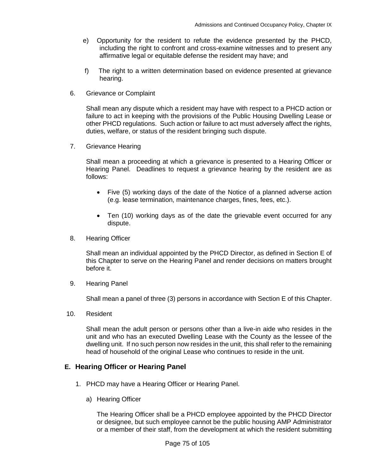- e) Opportunity for the resident to refute the evidence presented by the PHCD, including the right to confront and cross-examine witnesses and to present any affirmative legal or equitable defense the resident may have; and
- f) The right to a written determination based on evidence presented at grievance hearing.
- 6. Grievance or Complaint

Shall mean any dispute which a resident may have with respect to a PHCD action or failure to act in keeping with the provisions of the Public Housing Dwelling Lease or other PHCD regulations. Such action or failure to act must adversely affect the rights, duties, welfare, or status of the resident bringing such dispute.

7. Grievance Hearing

 Shall mean a proceeding at which a grievance is presented to a Hearing Officer or Hearing Panel. Deadlines to request a grievance hearing by the resident are as follows:

- Five (5) working days of the date of the Notice of a planned adverse action (e.g. lease termination, maintenance charges, fines, fees, etc.).
- Ten (10) working days as of the date the grievable event occurred for any dispute.
- 8. Hearing Officer

 Shall mean an individual appointed by the PHCD Director, as defined in Section E of this Chapter to serve on the Hearing Panel and render decisions on matters brought before it.

9. Hearing Panel

Shall mean a panel of three (3) persons in accordance with Section E of this Chapter.

10. Resident

Shall mean the adult person or persons other than a live-in aide who resides in the unit and who has an executed Dwelling Lease with the County as the lessee of the dwelling unit. If no such person now resides in the unit, this shall refer to the remaining head of household of the original Lease who continues to reside in the unit.

## **E. Hearing Officer or Hearing Panel**

- 1. PHCD may have a Hearing Officer or Hearing Panel.
	- a) Hearing Officer

The Hearing Officer shall be a PHCD employee appointed by the PHCD Director or designee, but such employee cannot be the public housing AMP Administrator or a member of their staff, from the development at which the resident submitting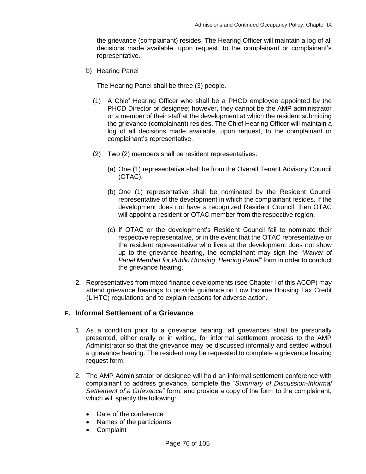the grievance (complainant) resides. The Hearing Officer will maintain a log of all decisions made available, upon request, to the complainant or complainant's representative.

b) Hearing Panel

The Hearing Panel shall be three (3) people.

- (1) A Chief Hearing Officer who shall be a PHCD employee appointed by the PHCD Director or designee; however, they cannot be the AMP administrator or a member of their staff at the development at which the resident submitting the grievance (complainant) resides. The Chief Hearing Officer will maintain a log of all decisions made available, upon request, to the complainant or complainant's representative.
- (2) Two (2) members shall be resident representatives:
	- (a) One (1) representative shall be from the Overall Tenant Advisory Council (OTAC).
	- (b) One (1) representative shall be nominated by the Resident Council representative of the development in which the complainant resides. If the development does not have a recognized Resident Council, then OTAC will appoint a resident or OTAC member from the respective region.
	- (c) If OTAC or the development's Resident Council fail to nominate their respective representative, or in the event that the OTAC representative or the resident representative who lives at the development does not show up to the grievance hearing, the complainant may sign the "*Waiver of Panel Member for Public Housing Hearing Panel*" form in order to conduct the grievance hearing.
- 2. Representatives from mixed finance developments (see Chapter I of this ACOP) may attend grievance hearings to provide guidance on Low Income Housing Tax Credit (LIHTC) regulations and to explain reasons for adverse action.

# **F. Informal Settlement of a Grievance**

- 1. As a condition prior to a grievance hearing, all grievances shall be personally presented, either orally or in writing, for informal settlement process to the AMP Administrator so that the grievance may be discussed informally and settled without a grievance hearing. The resident may be requested to complete a grievance hearing request form.
- 2. The AMP Administrator or designee will hold an informal settlement conference with complainant to address grievance, complete the "*Summary of Discussion-Informal Settlement of a Grievance*" form, and provide a copy of the form to the complainant, which will specify the following:
	- Date of the conference
	- Names of the participants
	- Complaint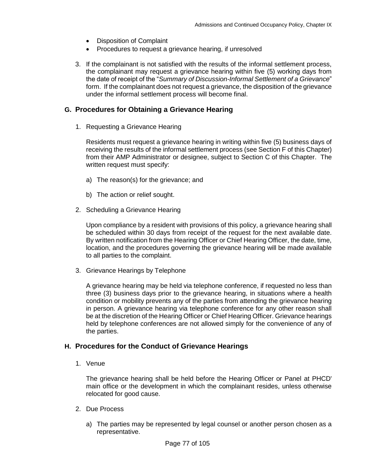- Disposition of Complaint
- Procedures to request a grievance hearing, if unresolved
- 3. If the complainant is not satisfied with the results of the informal settlement process, the complainant may request a grievance hearing within five (5) working days from the date of receipt of the "*Summary of Discussion-Informal Settlement of a Grievance*" form. If the complainant does not request a grievance, the disposition of the grievance under the informal settlement process will become final.

# **G. Procedures for Obtaining a Grievance Hearing**

1. Requesting a Grievance Hearing

Residents must request a grievance hearing in writing within five (5) business days of receiving the results of the informal settlement process (see Section F of this Chapter) from their AMP Administrator or designee, subject to Section C of this Chapter. The written request must specify:

- a) The reason(s) for the grievance; and
- b) The action or relief sought.
- 2. Scheduling a Grievance Hearing

Upon compliance by a resident with provisions of this policy, a grievance hearing shall be scheduled within 30 days from receipt of the request for the next available date. By written notification from the Hearing Officer or Chief Hearing Officer, the date, time, location, and the procedures governing the grievance hearing will be made available to all parties to the complaint.

3. Grievance Hearings by Telephone

A grievance hearing may be held via telephone conference, if requested no less than three (3) business days prior to the grievance hearing, in situations where a health condition or mobility prevents any of the parties from attending the grievance hearing in person. A grievance hearing via telephone conference for any other reason shall be at the discretion of the Hearing Officer or Chief Hearing Officer. Grievance hearings held by telephone conferences are not allowed simply for the convenience of any of the parties.

## **H. Procedures for the Conduct of Grievance Hearings**

1. Venue

The grievance hearing shall be held before the Hearing Officer or Panel at PHCD' main office or the development in which the complainant resides, unless otherwise relocated for good cause.

- 2. Due Process
	- a) The parties may be represented by legal counsel or another person chosen as a representative.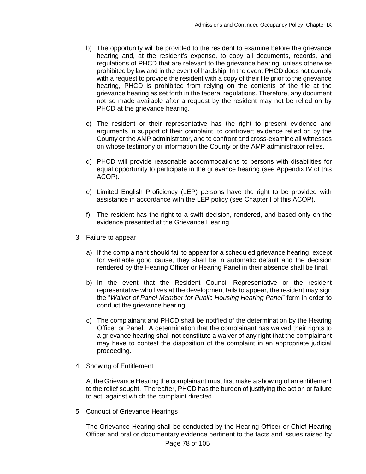- b) The opportunity will be provided to the resident to examine before the grievance hearing and, at the resident's expense, to copy all documents, records, and regulations of PHCD that are relevant to the grievance hearing, unless otherwise prohibited by law and in the event of hardship. In the event PHCD does not comply with a request to provide the resident with a copy of their file prior to the grievance hearing, PHCD is prohibited from relying on the contents of the file at the grievance hearing as set forth in the federal regulations. Therefore, any document not so made available after a request by the resident may not be relied on by PHCD at the grievance hearing.
- c) The resident or their representative has the right to present evidence and arguments in support of their complaint, to controvert evidence relied on by the County or the AMP administrator, and to confront and cross-examine all witnesses on whose testimony or information the County or the AMP administrator relies.
- d) PHCD will provide reasonable accommodations to persons with disabilities for equal opportunity to participate in the grievance hearing (see Appendix IV of this ACOP).
- e) Limited English Proficiency (LEP) persons have the right to be provided with assistance in accordance with the LEP policy (see Chapter I of this ACOP).
- f) The resident has the right to a swift decision, rendered, and based only on the evidence presented at the Grievance Hearing.
- 3. Failure to appear
	- a) If the complainant should fail to appear for a scheduled grievance hearing, except for verifiable good cause, they shall be in automatic default and the decision rendered by the Hearing Officer or Hearing Panel in their absence shall be final.
	- b) In the event that the Resident Council Representative or the resident representative who lives at the development fails to appear, the resident may sign the "*Waiver of Panel Member for Public Housing Hearing Panel*" form in order to conduct the grievance hearing.
	- c) The complainant and PHCD shall be notified of the determination by the Hearing Officer or Panel. A determination that the complainant has waived their rights to a grievance hearing shall not constitute a waiver of any right that the complainant may have to contest the disposition of the complaint in an appropriate judicial proceeding.
- 4. Showing of Entitlement

At the Grievance Hearing the complainant must first make a showing of an entitlement to the relief sought. Thereafter, PHCD has the burden of justifying the action or failure to act, against which the complaint directed.

5. Conduct of Grievance Hearings

The Grievance Hearing shall be conducted by the Hearing Officer or Chief Hearing Officer and oral or documentary evidence pertinent to the facts and issues raised by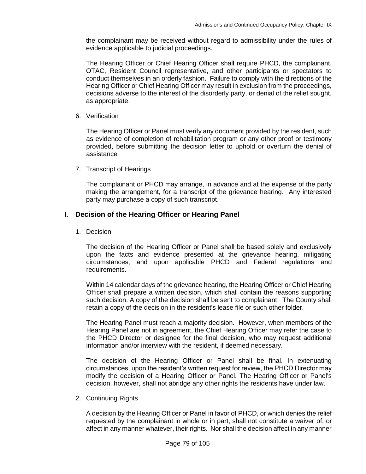the complainant may be received without regard to admissibility under the rules of evidence applicable to judicial proceedings.

The Hearing Officer or Chief Hearing Officer shall require PHCD, the complainant, OTAC, Resident Council representative, and other participants or spectators to conduct themselves in an orderly fashion. Failure to comply with the directions of the Hearing Officer or Chief Hearing Officer may result in exclusion from the proceedings, decisions adverse to the interest of the disorderly party, or denial of the relief sought, as appropriate.

6. Verification

The Hearing Officer or Panel must verify any document provided by the resident, such as evidence of completion of rehabilitation program or any other proof or testimony provided, before submitting the decision letter to uphold or overturn the denial of assistance

7. Transcript of Hearings

The complainant or PHCD may arrange, in advance and at the expense of the party making the arrangement, for a transcript of the grievance hearing. Any interested party may purchase a copy of such transcript.

#### **I. Decision of the Hearing Officer or Hearing Panel**

1. Decision

The decision of the Hearing Officer or Panel shall be based solely and exclusively upon the facts and evidence presented at the grievance hearing, mitigating circumstances, and upon applicable PHCD and Federal regulations and requirements.

Within 14 calendar days of the grievance hearing, the Hearing Officer or Chief Hearing Officer shall prepare a written decision, which shall contain the reasons supporting such decision. A copy of the decision shall be sent to complainant. The County shall retain a copy of the decision in the resident's lease file or such other folder.

The Hearing Panel must reach a majority decision. However, when members of the Hearing Panel are not in agreement, the Chief Hearing Officer may refer the case to the PHCD Director or designee for the final decision, who may request additional information and/or interview with the resident, if deemed necessary.

The decision of the Hearing Officer or Panel shall be final. In extenuating circumstances, upon the resident's written request for review, the PHCD Director may modify the decision of a Hearing Officer or Panel. The Hearing Officer or Panel's decision, however, shall not abridge any other rights the residents have under law.

2. Continuing Rights

A decision by the Hearing Officer or Panel in favor of PHCD, or which denies the relief requested by the complainant in whole or in part, shall not constitute a waiver of, or affect in any manner whatever, their rights. Nor shall the decision affect in any manner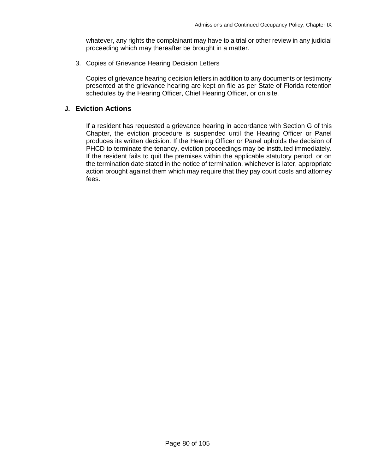whatever, any rights the complainant may have to a trial or other review in any judicial proceeding which may thereafter be brought in a matter.

3. Copies of Grievance Hearing Decision Letters

Copies of grievance hearing decision letters in addition to any documents or testimony presented at the grievance hearing are kept on file as per State of Florida retention schedules by the Hearing Officer, Chief Hearing Officer, or on site.

### **J. Eviction Actions**

 If a resident has requested a grievance hearing in accordance with Section G of this Chapter, the eviction procedure is suspended until the Hearing Officer or Panel produces its written decision. If the Hearing Officer or Panel upholds the decision of PHCD to terminate the tenancy, eviction proceedings may be instituted immediately. If the resident fails to quit the premises within the applicable statutory period, or on the termination date stated in the notice of termination, whichever is later, appropriate action brought against them which may require that they pay court costs and attorney fees.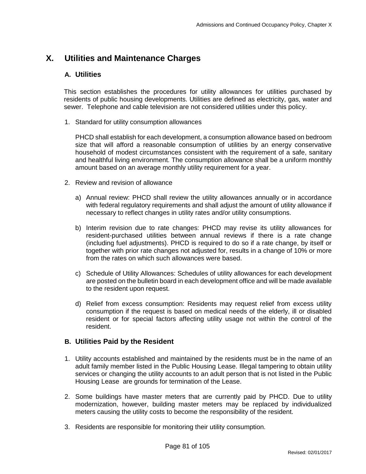# **X. Utilities and Maintenance Charges**

# **A. Utilities**

This section establishes the procedures for utility allowances for utilities purchased by residents of public housing developments. Utilities are defined as electricity, gas, water and sewer. Telephone and cable television are not considered utilities under this policy.

1. Standard for utility consumption allowances

PHCD shall establish for each development, a consumption allowance based on bedroom size that will afford a reasonable consumption of utilities by an energy conservative household of modest circumstances consistent with the requirement of a safe, sanitary and healthful living environment. The consumption allowance shall be a uniform monthly amount based on an average monthly utility requirement for a year.

- 2. Review and revision of allowance
	- a) Annual review: PHCD shall review the utility allowances annually or in accordance with federal regulatory requirements and shall adjust the amount of utility allowance if necessary to reflect changes in utility rates and/or utility consumptions.
	- b) Interim revision due to rate changes: PHCD may revise its utility allowances for resident-purchased utilities between annual reviews if there is a rate change (including fuel adjustments). PHCD is required to do so if a rate change, by itself or together with prior rate changes not adjusted for, results in a change of 10% or more from the rates on which such allowances were based.
	- c) Schedule of Utility Allowances: Schedules of utility allowances for each development are posted on the bulletin board in each development office and will be made available to the resident upon request.
	- d) Relief from excess consumption: Residents may request relief from excess utility consumption if the request is based on medical needs of the elderly, ill or disabled resident or for special factors affecting utility usage not within the control of the resident.

## **B. Utilities Paid by the Resident**

- 1. Utility accounts established and maintained by the residents must be in the name of an adult family member listed in the Public Housing Lease. Illegal tampering to obtain utility services or changing the utility accounts to an adult person that is not listed in the Public Housing Lease are grounds for termination of the Lease.
- 2. Some buildings have master meters that are currently paid by PHCD. Due to utility modernization, however, building master meters may be replaced by individualized meters causing the utility costs to become the responsibility of the resident.
- 3. Residents are responsible for monitoring their utility consumption.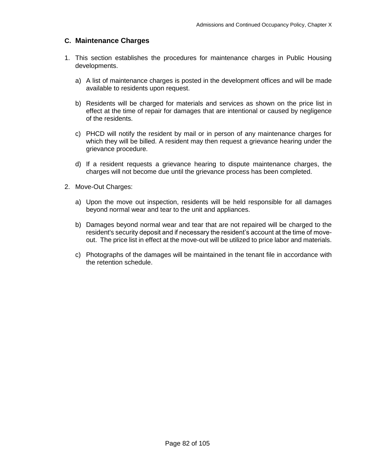# **C. Maintenance Charges**

- 1. This section establishes the procedures for maintenance charges in Public Housing developments.
	- a) A list of maintenance charges is posted in the development offices and will be made available to residents upon request.
	- b) Residents will be charged for materials and services as shown on the price list in effect at the time of repair for damages that are intentional or caused by negligence of the residents.
	- c) PHCD will notify the resident by mail or in person of any maintenance charges for which they will be billed. A resident may then request a grievance hearing under the grievance procedure.
	- d) If a resident requests a grievance hearing to dispute maintenance charges, the charges will not become due until the grievance process has been completed.
- 2. Move-Out Charges:
	- a) Upon the move out inspection, residents will be held responsible for all damages beyond normal wear and tear to the unit and appliances.
	- b) Damages beyond normal wear and tear that are not repaired will be charged to the resident's security deposit and if necessary the resident's account at the time of moveout. The price list in effect at the move-out will be utilized to price labor and materials.
	- c) Photographs of the damages will be maintained in the tenant file in accordance with the retention schedule.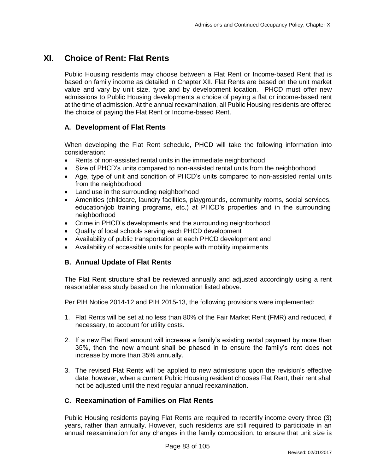# **XI. Choice of Rent: Flat Rents**

Public Housing residents may choose between a Flat Rent or Income-based Rent that is based on family income as detailed in Chapter XII. Flat Rents are based on the unit market value and vary by unit size, type and by development location. PHCD must offer new admissions to Public Housing developments a choice of paying a flat or income-based rent at the time of admission. At the annual reexamination, all Public Housing residents are offered the choice of paying the Flat Rent or Income-based Rent.

# **A. Development of Flat Rents**

When developing the Flat Rent schedule, PHCD will take the following information into consideration:

- Rents of non-assisted rental units in the immediate neighborhood
- Size of PHCD's units compared to non-assisted rental units from the neighborhood
- Age, type of unit and condition of PHCD's units compared to non-assisted rental units from the neighborhood
- Land use in the surrounding neighborhood
- Amenities (childcare, laundry facilities, playgrounds, community rooms, social services, education/job training programs, etc.) at PHCD's properties and in the surrounding neighborhood
- Crime in PHCD's developments and the surrounding neighborhood
- Quality of local schools serving each PHCD development
- Availability of public transportation at each PHCD development and
- Availability of accessible units for people with mobility impairments

# **B. Annual Update of Flat Rents**

The Flat Rent structure shall be reviewed annually and adjusted accordingly using a rent reasonableness study based on the information listed above.

Per PIH Notice 2014-12 and PIH 2015-13, the following provisions were implemented:

- 1. Flat Rents will be set at no less than 80% of the Fair Market Rent (FMR) and reduced, if necessary, to account for utility costs.
- 2. If a new Flat Rent amount will increase a family's existing rental payment by more than 35%, then the new amount shall be phased in to ensure the family's rent does not increase by more than 35% annually.
- 3. The revised Flat Rents will be applied to new admissions upon the revision's effective date; however, when a current Public Housing resident chooses Flat Rent, their rent shall not be adjusted until the next regular annual reexamination.

# **C. Reexamination of Families on Flat Rents**

Public Housing residents paying Flat Rents are required to recertify income every three (3) years, rather than annually. However, such residents are still required to participate in an annual reexamination for any changes in the family composition, to ensure that unit size is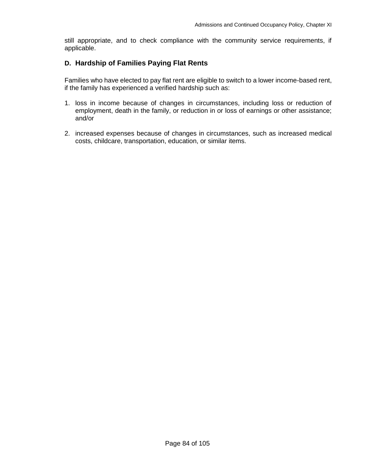still appropriate, and to check compliance with the community service requirements, if applicable.

## **D. Hardship of Families Paying Flat Rents**

Families who have elected to pay flat rent are eligible to switch to a lower income-based rent, if the family has experienced a verified hardship such as:

- 1. loss in income because of changes in circumstances, including loss or reduction of employment, death in the family, or reduction in or loss of earnings or other assistance; and/or
- 2. increased expenses because of changes in circumstances, such as increased medical costs, childcare, transportation, education, or similar items.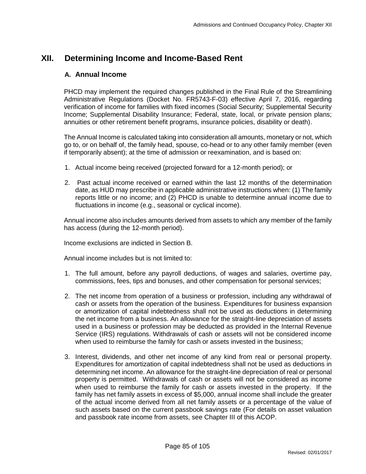# **XII. Determining Income and Income-Based Rent**

## **A. Annual Income**

PHCD may implement the required changes published in the Final Rule of the Streamlining Administrative Regulations (Docket No. FR5743-F-03) effective April 7, 2016, regarding verification of income for families with fixed incomes (Social Security; Supplemental Security Income; Supplemental Disability Insurance; Federal, state, local, or private pension plans; annuities or other retirement benefit programs, insurance policies, disability or death).

The Annual Income is calculated taking into consideration all amounts, monetary or not, which go to, or on behalf of, the family head, spouse, co-head or to any other family member (even if temporarily absent); at the time of admission or reexamination, and is based on:

- 1. Actual income being received (projected forward for a 12-month period); or
- 2. Past actual income received or earned within the last 12 months of the determination date, as HUD may prescribe in applicable administrative instructions when: (1) The family reports little or no income; and (2) PHCD is unable to determine annual income due to fluctuations in income (e.g., seasonal or cyclical income).

Annual income also includes amounts derived from assets to which any member of the family has access (during the 12-month period).

Income exclusions are indicted in Section B.

Annual income includes but is not limited to:

- 1. The full amount, before any payroll deductions, of wages and salaries, overtime pay, commissions, fees, tips and bonuses, and other compensation for personal services;
- 2. The net income from operation of a business or profession, including any withdrawal of cash or assets from the operation of the business. Expenditures for business expansion or amortization of capital indebtedness shall not be used as deductions in determining the net income from a business. An allowance for the straight-line depreciation of assets used in a business or profession may be deducted as provided in the Internal Revenue Service (IRS) regulations. Withdrawals of cash or assets will not be considered income when used to reimburse the family for cash or assets invested in the business;
- 3. Interest, dividends, and other net income of any kind from real or personal property. Expenditures for amortization of capital indebtedness shall not be used as deductions in determining net income. An allowance for the straight-line depreciation of real or personal property is permitted. Withdrawals of cash or assets will not be considered as income when used to reimburse the family for cash or assets invested in the property. If the family has net family assets in excess of \$5,000, annual income shall include the greater of the actual income derived from all net family assets or a percentage of the value of such assets based on the current passbook savings rate (For details on asset valuation and passbook rate income from assets, see Chapter III of this ACOP.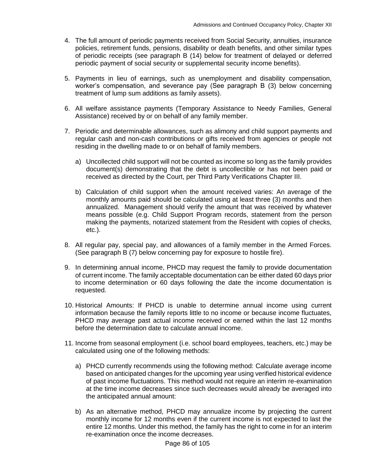- 4. The full amount of periodic payments received from Social Security, annuities, insurance policies, retirement funds, pensions, disability or death benefits, and other similar types of periodic receipts (see paragraph B (14) below for treatment of delayed or deferred periodic payment of social security or supplemental security income benefits).
- 5. Payments in lieu of earnings, such as unemployment and disability compensation, worker's compensation, and severance pay (See paragraph B (3) below concerning treatment of lump sum additions as family assets).
- 6. All welfare assistance payments (Temporary Assistance to Needy Families, General Assistance) received by or on behalf of any family member.
- 7. Periodic and determinable allowances, such as alimony and child support payments and regular cash and non-cash contributions or gifts received from agencies or people not residing in the dwelling made to or on behalf of family members.
	- a) Uncollected child support will not be counted as income so long as the family provides document(s) demonstrating that the debt is uncollectible or has not been paid or received as directed by the Court, per Third Party Verifications Chapter III.
	- b) Calculation of child support when the amount received varies: An average of the monthly amounts paid should be calculated using at least three (3) months and then annualized. Management should verify the amount that was received by whatever means possible (e.g. Child Support Program records, statement from the person making the payments, notarized statement from the Resident with copies of checks, etc.).
- 8. All regular pay, special pay, and allowances of a family member in the Armed Forces. (See paragraph B (7) below concerning pay for exposure to hostile fire).
- 9. In determining annual income, PHCD may request the family to provide documentation of current income. The family acceptable documentation can be either dated 60 days prior to income determination or 60 days following the date the income documentation is requested.
- 10. Historical Amounts: If PHCD is unable to determine annual income using current information because the family reports little to no income or because income fluctuates, PHCD may average past actual income received or earned within the last 12 months before the determination date to calculate annual income.
- 11. Income from seasonal employment (i.e. school board employees, teachers, etc.) may be calculated using one of the following methods:
	- a) PHCD currently recommends using the following method: Calculate average income based on anticipated changes for the upcoming year using verified historical evidence of past income fluctuations. This method would not require an interim re-examination at the time income decreases since such decreases would already be averaged into the anticipated annual amount:
	- b) As an alternative method, PHCD may annualize income by projecting the current monthly income for 12 months even if the current income is not expected to last the entire 12 months. Under this method, the family has the right to come in for an interim re-examination once the income decreases.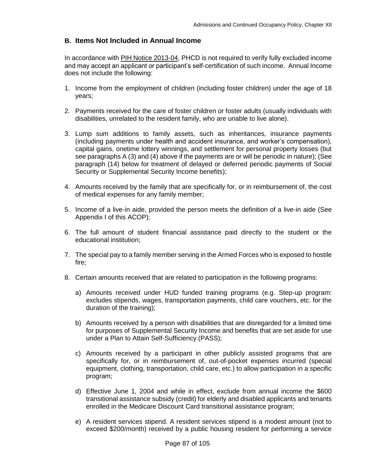# **B. Items Not Included in Annual Income**

In accordance with [PIH Notice 2013-04,](http://portal.hud.gov/hudportal/documents/huddoc?id=pih2013-04.pdf) PHCD is not required to verify fully excluded income and may accept an applicant or participant's self-certification of such income. Annual Income does not include the following:

- 1. Income from the employment of children (including foster children) under the age of 18 years;
- 2. Payments received for the care of foster children or foster adults (usually individuals with disabilities, unrelated to the resident family, who are unable to live alone).
- 3. Lump sum additions to family assets, such as inheritances, insurance payments (including payments under health and accident insurance, and worker's compensation), capital gains, onetime lottery winnings, and settlement for personal property losses (but see paragraphs A (3) and (4) above if the payments are or will be periodic in nature); (See paragraph (14) below for treatment of delayed or deferred periodic payments of Social Security or Supplemental Security Income benefits);
- 4. Amounts received by the family that are specifically for, or in reimbursement of, the cost of medical expenses for any family member;
- 5. Income of a live-in aide, provided the person meets the definition of a live-in aide (See Appendix I of this ACOP);
- 6. The full amount of student financial assistance paid directly to the student or the educational institution;
- 7. The special pay to a family member serving in the Armed Forces who is exposed to hostile fire;
- 8. Certain amounts received that are related to participation in the following programs:
	- a) Amounts received under HUD funded training programs (e.g. Step-up program: excludes stipends, wages, transportation payments, child care vouchers, etc. for the duration of the training);
	- b) Amounts received by a person with disabilities that are disregarded for a limited time for purposes of Supplemental Security Income and benefits that are set aside for use under a Plan to Attain Self-Sufficiency (PASS);
	- c) Amounts received by a participant in other publicly assisted programs that are specifically for, or in reimbursement of, out-of-pocket expenses incurred (special equipment, clothing, transportation, child care, etc.) to allow participation in a specific program;
	- d) Effective June 1, 2004 and while in effect, exclude from annual income the \$600 transitional assistance subsidy (credit) for elderly and disabled applicants and tenants enrolled in the Medicare Discount Card transitional assistance program;
	- e) A resident services stipend. A resident services stipend is a modest amount (not to exceed \$200/month) received by a public housing resident for performing a service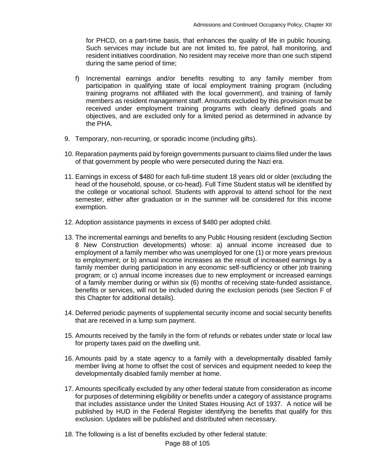for PHCD, on a part-time basis, that enhances the quality of life in public housing. Such services may include but are not limited to, fire patrol, hall monitoring, and resident initiatives coordination. No resident may receive more than one such stipend during the same period of time;

- f) Incremental earnings and/or benefits resulting to any family member from participation in qualifying state of local employment training program (including training programs not affiliated with the local government), and training of family members as resident management staff. Amounts excluded by this provision must be received under employment training programs with clearly defined goals and objectives, and are excluded only for a limited period as determined in advance by the PHA.
- 9. Temporary, non-recurring, or sporadic income (including gifts).
- 10. Reparation payments paid by foreign governments pursuant to claims filed under the laws of that government by people who were persecuted during the Nazi era.
- 11. Earnings in excess of \$480 for each full-time student 18 years old or older (excluding the head of the household, spouse, or co-head). Full Time Student status will be identified by the college or vocational school. Students with approval to attend school for the next semester, either after graduation or in the summer will be considered for this income exemption.
- 12. Adoption assistance payments in excess of \$480 per adopted child.
- 13. The incremental earnings and benefits to any Public Housing resident (excluding Section 8 New Construction developments) whose: a) annual income increased due to employment of a family member who was unemployed for one (1) or more years previous to employment; or b) annual income increases as the result of increased earnings by a family member during participation in any economic self-sufficiency or other job training program; or c) annual income increases due to new employment or increased earnings of a family member during or within six (6) months of receiving state-funded assistance, benefits or services, will not be included during the exclusion periods (see Section F of this Chapter for additional details).
- 14. Deferred periodic payments of supplemental security income and social security benefits that are received in a lump sum payment.
- 15. Amounts received by the family in the form of refunds or rebates under state or local law for property taxes paid on the dwelling unit.
- 16. Amounts paid by a state agency to a family with a developmentally disabled family member living at home to offset the cost of services and equipment needed to keep the developmentally disabled family member at home.
- 17. Amounts specifically excluded by any other federal statute from consideration as income for purposes of determining eligibility or benefits under a category of assistance programs that includes assistance under the United States Housing Act of 1937. A notice will be published by HUD in the Federal Register identifying the benefits that qualify for this exclusion. Updates will be published and distributed when necessary.
- 18. The following is a list of benefits excluded by other federal statute: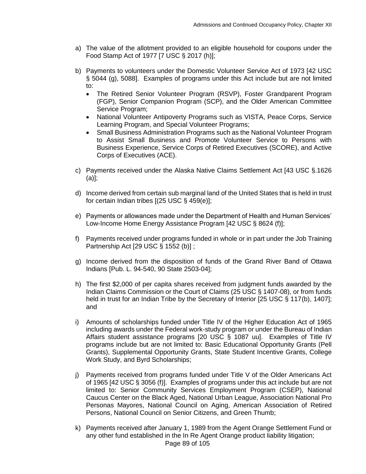- a) The value of the allotment provided to an eligible household for coupons under the Food Stamp Act of 1977 [7 USC § 2017 (h)];
- b) Payments to volunteers under the Domestic Volunteer Service Act of 1973 [42 USC § 5044 (g), 5088].Examples of programs under this Act include but are not limited to:
	- The Retired Senior Volunteer Program (RSVP), Foster Grandparent Program (FGP), Senior Companion Program (SCP), and the Older American Committee Service Program;
	- National Volunteer Antipoverty Programs such as VISTA, Peace Corps, Service Learning Program, and Special Volunteer Programs;
	- Small Business Administration Programs such as the National Volunteer Program to Assist Small Business and Promote Volunteer Service to Persons with Business Experience, Service Corps of Retired Executives (SCORE), and Active Corps of Executives (ACE).
- c) Payments received under the Alaska Native Claims Settlement Act [43 USC §.1626 (a)];
- d) Income derived from certain sub marginal land of the United States that is held in trust for certain Indian tribes [(25 USC § 459(e)];
- e) Payments or allowances made under the Department of Health and Human Services' Low-Income Home Energy Assistance Program [42 USC § 8624 (f)];
- f) Payments received under programs funded in whole or in part under the Job Training Partnership Act [29 USC § 1552 (b)] ;
- g) Income derived from the disposition of funds of the Grand River Band of Ottawa Indians [Pub. L. 94-540, 90 State 2503-04];
- h) The first \$2,000 of per capita shares received from judgment funds awarded by the Indian Claims Commission or the Court of Claims (25 USC § 1407-08), or from funds held in trust for an Indian Tribe by the Secretary of Interior [25 USC § 117(b), 1407]; and
- i) Amounts of scholarships funded under Title IV of the Higher Education Act of 1965 including awards under the Federal work-study program or under the Bureau of Indian Affairs student assistance programs [20 USC § 1087 uu]. Examples of Title IV programs include but are not limited to: Basic Educational Opportunity Grants (Pell Grants), Supplemental Opportunity Grants, State Student Incentive Grants, College Work Study, and Byrd Scholarships;
- j) Payments received from programs funded under Title V of the Older Americans Act of 1965 [42 USC § 3056 (f)].Examples of programs under this act include but are not limited to: Senior Community Services Employment Program (CSEP), National Caucus Center on the Black Aged, National Urban League, Association National Pro Personas Mayores, National Council on Aging, American Association of Retired Persons, National Council on Senior Citizens, and Green Thumb;
- Page 89 of 105 k) Payments received after January 1, 1989 from the Agent Orange Settlement Fund or any other fund established in the In Re Agent Orange product liability litigation;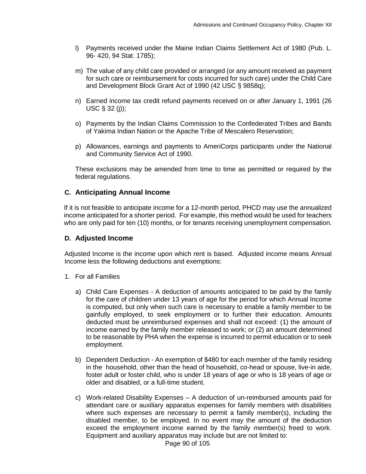- l) Payments received under the Maine Indian Claims Settlement Act of 1980 (Pub. L. 96- 420, 94 Stat. 1785);
- m) The value of any child care provided or arranged (or any amount received as payment for such care or reimbursement for costs incurred for such care) under the Child Care and Development Block Grant Act of 1990 (42 USC § 9858q);
- n) Earned income tax credit refund payments received on or after January 1, 1991 (26 USC § 32 (j));
- o) Payments by the Indian Claims Commission to the Confederated Tribes and Bands of Yakima Indian Nation or the Apache Tribe of Mescalero Reservation;
- p) Allowances, earnings and payments to AmeriCorps participants under the National and Community Service Act of 1990.

These exclusions may be amended from time to time as permitted or required by the federal regulations.

# **C. Anticipating Annual Income**

If it is not feasible to anticipate income for a 12-month period, PHCD may use the annualized income anticipated for a shorter period. For example, this method would be used for teachers who are only paid for ten (10) months, or for tenants receiving unemployment compensation.

## **D. Adjusted Income**

Adjusted Income is the income upon which rent is based. Adjusted income means Annual Income less the following deductions and exemptions:

- 1. For all Families
	- a) Child Care Expenses A deduction of amounts anticipated to be paid by the family for the care of children under 13 years of age for the period for which Annual Income is computed, but only when such care is necessary to enable a family member to be gainfully employed, to seek employment or to further their education. Amounts deducted must be unreimbursed expenses and shall not exceed: (1) the amount of income earned by the family member released to work; or (2) an amount determined to be reasonable by PHA when the expense is incurred to permit education or to seek employment.
	- b) Dependent Deduction An exemption of \$480 for each member of the family residing in the household, other than the head of household, co-head or spouse, live-in aide, foster adult or foster child, who is under 18 years of age or who is 18 years of age or older and disabled, or a full-time student.
	- c) Work-related Disability Expenses A deduction of un-reimbursed amounts paid for attendant care or auxiliary apparatus expenses for family members with disabilities where such expenses are necessary to permit a family member(s), including the disabled member, to be employed. In no event may the amount of the deduction exceed the employment income earned by the family member(s) freed to work. Equipment and auxiliary apparatus may include but are not limited to: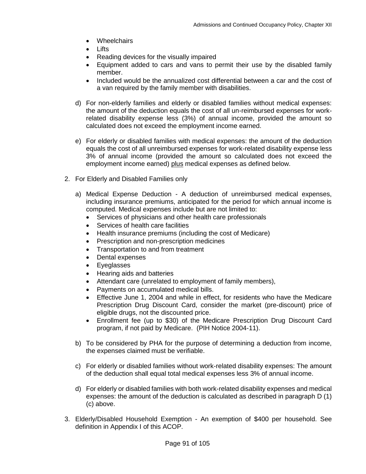- Wheelchairs
- Lifts
- Reading devices for the visually impaired
- Equipment added to cars and vans to permit their use by the disabled family member.
- Included would be the annualized cost differential between a car and the cost of a van required by the family member with disabilities.
- d) For non-elderly families and elderly or disabled families without medical expenses: the amount of the deduction equals the cost of all un-reimbursed expenses for workrelated disability expense less (3%) of annual income, provided the amount so calculated does not exceed the employment income earned.
- e) For elderly or disabled families with medical expenses: the amount of the deduction equals the cost of all unreimbursed expenses for work-related disability expense less 3% of annual income (provided the amount so calculated does not exceed the employment income earned) plus medical expenses as defined below.
- 2. For Elderly and Disabled Families only
	- a) Medical Expense Deduction A deduction of unreimbursed medical expenses, including insurance premiums, anticipated for the period for which annual income is computed. Medical expenses include but are not limited to:
		- Services of physicians and other health care professionals
		- Services of health care facilities
		- Health insurance premiums (including the cost of Medicare)
		- Prescription and non-prescription medicines
		- Transportation to and from treatment
		- Dental expenses
		- Eyeglasses
		- Hearing aids and batteries
		- Attendant care (unrelated to employment of family members),
		- Payments on accumulated medical bills.
		- Effective June 1, 2004 and while in effect, for residents who have the Medicare Prescription Drug Discount Card, consider the market (pre-discount) price of eligible drugs, not the discounted price.
		- Enrollment fee (up to \$30) of the Medicare Prescription Drug Discount Card program, if not paid by Medicare. (PIH Notice 2004-11).
	- b) To be considered by PHA for the purpose of determining a deduction from income, the expenses claimed must be verifiable.
	- c) For elderly or disabled families without work-related disability expenses: The amount of the deduction shall equal total medical expenses less 3% of annual income.
	- d) For elderly or disabled families with both work-related disability expenses and medical expenses: the amount of the deduction is calculated as described in paragraph D (1) (c) above.
- 3. Elderly/Disabled Household Exemption An exemption of \$400 per household. See definition in Appendix I of this ACOP.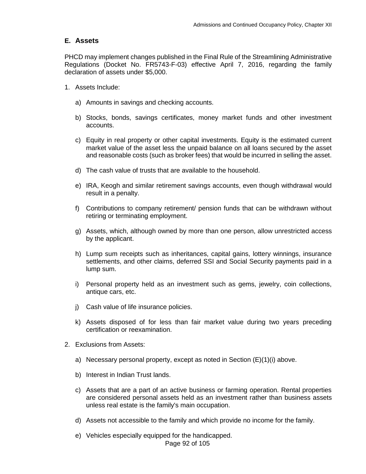# **E. Assets**

PHCD may implement changes published in the Final Rule of the Streamlining Administrative Regulations (Docket No. FR5743-F-03) effective April 7, 2016, regarding the family declaration of assets under \$5,000.

- 1. Assets Include:
	- a) Amounts in savings and checking accounts.
	- b) Stocks, bonds, savings certificates, money market funds and other investment accounts.
	- c) Equity in real property or other capital investments. Equity is the estimated current market value of the asset less the unpaid balance on all loans secured by the asset and reasonable costs (such as broker fees) that would be incurred in selling the asset.
	- d) The cash value of trusts that are available to the household.
	- e) IRA, Keogh and similar retirement savings accounts, even though withdrawal would result in a penalty.
	- f) Contributions to company retirement/ pension funds that can be withdrawn without retiring or terminating employment.
	- g) Assets, which, although owned by more than one person, allow unrestricted access by the applicant.
	- h) Lump sum receipts such as inheritances, capital gains, lottery winnings, insurance settlements, and other claims, deferred SSI and Social Security payments paid in a lump sum.
	- i) Personal property held as an investment such as gems, jewelry, coin collections, antique cars, etc.
	- j) Cash value of life insurance policies.
	- k) Assets disposed of for less than fair market value during two years preceding certification or reexamination.
- 2. Exclusions from Assets:
	- a) Necessary personal property, except as noted in Section (E)(1)(i) above.
	- b) Interest in Indian Trust lands.
	- c) Assets that are a part of an active business or farming operation. Rental properties are considered personal assets held as an investment rather than business assets unless real estate is the family's main occupation.
	- d) Assets not accessible to the family and which provide no income for the family.
	- e) Vehicles especially equipped for the handicapped.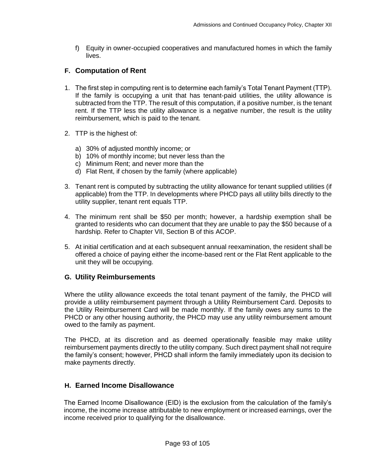f) Equity in owner-occupied cooperatives and manufactured homes in which the family lives.

# **F. Computation of Rent**

- 1. The first step in computing rent is to determine each family's Total Tenant Payment (TTP). If the family is occupying a unit that has tenant-paid utilities, the utility allowance is subtracted from the TTP. The result of this computation, if a positive number, is the tenant rent. If the TTP less the utility allowance is a negative number, the result is the utility reimbursement, which is paid to the tenant.
- 2. TTP is the highest of:
	- a) 30% of adjusted monthly income; or
	- b) 10% of monthly income; but never less than the
	- c) Minimum Rent; and never more than the
	- d) Flat Rent, if chosen by the family (where applicable)
- 3. Tenant rent is computed by subtracting the utility allowance for tenant supplied utilities (if applicable) from the TTP. In developments where PHCD pays all utility bills directly to the utility supplier, tenant rent equals TTP.
- 4. The minimum rent shall be \$50 per month; however, a hardship exemption shall be granted to residents who can document that they are unable to pay the \$50 because of a hardship. Refer to Chapter VII, Section B of this ACOP.
- 5. At initial certification and at each subsequent annual reexamination, the resident shall be offered a choice of paying either the income-based rent or the Flat Rent applicable to the unit they will be occupying.

# **G. Utility Reimbursements**

Where the utility allowance exceeds the total tenant payment of the family, the PHCD will provide a utility reimbursement payment through a Utility Reimbursement Card. Deposits to the Utility Reimbursement Card will be made monthly. If the family owes any sums to the PHCD or any other housing authority, the PHCD may use any utility reimbursement amount owed to the family as payment.

The PHCD, at its discretion and as deemed operationally feasible may make utility reimbursement payments directly to the utility company. Such direct payment shall not require the family's consent; however, PHCD shall inform the family immediately upon its decision to make payments directly.

# **H. Earned Income Disallowance**

The Earned Income Disallowance (EID) is the exclusion from the calculation of the family's income, the income increase attributable to new employment or increased earnings, over the income received prior to qualifying for the disallowance.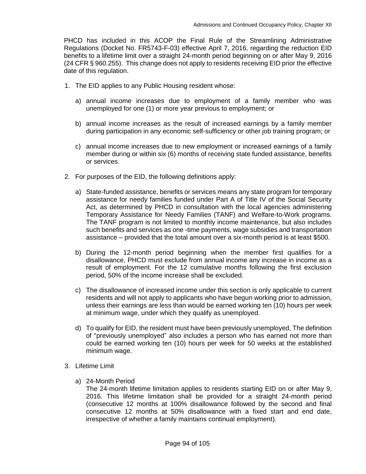PHCD has included in this ACOP the Final Rule of the Streamlining Administrative Regulations (Docket No. FR5743-F-03) effective April 7, 2016, regarding the reduction EID benefits to a lifetime limit over a straight 24-month period beginning on or after May 9, 2016 (24 CFR § 960.255). This change does not apply to residents receiving EID prior the effective date of this regulation.

- 1. The EID applies to any Public Housing resident whose:
	- a) annual income increases due to employment of a family member who was unemployed for one (1) or more year previous to employment; or
	- b) annual income increases as the result of increased earnings by a family member during participation in any economic self-sufficiency or other job training program; or
	- c) annual income increases due to new employment or increased earnings of a family member during or within six (6) months of receiving state funded assistance, benefits or services.
- 2. For purposes of the EID, the following definitions apply:
	- a) State-funded assistance, benefits or services means any state program for temporary assistance for needy families funded under Part A of Title IV of the Social Security Act, as determined by PHCD in consultation with the local agencies administering Temporary Assistance for Needy Families (TANF) and Welfare-to-Work programs. The TANF program is not limited to monthly income maintenance, but also includes such benefits and services as one -time payments, wage subsidies and transportation assistance – provided that the total amount over a six-month period is at least \$500.
	- b) During the 12-month period beginning when the member first qualifies for a disallowance, PHCD must exclude from annual income any increase in income as a result of employment. For the 12 cumulative months following the first exclusion period, 50% of the income increase shall be excluded.
	- c) The disallowance of increased income under this section is only applicable to current residents and will not apply to applicants who have begun working prior to admission, unless their earnings are less than would be earned working ten (10) hours per week at minimum wage, under which they qualify as unemployed.
	- d) To qualify for EID, the resident must have been previously unemployed, The definition of "previously unemployed" also includes a person who has earned not more than could be earned working ten (10) hours per week for 50 weeks at the established minimum wage.
- 3. Lifetime Limit
	- a) 24-Month Period

The 24-month lifetime limitation applies to residents starting EID on or after May 9, 2016. This lifetime limitation shall be provided for a straight 24-month period (consecutive 12 months at 100% disallowance followed by the second and final consecutive 12 months at 50% disallowance with a fixed start and end date, irrespective of whether a family maintains continual employment).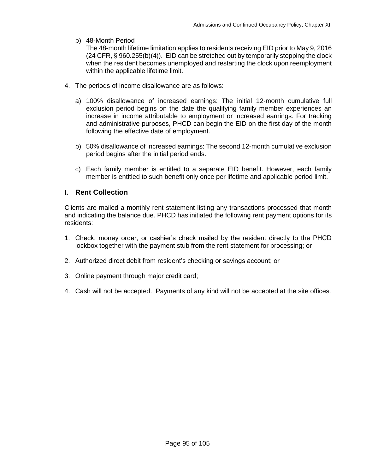b) 48-Month Period

The 48-month lifetime limitation applies to residents receiving EID prior to May 9, 2016 (24 CFR, § 960.255(b)(4)). EID can be stretched out by temporarily stopping the clock when the resident becomes unemployed and restarting the clock upon reemployment within the applicable lifetime limit.

- 4. The periods of income disallowance are as follows:
	- a) 100% disallowance of increased earnings: The initial 12-month cumulative full exclusion period begins on the date the qualifying family member experiences an increase in income attributable to employment or increased earnings. For tracking and administrative purposes, PHCD can begin the EID on the first day of the month following the effective date of employment.
	- b) 50% disallowance of increased earnings: The second 12-month cumulative exclusion period begins after the initial period ends.
	- c) Each family member is entitled to a separate EID benefit. However, each family member is entitled to such benefit only once per lifetime and applicable period limit.

# **I. Rent Collection**

Clients are mailed a monthly rent statement listing any transactions processed that month and indicating the balance due. PHCD has initiated the following rent payment options for its residents:

- 1. Check, money order, or cashier's check mailed by the resident directly to the PHCD lockbox together with the payment stub from the rent statement for processing; or
- 2. Authorized direct debit from resident's checking or savings account; or
- 3. Online payment through major credit card;
- 4. Cash will not be accepted. Payments of any kind will not be accepted at the site offices.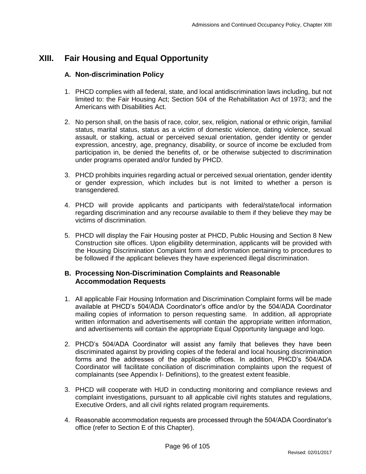# **XIII. Fair Housing and Equal Opportunity**

## **A. Non-discrimination Policy**

- 1. PHCD complies with all federal, state, and local antidiscrimination laws including, but not limited to: the Fair Housing Act; Section 504 of the Rehabilitation Act of 1973; and the Americans with Disabilities Act.
- 2. No person shall, on the basis of race, color, sex, religion, national or ethnic origin, familial status, marital status, status as a victim of domestic violence, dating violence, sexual assault, or stalking, actual or perceived sexual orientation, gender identity or gender expression, ancestry, age, pregnancy, disability, or source of income be excluded from participation in, be denied the benefits of, or be otherwise subjected to discrimination under programs operated and/or funded by PHCD.
- 3. PHCD prohibits inquiries regarding actual or perceived sexual orientation, gender identity or gender expression, which includes but is not limited to whether a person is transgendered.
- 4. PHCD will provide applicants and participants with federal/state/local information regarding discrimination and any recourse available to them if they believe they may be victims of discrimination.
- 5. PHCD will display the Fair Housing poster at PHCD, Public Housing and Section 8 New Construction site offices. Upon eligibility determination, applicants will be provided with the Housing Discrimination Complaint form and information pertaining to procedures to be followed if the applicant believes they have experienced illegal discrimination.

## **B. Processing Non-Discrimination Complaints and Reasonable Accommodation Requests**

- 1. All applicable Fair Housing Information and Discrimination Complaint forms will be made available at PHCD's 504/ADA Coordinator's office and/or by the 504/ADA Coordinator mailing copies of information to person requesting same. In addition, all appropriate written information and advertisements will contain the appropriate written information, and advertisements will contain the appropriate Equal Opportunity language and logo.
- 2. PHCD's 504/ADA Coordinator will assist any family that believes they have been discriminated against by providing copies of the federal and local housing discrimination forms and the addresses of the applicable offices. In addition, PHCD's 504/ADA Coordinator will facilitate conciliation of discrimination complaints upon the request of complainants (see Appendix I- Definitions), to the greatest extent feasible.
- 3. PHCD will cooperate with HUD in conducting monitoring and compliance reviews and complaint investigations, pursuant to all applicable civil rights statutes and regulations, Executive Orders, and all civil rights related program requirements.
- 4. Reasonable accommodation requests are processed through the 504/ADA Coordinator's office (refer to Section E of this Chapter).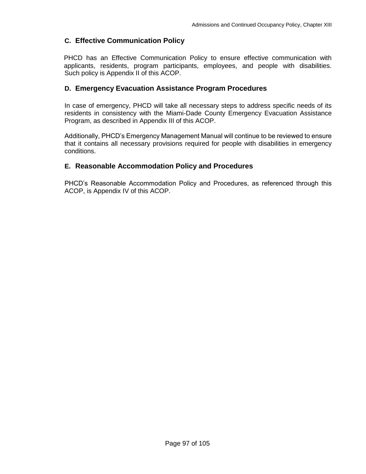# **C. Effective Communication Policy**

PHCD has an Effective Communication Policy to ensure effective communication with applicants, residents, program participants, employees, and people with disabilities. Such policy is Appendix II of this ACOP.

# **D. Emergency Evacuation Assistance Program Procedures**

In case of emergency, PHCD will take all necessary steps to address specific needs of its residents in consistency with the Miami-Dade County Emergency Evacuation Assistance Program, as described in Appendix III of this ACOP.

Additionally, PHCD's Emergency Management Manual will continue to be reviewed to ensure that it contains all necessary provisions required for people with disabilities in emergency conditions.

# **E. Reasonable Accommodation Policy and Procedures**

PHCD's Reasonable Accommodation Policy and Procedures, as referenced through this ACOP, is Appendix IV of this ACOP.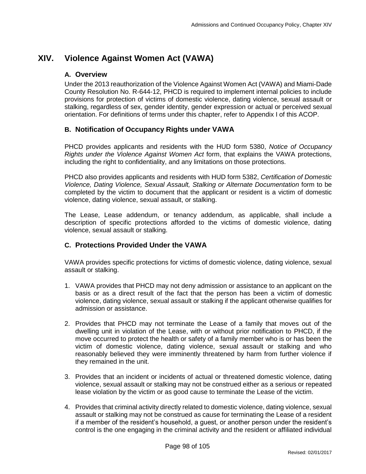# **XIV. Violence Against Women Act (VAWA)**

# **A. Overview**

Under the 2013 reauthorization of the Violence Against Women Act (VAWA) and Miami-Dade County Resolution No. R-644-12, PHCD is required to implement internal policies to include provisions for protection of victims of domestic violence, dating violence, sexual assault or stalking, regardless of sex, gender identity, gender expression or actual or perceived sexual orientation. For definitions of terms under this chapter, refer to Appendix I of this ACOP.

# **B. Notification of Occupancy Rights under VAWA**

PHCD provides applicants and residents with the HUD form 5380, *Notice of Occupancy Rights under the Violence Against Women Act* form, that explains the VAWA protections, including the right to confidentiality, and any limitations on those protections.

PHCD also provides applicants and residents with HUD form 5382, *Certification of Domestic Violence, Dating Violence, Sexual Assault, Stalking or Alternate Documentation* form to be completed by the victim to document that the applicant or resident is a victim of domestic violence, dating violence, sexual assault, or stalking.

The Lease, Lease addendum, or tenancy addendum, as applicable, shall include a description of specific protections afforded to the victims of domestic violence, dating violence, sexual assault or stalking.

# **C. Protections Provided Under the VAWA**

VAWA provides specific protections for victims of domestic violence, dating violence, sexual assault or stalking.

- 1. VAWA provides that PHCD may not deny admission or assistance to an applicant on the basis or as a direct result of the fact that the person has been a victim of domestic violence, dating violence, sexual assault or stalking if the applicant otherwise qualifies for admission or assistance.
- 2. Provides that PHCD may not terminate the Lease of a family that moves out of the dwelling unit in violation of the Lease, with or without prior notification to PHCD, if the move occurred to protect the health or safety of a family member who is or has been the victim of domestic violence, dating violence, sexual assault or stalking and who reasonably believed they were imminently threatened by harm from further violence if they remained in the unit.
- 3. Provides that an incident or incidents of actual or threatened domestic violence, dating violence, sexual assault or stalking may not be construed either as a serious or repeated lease violation by the victim or as good cause to terminate the Lease of the victim.
- 4. Provides that criminal activity directly related to domestic violence, dating violence, sexual assault or stalking may not be construed as cause for terminating the Lease of a resident if a member of the resident's household, a guest, or another person under the resident's control is the one engaging in the criminal activity and the resident or affiliated individual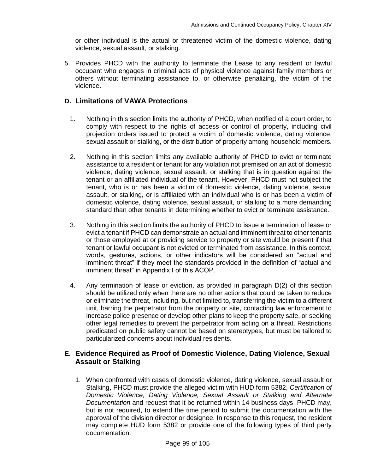or other individual is the actual or threatened victim of the domestic violence, dating violence, sexual assault, or stalking.

5. Provides PHCD with the authority to terminate the Lease to any resident or lawful occupant who engages in criminal acts of physical violence against family members or others without terminating assistance to, or otherwise penalizing, the victim of the violence.

### **D. Limitations of VAWA Protections**

- 1. Nothing in this section limits the authority of PHCD, when notified of a court order, to comply with respect to the rights of access or control of property, including civil projection orders issued to protect a victim of domestic violence, dating violence, sexual assault or stalking, or the distribution of property among household members.
- 2. Nothing in this section limits any available authority of PHCD to evict or terminate assistance to a resident or tenant for any violation not premised on an act of domestic violence, dating violence, sexual assault, or stalking that is in question against the tenant or an affiliated individual of the tenant. However, PHCD must not subject the tenant, who is or has been a victim of domestic violence, dating violence, sexual assault, or stalking, or is affiliated with an individual who is or has been a victim of domestic violence, dating violence, sexual assault, or stalking to a more demanding standard than other tenants in determining whether to evict or terminate assistance.
- 3. Nothing in this section limits the authority of PHCD to issue a termination of lease or evict a tenant if PHCD can demonstrate an actual and imminent threat to other tenants or those employed at or providing service to property or site would be present if that tenant or lawful occupant is not evicted or terminated from assistance. In this context, words, gestures, actions, or other indicators will be considered an "actual and imminent threat" if they meet the standards provided in the definition of "actual and imminent threat" in Appendix I of this ACOP.
- 4. Any termination of lease or eviction, as provided in paragraph D(2) of this section should be utilized only when there are no other actions that could be taken to reduce or eliminate the threat, including, but not limited to, transferring the victim to a different unit, barring the perpetrator from the property or site, contacting law enforcement to increase police presence or develop other plans to keep the property safe, or seeking other legal remedies to prevent the perpetrator from acting on a threat. Restrictions predicated on public safety cannot be based on stereotypes, but must be tailored to particularized concerns about individual residents.

## **E. Evidence Required as Proof of Domestic Violence, Dating Violence, Sexual Assault or Stalking**

1. When confronted with cases of domestic violence, dating violence, sexual assault or Stalking, PHCD must provide the alleged victim with HUD form 5382, *Certification of Domestic Violence, Dating Violence, Sexual Assault or Stalking and Alternate Documentation* and request that it be returned within 14 business days. PHCD may, but is not required, to extend the time period to submit the documentation with the approval of the division director or designee. In response to this request, the resident may complete HUD form 5382 or provide one of the following types of third party documentation: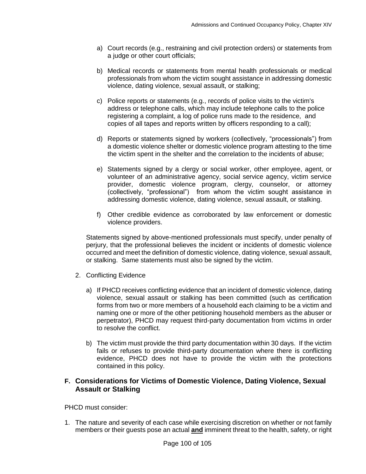- a) Court records (e.g., restraining and civil protection orders) or statements from a judge or other court officials;
- b) Medical records or statements from mental health professionals or medical professionals from whom the victim sought assistance in addressing domestic violence, dating violence, sexual assault, or stalking;
- c) Police reports or statements (e.g., records of police visits to the victim's address or telephone calls, which may include telephone calls to the police registering a complaint, a log of police runs made to the residence, and copies of all tapes and reports written by officers responding to a call);
- d) Reports or statements signed by workers (collectively, "processionals") from a domestic violence shelter or domestic violence program attesting to the time the victim spent in the shelter and the correlation to the incidents of abuse;
- e) Statements signed by a clergy or social worker, other employee, agent, or volunteer of an administrative agency, social service agency, victim service provider, domestic violence program, clergy, counselor, or attorney (collectively, "professional") from whom the victim sought assistance in addressing domestic violence, dating violence, sexual assault, or stalking.
- f) Other credible evidence as corroborated by law enforcement or domestic violence providers.

Statements signed by above-mentioned professionals must specify, under penalty of perjury, that the professional believes the incident or incidents of domestic violence occurred and meet the definition of domestic violence, dating violence, sexual assault, or stalking. Same statements must also be signed by the victim.

- 2. Conflicting Evidence
	- a) If PHCD receives conflicting evidence that an incident of domestic violence, dating violence, sexual assault or stalking has been committed (such as certification forms from two or more members of a household each claiming to be a victim and naming one or more of the other petitioning household members as the abuser or perpetrator), PHCD may request third-party documentation from victims in order to resolve the conflict.
	- b) The victim must provide the third party documentation within 30 days. If the victim fails or refuses to provide third-party documentation where there is conflicting evidence, PHCD does not have to provide the victim with the protections contained in this policy.

## **F. Considerations for Victims of Domestic Violence, Dating Violence, Sexual Assault or Stalking**

PHCD must consider:

1. The nature and severity of each case while exercising discretion on whether or not family members or their guests pose an actual **and** imminent threat to the health, safety, or right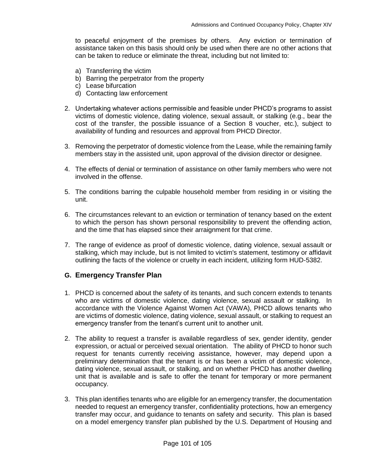to peaceful enjoyment of the premises by others. Any eviction or termination of assistance taken on this basis should only be used when there are no other actions that can be taken to reduce or eliminate the threat, including but not limited to:

- a) Transferring the victim
- b) Barring the perpetrator from the property
- c) Lease bifurcation
- d) Contacting law enforcement
- 2. Undertaking whatever actions permissible and feasible under PHCD's programs to assist victims of domestic violence, dating violence, sexual assault, or stalking (e.g., bear the cost of the transfer, the possible issuance of a Section 8 voucher, etc.), subject to availability of funding and resources and approval from PHCD Director.
- 3. Removing the perpetrator of domestic violence from the Lease, while the remaining family members stay in the assisted unit, upon approval of the division director or designee.
- 4. The effects of denial or termination of assistance on other family members who were not involved in the offense.
- 5. The conditions barring the culpable household member from residing in or visiting the unit.
- 6. The circumstances relevant to an eviction or termination of tenancy based on the extent to which the person has shown personal responsibility to prevent the offending action, and the time that has elapsed since their arraignment for that crime.
- 7. The range of evidence as proof of domestic violence, dating violence, sexual assault or stalking, which may include, but is not limited to victim's statement, testimony or affidavit outlining the facts of the violence or cruelty in each incident, utilizing form HUD-5382.

# **G. Emergency Transfer Plan**

- 1. PHCD is concerned about the safety of its tenants, and such concern extends to tenants who are victims of domestic violence, dating violence, sexual assault or stalking. In accordance with the Violence Against Women Act (VAWA), PHCD allows tenants who are victims of domestic violence, dating violence, sexual assault, or stalking to request an emergency transfer from the tenant's current unit to another unit.
- 2. The ability to request a transfer is available regardless of sex, gender identity, gender expression, or actual or perceived sexual orientation. The ability of PHCD to honor such request for tenants currently receiving assistance, however, may depend upon a preliminary determination that the tenant is or has been a victim of domestic violence, dating violence, sexual assault, or stalking, and on whether PHCD has another dwelling unit that is available and is safe to offer the tenant for temporary or more permanent occupancy.
- 3. This plan identifies tenants who are eligible for an emergency transfer, the documentation needed to request an emergency transfer, confidentiality protections, how an emergency transfer may occur, and guidance to tenants on safety and security. This plan is based on a model emergency transfer plan published by the U.S. Department of Housing and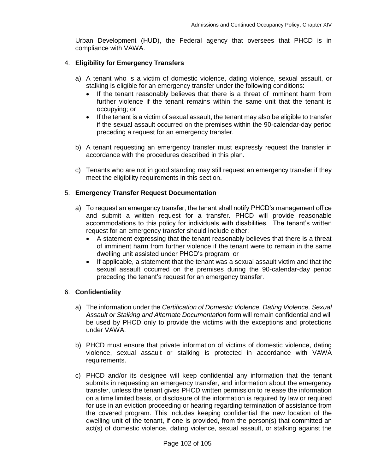Urban Development (HUD), the Federal agency that oversees that PHCD is in compliance with VAWA.

#### 4. **Eligibility for Emergency Transfers**

- a) A tenant who is a victim of domestic violence, dating violence, sexual assault, or stalking is eligible for an emergency transfer under the following conditions:
	- If the tenant reasonably believes that there is a threat of imminent harm from further violence if the tenant remains within the same unit that the tenant is occupying; or
	- If the tenant is a victim of sexual assault, the tenant may also be eligible to transfer if the sexual assault occurred on the premises within the 90-calendar-day period preceding a request for an emergency transfer.
- b) A tenant requesting an emergency transfer must expressly request the transfer in accordance with the procedures described in this plan.
- c) Tenants who are not in good standing may still request an emergency transfer if they meet the eligibility requirements in this section.

#### 5. **Emergency Transfer Request Documentation**

- a) To request an emergency transfer, the tenant shall notify PHCD's management office and submit a written request for a transfer. PHCD will provide reasonable accommodations to this policy for individuals with disabilities. The tenant's written request for an emergency transfer should include either:
	- A statement expressing that the tenant reasonably believes that there is a threat of imminent harm from further violence if the tenant were to remain in the same dwelling unit assisted under PHCD's program; or
	- If applicable, a statement that the tenant was a sexual assault victim and that the sexual assault occurred on the premises during the 90-calendar-day period preceding the tenant's request for an emergency transfer.

#### 6. **Confidentiality**

- a) The information under the *Certification of Domestic Violence, Dating Violence, Sexual Assault or Stalking and Alternate Documentation* form will remain confidential and will be used by PHCD only to provide the victims with the exceptions and protections under VAWA.
- b) PHCD must ensure that private information of victims of domestic violence, dating violence, sexual assault or stalking is protected in accordance with VAWA requirements.
- c) PHCD and/or its designee will keep confidential any information that the tenant submits in requesting an emergency transfer, and information about the emergency transfer, unless the tenant gives PHCD written permission to release the information on a time limited basis, or disclosure of the information is required by law or required for use in an eviction proceeding or hearing regarding termination of assistance from the covered program. This includes keeping confidential the new location of the dwelling unit of the tenant, if one is provided, from the person(s) that committed an act(s) of domestic violence, dating violence, sexual assault, or stalking against the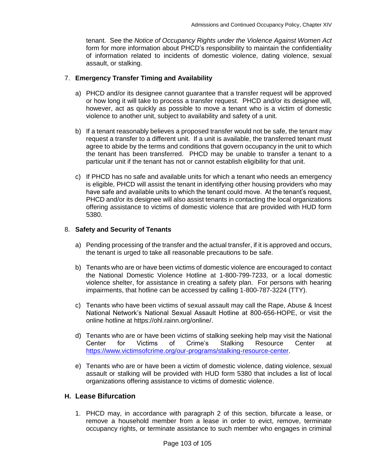tenant. See the *Notice of Occupancy Rights under the Violence Against Women Act* form for more information about PHCD's responsibility to maintain the confidentiality of information related to incidents of domestic violence, dating violence, sexual assault, or stalking.

### 7. **Emergency Transfer Timing and Availability**

- a) PHCD and/or its designee cannot guarantee that a transfer request will be approved or how long it will take to process a transfer request. PHCD and/or its designee will, however, act as quickly as possible to move a tenant who is a victim of domestic violence to another unit, subject to availability and safety of a unit.
- b) If a tenant reasonably believes a proposed transfer would not be safe, the tenant may request a transfer to a different unit. If a unit is available, the transferred tenant must agree to abide by the terms and conditions that govern occupancy in the unit to which the tenant has been transferred. PHCD may be unable to transfer a tenant to a particular unit if the tenant has not or cannot establish eligibility for that unit.
- c) If PHCD has no safe and available units for which a tenant who needs an emergency is eligible, PHCD will assist the tenant in identifying other housing providers who may have safe and available units to which the tenant could move. At the tenant's request, PHCD and/or its designee will also assist tenants in contacting the local organizations offering assistance to victims of domestic violence that are provided with HUD form 5380.

#### 8. **Safety and Security of Tenants**

- a) Pending processing of the transfer and the actual transfer, if it is approved and occurs, the tenant is urged to take all reasonable precautions to be safe.
- b) Tenants who are or have been victims of domestic violence are encouraged to contact the National Domestic Violence Hotline at 1-800-799-7233, or a local domestic violence shelter, for assistance in creating a safety plan. For persons with hearing impairments, that hotline can be accessed by calling 1-800-787-3224 (TTY).
- c) Tenants who have been victims of sexual assault may call the Rape, Abuse & Incest National Network's National Sexual Assault Hotline at 800-656-HOPE, or visit the online hotline at https://ohl.rainn.org/online/.
- d) Tenants who are or have been victims of stalking seeking help may visit the National Center for Victims of Crime's Stalking Resource Center at [https://www.victimsofcrime.org/our-programs/stalking-resource-center.](https://www.victimsofcrime.org/our-programs/stalking-resource-center)
- e) Tenants who are or have been a victim of domestic violence, dating violence, sexual assault or stalking will be provided with HUD form 5380 that includes a list of local organizations offering assistance to victims of domestic violence.

## **H. Lease Bifurcation**

1. PHCD may, in accordance with paragraph 2 of this section, bifurcate a lease, or remove a household member from a lease in order to evict, remove, terminate occupancy rights, or terminate assistance to such member who engages in criminal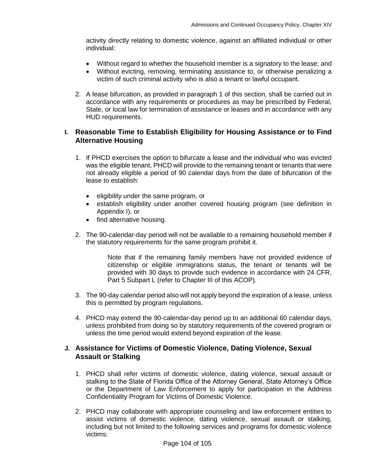activity directly relating to domestic violence, against an affiliated individual or other individual:

- Without regard to whether the household member is a signatory to the lease; and
- Without evicting, removing, terminating assistance to, or otherwise penalizing a victim of such criminal activity who is also a tenant or lawful occupant.
- 2. A lease bifurcation, as provided in paragraph 1 of this section, shall be carried out in accordance with any requirements or procedures as may be prescribed by Federal, State, or local law for termination of assistance or leases and in accordance with any HUD requirements.

## **I. Reasonable Time to Establish Eligibility for Housing Assistance or to Find Alternative Housing**

- 1. If PHCD exercises the option to bifurcate a lease and the individual who was evicted was the eligible tenant, PHCD will provide to the remaining tenant or tenants that were not already eligible a period of 90 calendar days from the date of bifurcation of the lease to establish:
	- eligibility under the same program, or
	- establish eligibility under another covered housing program (see definition in Appendix I), or
	- find alternative housing.
- 2. The 90-calendar-day period will not be available to a remaining household member if the statutory requirements for the same program prohibit it.

Note that if the remaining family members have not provided evidence of citizenship or eligible immigrations status, the tenant or tenants will be provided with 30 days to provide such evidence in accordance with 24 CFR, Part 5 Subpart L (refer to Chapter III of this ACOP).

- 3. The 90-day calendar period also will not apply beyond the expiration of a lease, unless this is permitted by program regulations.
- 4. PHCD may extend the 90-calendar-day period up to an additional 60 calendar days, unless prohibited from doing so by statutory requirements of the covered program or unless the time period would extend beyond expiration of the lease.

# **J. Assistance for Victims of Domestic Violence, Dating Violence, Sexual Assault or Stalking**

- 1. PHCD shall refer victims of domestic violence, dating violence, sexual assault or stalking to the State of Florida Office of the Attorney General, State Attorney's Office or the Department of Law Enforcement to apply for participation in the Address Confidentiality Program for Victims of Domestic Violence.
- 2. PHCD may collaborate with appropriate counseling and law enforcement entities to assist victims of domestic violence, dating violence, sexual assault or stalking, including but not limited to the following services and programs for domestic violence victims: